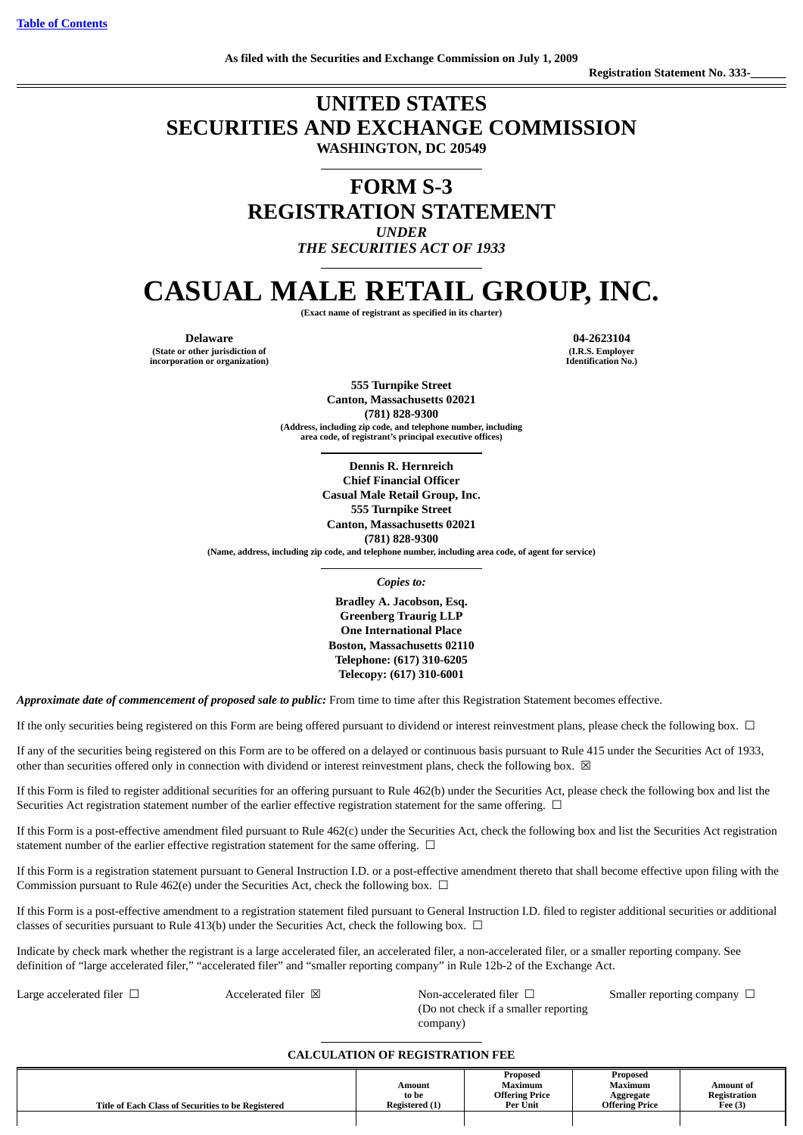# **UNITED STATES SECURITIES AND EXCHANGE COMMISSION WASHINGTON, DC 20549**

**FORM S-3 REGISTRATION STATEMENT** *UNDER*

*THE SECURITIES ACT OF 1933*

# **CASUAL MALE RETAIL GROUP, INC.**

**(Exact name of registrant as specified in its charter)**

**(State or other jurisdiction of incorporation or organization)**

**Delaware 04-2623104 (I.R.S. Employer Identification No.)**

> **555 Turnpike Street Canton, Massachusetts 02021 (781) 828-9300 (Address, including zip code, and telephone number, including area code, of registrant's principal executive offices)**

> > **Dennis R. Hernreich Chief Financial Officer Casual Male Retail Group, Inc. 555 Turnpike Street Canton, Massachusetts 02021 (781) 828-9300**

**(Name, address, including zip code, and telephone number, including area code, of agent for service)**

*Copies to:*

**Bradley A. Jacobson, Esq. Greenberg Traurig LLP One International Place Boston, Massachusetts 02110 Telephone: (617) 310-6205 Telecopy: (617) 310-6001**

Approximate date of commencement of proposed sale to public: From time to time after this Registration Statement becomes effective.

If the only securities being registered on this Form are being offered pursuant to dividend or interest reinvestment plans, please check the following box. □

If any of the securities being registered on this Form are to be offered on a delayed or continuous basis pursuant to Rule 415 under the Securities Act of 1933, other than securities offered only in connection with dividend or interest reinvestment plans, check the following box.  $\boxtimes$ 

If this Form is filed to register additional securities for an offering pursuant to Rule 462(b) under the Securities Act, please check the following box and list the Securities Act registration statement number of the earlier effective registration statement for the same offering. □

If this Form is a post-effective amendment filed pursuant to Rule 462(c) under the Securities Act, check the following box and list the Securities Act registration statement number of the earlier effective registration statement for the same offering.  $\Box$ 

If this Form is a registration statement pursuant to General Instruction I.D. or a post-effective amendment thereto that shall become effective upon filing with the Commission pursuant to Rule 462(e) under the Securities Act, check the following box.  $\Box$ 

If this Form is a post-effective amendment to a registration statement filed pursuant to General Instruction I.D. filed to register additional securities or additional classes of securities pursuant to Rule 413(b) under the Securities Act, check the following box.  $\Box$ 

Indicate by check mark whether the registrant is a large accelerated filer, an accelerated filer, a non-accelerated filer, or a smaller reporting company. See definition of "large accelerated filer," "accelerated filer" and "smaller reporting company" in Rule 12b-2 of the Exchange Act.

Large accelerated filer □ Accelerated filer ⊠ Non-accelerated filer □ Smaller reporting company □ (Do not check if a smaller reporting company)

# **CALCULATION OF REGISTRATION FEE**

| Title of Each Class of Securities to be Registered | Amount<br>to be<br>Registered (1) | Proposed<br><b>Maximum</b><br><b>Offering Price</b><br>Per Unit | Proposed<br><b>Maximum</b><br>Aggregate<br><b>Offering Price</b> | Amount of<br>Registration<br>Fee $(3)$ |
|----------------------------------------------------|-----------------------------------|-----------------------------------------------------------------|------------------------------------------------------------------|----------------------------------------|
|                                                    |                                   |                                                                 |                                                                  |                                        |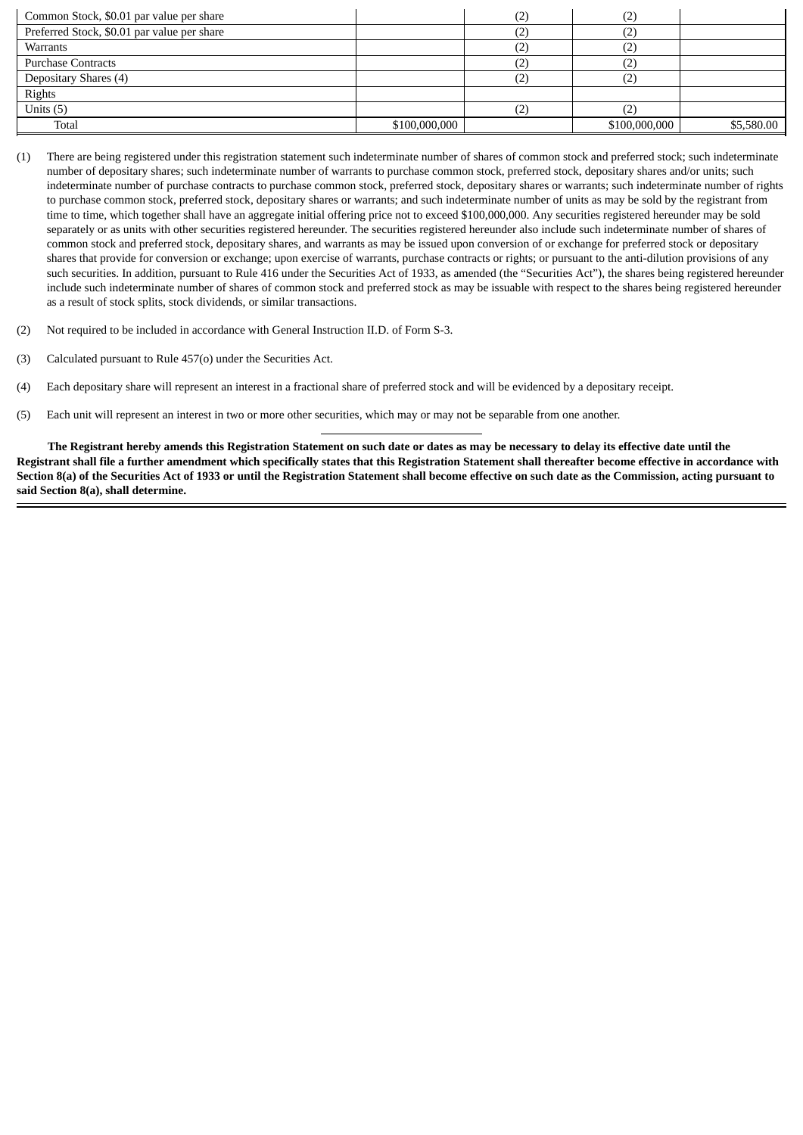| Common Stock, \$0.01 par value per share    |               | (2` | ∠             |            |
|---------------------------------------------|---------------|-----|---------------|------------|
| Preferred Stock, \$0.01 par value per share |               |     | ←             |            |
| Warrants                                    |               | ے   | ⊶,            |            |
| <b>Purchase Contracts</b>                   |               | (2) | $\sim$        |            |
| Depositary Shares (4)                       |               |     |               |            |
| Rights                                      |               |     |               |            |
| Units $(5)$                                 |               |     |               |            |
| Total                                       | \$100,000,000 |     | \$100,000,000 | \$5,580.00 |

- (1) There are being registered under this registration statement such indeterminate number of shares of common stock and preferred stock; such indeterminate number of depositary shares; such indeterminate number of warrants to purchase common stock, preferred stock, depositary shares and/or units; such indeterminate number of purchase contracts to purchase common stock, preferred stock, depositary shares or warrants; such indeterminate number of rights to purchase common stock, preferred stock, depositary shares or warrants; and such indeterminate number of units as may be sold by the registrant from time to time, which together shall have an aggregate initial offering price not to exceed \$100,000,000. Any securities registered hereunder may be sold separately or as units with other securities registered hereunder. The securities registered hereunder also include such indeterminate number of shares of common stock and preferred stock, depositary shares, and warrants as may be issued upon conversion of or exchange for preferred stock or depositary shares that provide for conversion or exchange; upon exercise of warrants, purchase contracts or rights; or pursuant to the anti-dilution provisions of any such securities. In addition, pursuant to Rule 416 under the Securities Act of 1933, as amended (the "Securities Act"), the shares being registered hereunder include such indeterminate number of shares of common stock and preferred stock as may be issuable with respect to the shares being registered hereunder as a result of stock splits, stock dividends, or similar transactions.
- (2) Not required to be included in accordance with General Instruction II.D. of Form S-3.
- (3) Calculated pursuant to Rule 457(o) under the Securities Act.
- (4) Each depositary share will represent an interest in a fractional share of preferred stock and will be evidenced by a depositary receipt.
- (5) Each unit will represent an interest in two or more other securities, which may or may not be separable from one another.

**The Registrant hereby amends this Registration Statement on such date or dates as may be necessary to delay its effective date until the Registrant shall file a further amendment which specifically states that this Registration Statement shall thereafter become effective in accordance with Section 8(a) of the Securities Act of 1933 or until the Registration Statement shall become effective on such date as the Commission, acting pursuant to said Section 8(a), shall determine.**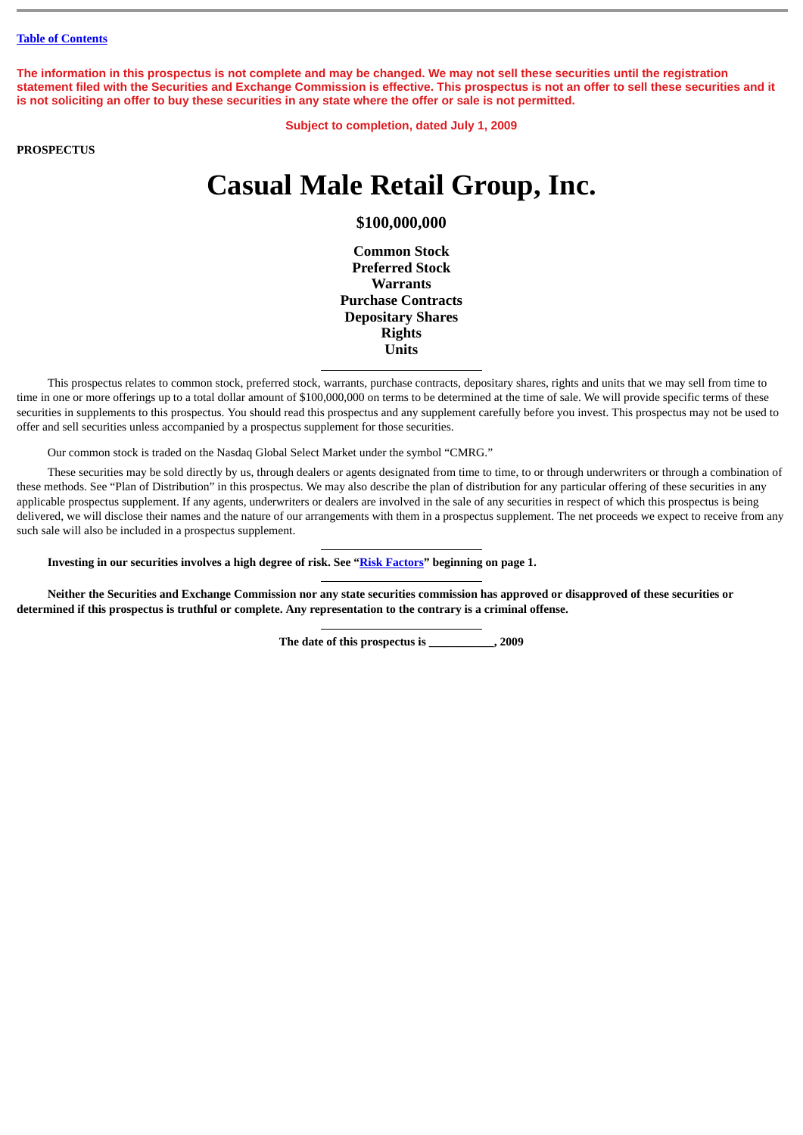**The information in this prospectus is not complete and may be changed. We may not sell these securities until the registration statement filed with the Securities and Exchange Commission is effective. This prospectus is not an offer to sell these securities and it is not soliciting an offer to buy these securities in any state where the offer or sale is not permitted.**

**Subject to completion, dated July 1, 2009**

**PROSPECTUS**

# **Casual Male Retail Group, Inc.**

**\$100,000,000**

**Common Stock Preferred Stock Warrants Purchase Contracts Depositary Shares Rights Units**

This prospectus relates to common stock, preferred stock, warrants, purchase contracts, depositary shares, rights and units that we may sell from time to time in one or more offerings up to a total dollar amount of \$100,000,000 on terms to be determined at the time of sale. We will provide specific terms of these securities in supplements to this prospectus. You should read this prospectus and any supplement carefully before you invest. This prospectus may not be used to offer and sell securities unless accompanied by a prospectus supplement for those securities.

Our common stock is traded on the Nasdaq Global Select Market under the symbol "CMRG."

These securities may be sold directly by us, through dealers or agents designated from time to time, to or through underwriters or through a combination of these methods. See "Plan of Distribution" in this prospectus. We may also describe the plan of distribution for any particular offering of these securities in any applicable prospectus supplement. If any agents, underwriters or dealers are involved in the sale of any securities in respect of which this prospectus is being delivered, we will disclose their names and the nature of our arrangements with them in a prospectus supplement. The net proceeds we expect to receive from any such sale will also be included in a prospectus supplement.

**Investing in our securities involves a high degree of risk. See "[Risk Factors](#page-4-0)" beginning on page 1.**

**Neither the Securities and Exchange Commission nor any state securities commission has approved or disapproved of these securities or determined if this prospectus is truthful or complete. Any representation to the contrary is a criminal offense.**

**The date of this prospectus is \_\_\_\_\_\_\_\_\_\_\_, 2009**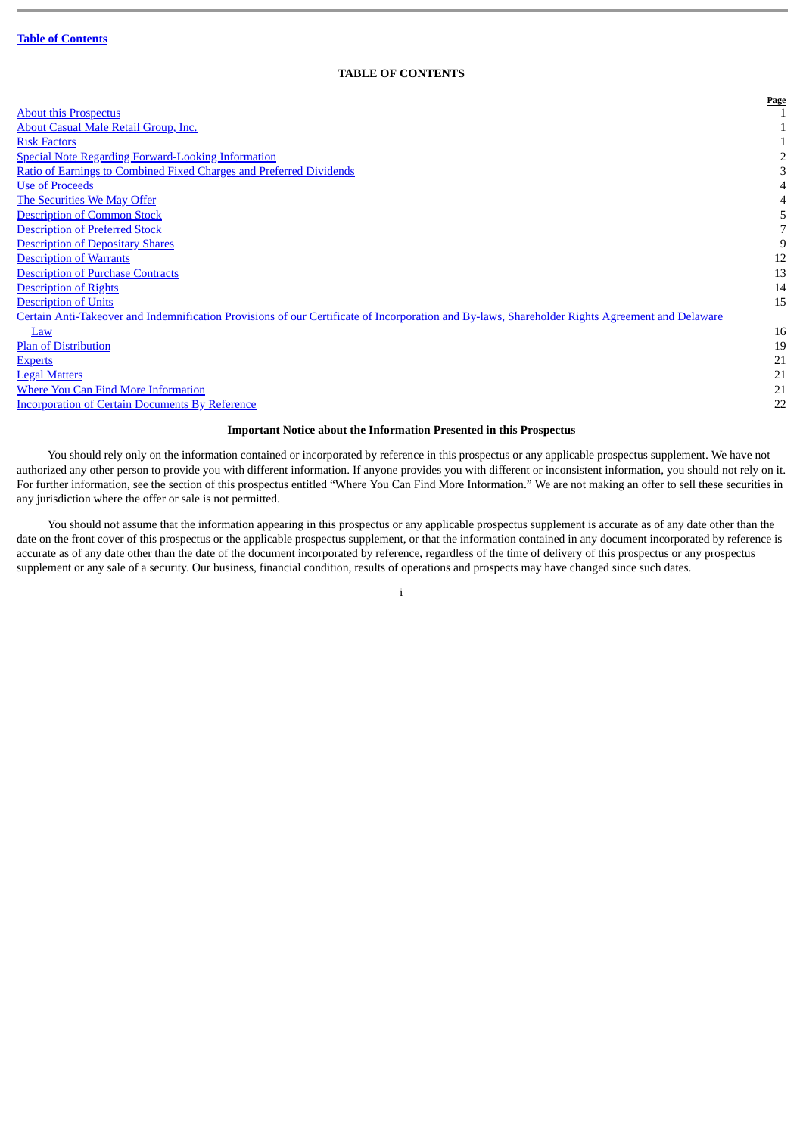# **TABLE OF CONTENTS**

<span id="page-3-0"></span>

|                                                                                                                                                 | Page |
|-------------------------------------------------------------------------------------------------------------------------------------------------|------|
| <b>About this Prospectus</b>                                                                                                                    |      |
| About Casual Male Retail Group, Inc.                                                                                                            |      |
| <b>Risk Factors</b>                                                                                                                             |      |
| <b>Special Note Regarding Forward-Looking Information</b>                                                                                       |      |
| Ratio of Earnings to Combined Fixed Charges and Preferred Dividends                                                                             |      |
| <b>Use of Proceeds</b>                                                                                                                          |      |
| The Securities We May Offer                                                                                                                     |      |
| <b>Description of Common Stock</b>                                                                                                              |      |
| <b>Description of Preferred Stock</b>                                                                                                           |      |
| <b>Description of Depositary Shares</b>                                                                                                         | 9    |
| <b>Description of Warrants</b>                                                                                                                  | 12   |
| <b>Description of Purchase Contracts</b>                                                                                                        | 13   |
| <b>Description of Rights</b>                                                                                                                    | 14   |
| <b>Description of Units</b>                                                                                                                     | 15   |
| Certain Anti-Takeover and Indemnification Provisions of our Certificate of Incorporation and By-laws, Shareholder Rights Agreement and Delaware |      |
| Law                                                                                                                                             | 16   |
| <b>Plan of Distribution</b>                                                                                                                     | 19   |
| <b>Experts</b>                                                                                                                                  | 21   |
| <b>Legal Matters</b>                                                                                                                            | 21   |
| <b>Where You Can Find More Information</b>                                                                                                      | 21   |
| <b>Incorporation of Certain Documents By Reference</b>                                                                                          | 22   |

#### **Important Notice about the Information Presented in this Prospectus**

You should rely only on the information contained or incorporated by reference in this prospectus or any applicable prospectus supplement. We have not authorized any other person to provide you with different information. If anyone provides you with different or inconsistent information, you should not rely on it. For further information, see the section of this prospectus entitled "Where You Can Find More Information." We are not making an offer to sell these securities in any jurisdiction where the offer or sale is not permitted.

You should not assume that the information appearing in this prospectus or any applicable prospectus supplement is accurate as of any date other than the date on the front cover of this prospectus or the applicable prospectus supplement, or that the information contained in any document incorporated by reference is accurate as of any date other than the date of the document incorporated by reference, regardless of the time of delivery of this prospectus or any prospectus supplement or any sale of a security. Our business, financial condition, results of operations and prospects may have changed since such dates.

i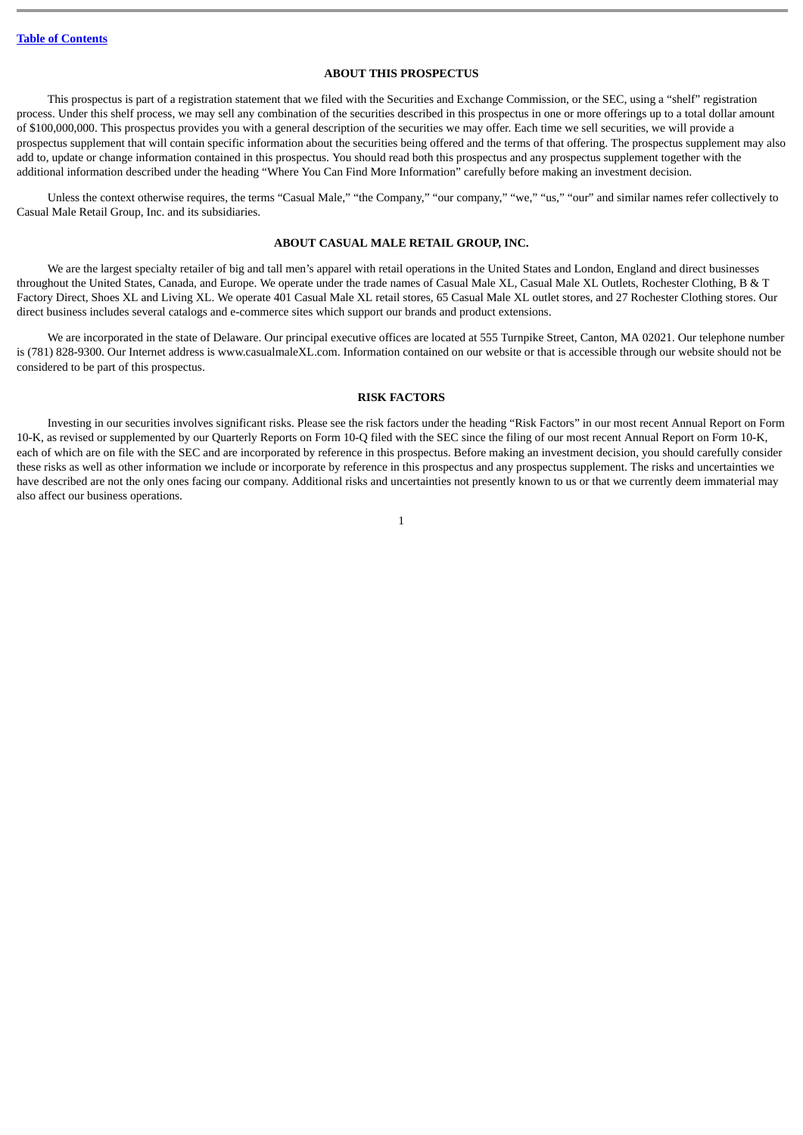# **ABOUT THIS PROSPECTUS**

<span id="page-4-1"></span>This prospectus is part of a registration statement that we filed with the Securities and Exchange Commission, or the SEC, using a "shelf" registration process. Under this shelf process, we may sell any combination of the securities described in this prospectus in one or more offerings up to a total dollar amount of \$100,000,000. This prospectus provides you with a general description of the securities we may offer. Each time we sell securities, we will provide a prospectus supplement that will contain specific information about the securities being offered and the terms of that offering. The prospectus supplement may also add to, update or change information contained in this prospectus. You should read both this prospectus and any prospectus supplement together with the additional information described under the heading "Where You Can Find More Information" carefully before making an investment decision.

Unless the context otherwise requires, the terms "Casual Male," "the Company," "our company," "we," "us," "our" and similar names refer collectively to Casual Male Retail Group, Inc. and its subsidiaries.

# **ABOUT CASUAL MALE RETAIL GROUP, INC.**

<span id="page-4-2"></span>We are the largest specialty retailer of big and tall men's apparel with retail operations in the United States and London, England and direct businesses throughout the United States, Canada, and Europe. We operate under the trade names of Casual Male XL, Casual Male XL Outlets, Rochester Clothing, B & T Factory Direct, Shoes XL and Living XL. We operate 401 Casual Male XL retail stores, 65 Casual Male XL outlet stores, and 27 Rochester Clothing stores. Our direct business includes several catalogs and e-commerce sites which support our brands and product extensions.

We are incorporated in the state of Delaware. Our principal executive offices are located at 555 Turnpike Street, Canton, MA 02021. Our telephone number is (781) 828-9300. Our Internet address is www.casualmaleXL.com. Information contained on our website or that is accessible through our website should not be considered to be part of this prospectus.

#### **RISK FACTORS**

<span id="page-4-0"></span>Investing in our securities involves significant risks. Please see the risk factors under the heading "Risk Factors" in our most recent Annual Report on Form 10-K, as revised or supplemented by our Quarterly Reports on Form 10-Q filed with the SEC since the filing of our most recent Annual Report on Form 10-K, each of which are on file with the SEC and are incorporated by reference in this prospectus. Before making an investment decision, you should carefully consider these risks as well as other information we include or incorporate by reference in this prospectus and any prospectus supplement. The risks and uncertainties we have described are not the only ones facing our company. Additional risks and uncertainties not presently known to us or that we currently deem immaterial may also affect our business operations.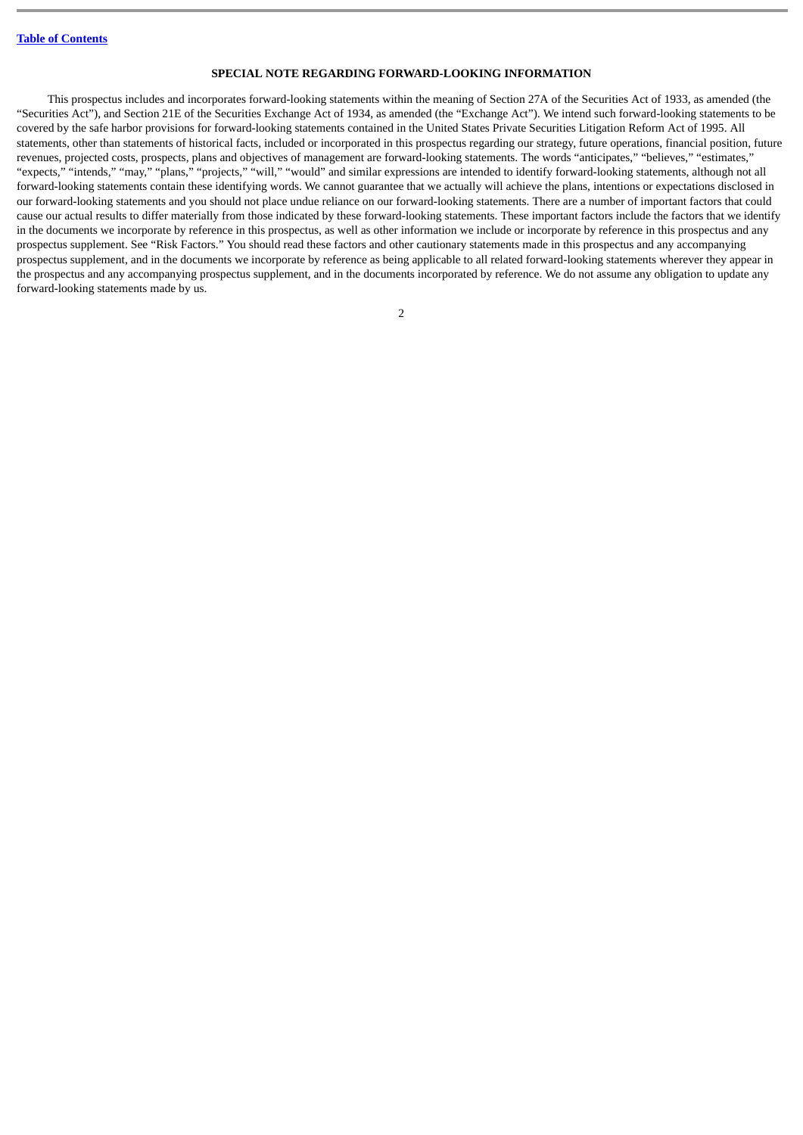# **SPECIAL NOTE REGARDING FORWARD-LOOKING INFORMATION**

<span id="page-5-0"></span>This prospectus includes and incorporates forward-looking statements within the meaning of Section 27A of the Securities Act of 1933, as amended (the "Securities Act"), and Section 21E of the Securities Exchange Act of 1934, as amended (the "Exchange Act"). We intend such forward-looking statements to be covered by the safe harbor provisions for forward-looking statements contained in the United States Private Securities Litigation Reform Act of 1995. All statements, other than statements of historical facts, included or incorporated in this prospectus regarding our strategy, future operations, financial position, future revenues, projected costs, prospects, plans and objectives of management are forward-looking statements. The words "anticipates," "believes," "estimates," "expects," "intends," "may," "plans," "projects," "will," "would" and similar expressions are intended to identify forward-looking statements, although not all forward-looking statements contain these identifying words. We cannot guarantee that we actually will achieve the plans, intentions or expectations disclosed in our forward-looking statements and you should not place undue reliance on our forward-looking statements. There are a number of important factors that could cause our actual results to differ materially from those indicated by these forward-looking statements. These important factors include the factors that we identify in the documents we incorporate by reference in this prospectus, as well as other information we include or incorporate by reference in this prospectus and any prospectus supplement. See "Risk Factors." You should read these factors and other cautionary statements made in this prospectus and any accompanying prospectus supplement, and in the documents we incorporate by reference as being applicable to all related forward-looking statements wherever they appear in the prospectus and any accompanying prospectus supplement, and in the documents incorporated by reference. We do not assume any obligation to update any forward-looking statements made by us.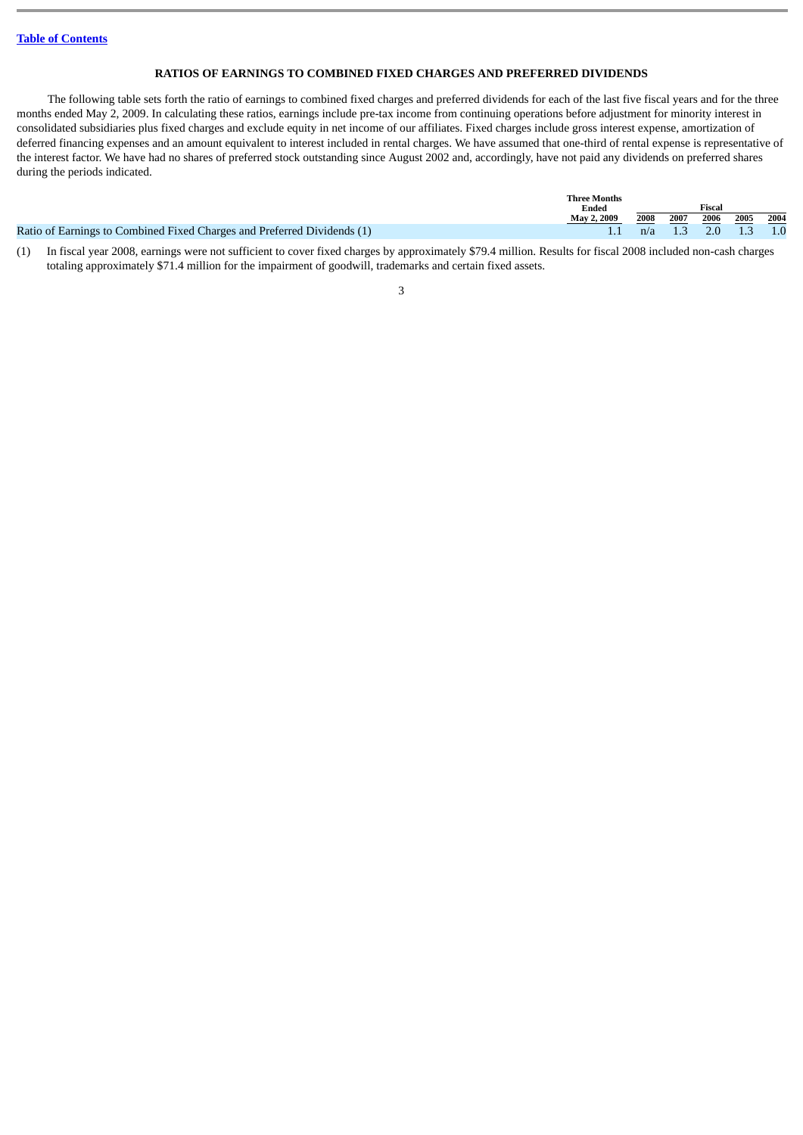# **RATIOS OF EARNINGS TO COMBINED FIXED CHARGES AND PREFERRED DIVIDENDS**

<span id="page-6-0"></span>The following table sets forth the ratio of earnings to combined fixed charges and preferred dividends for each of the last five fiscal years and for the three months ended May 2, 2009. In calculating these ratios, earnings include pre-tax income from continuing operations before adjustment for minority interest in consolidated subsidiaries plus fixed charges and exclude equity in net income of our affiliates. Fixed charges include gross interest expense, amortization of deferred financing expenses and an amount equivalent to interest included in rental charges. We have assumed that one-third of rental expense is representative of the interest factor. We have had no shares of preferred stock outstanding since August 2002 and, accordingly, have not paid any dividends on preferred shares during the periods indicated.

|                                                                         | <b>Three Months</b><br>Ended |      | Fiscal |                       |      |      |  |
|-------------------------------------------------------------------------|------------------------------|------|--------|-----------------------|------|------|--|
|                                                                         | May 2, 2009                  | 2008 | 2007   | 2006                  | 2005 | 2004 |  |
| Ratio of Earnings to Combined Fixed Charges and Preferred Dividends (1) |                              |      |        | $n/a$ 1.3 2.0 1.3 1.0 |      |      |  |

(1) In fiscal year 2008, earnings were not sufficient to cover fixed charges by approximately \$79.4 million. Results for fiscal 2008 included non-cash charges totaling approximately \$71.4 million for the impairment of goodwill, trademarks and certain fixed assets.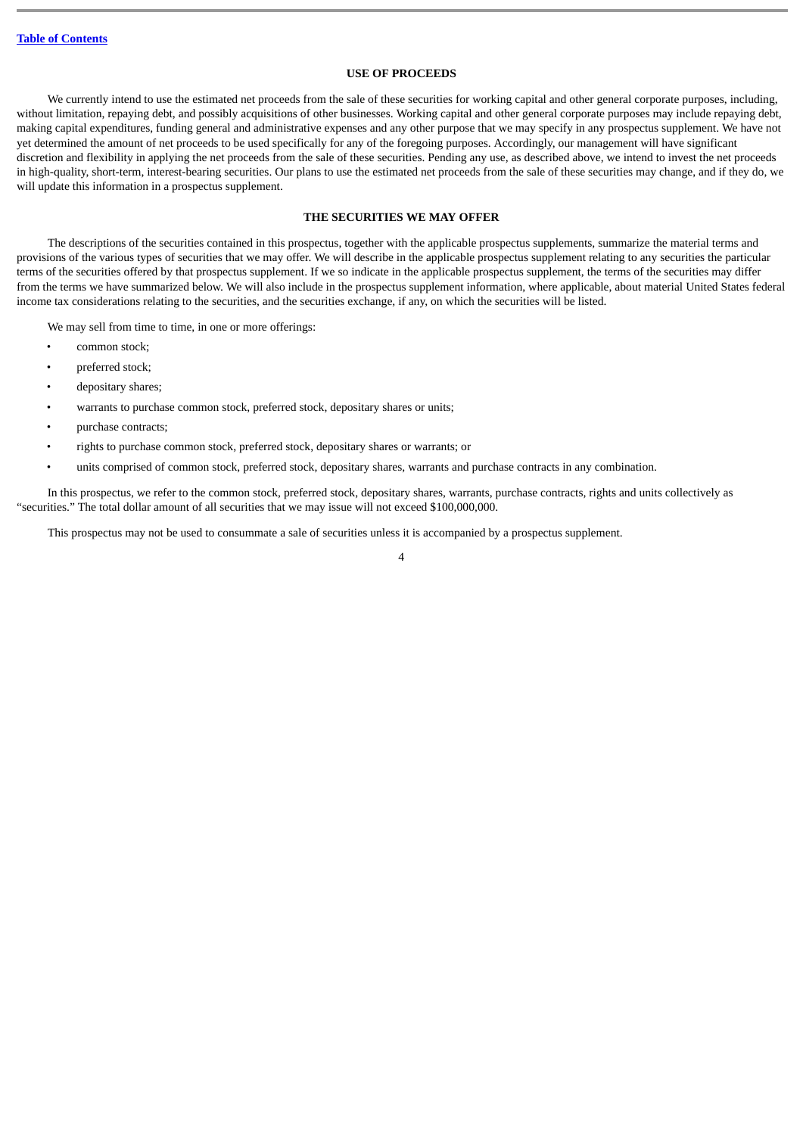# **USE OF PROCEEDS**

<span id="page-7-0"></span>We currently intend to use the estimated net proceeds from the sale of these securities for working capital and other general corporate purposes, including, without limitation, repaying debt, and possibly acquisitions of other businesses. Working capital and other general corporate purposes may include repaying debt, making capital expenditures, funding general and administrative expenses and any other purpose that we may specify in any prospectus supplement. We have not yet determined the amount of net proceeds to be used specifically for any of the foregoing purposes. Accordingly, our management will have significant discretion and flexibility in applying the net proceeds from the sale of these securities. Pending any use, as described above, we intend to invest the net proceeds in high-quality, short-term, interest-bearing securities. Our plans to use the estimated net proceeds from the sale of these securities may change, and if they do, we will update this information in a prospectus supplement.

# **THE SECURITIES WE MAY OFFER**

<span id="page-7-1"></span>The descriptions of the securities contained in this prospectus, together with the applicable prospectus supplements, summarize the material terms and provisions of the various types of securities that we may offer. We will describe in the applicable prospectus supplement relating to any securities the particular terms of the securities offered by that prospectus supplement. If we so indicate in the applicable prospectus supplement, the terms of the securities may differ from the terms we have summarized below. We will also include in the prospectus supplement information, where applicable, about material United States federal income tax considerations relating to the securities, and the securities exchange, if any, on which the securities will be listed.

We may sell from time to time, in one or more offerings:

- common stock;
- preferred stock;
- depositary shares;
- warrants to purchase common stock, preferred stock, depositary shares or units;
- purchase contracts;
- rights to purchase common stock, preferred stock, depositary shares or warrants; or
- units comprised of common stock, preferred stock, depositary shares, warrants and purchase contracts in any combination.

In this prospectus, we refer to the common stock, preferred stock, depositary shares, warrants, purchase contracts, rights and units collectively as "securities." The total dollar amount of all securities that we may issue will not exceed \$100,000,000.

This prospectus may not be used to consummate a sale of securities unless it is accompanied by a prospectus supplement.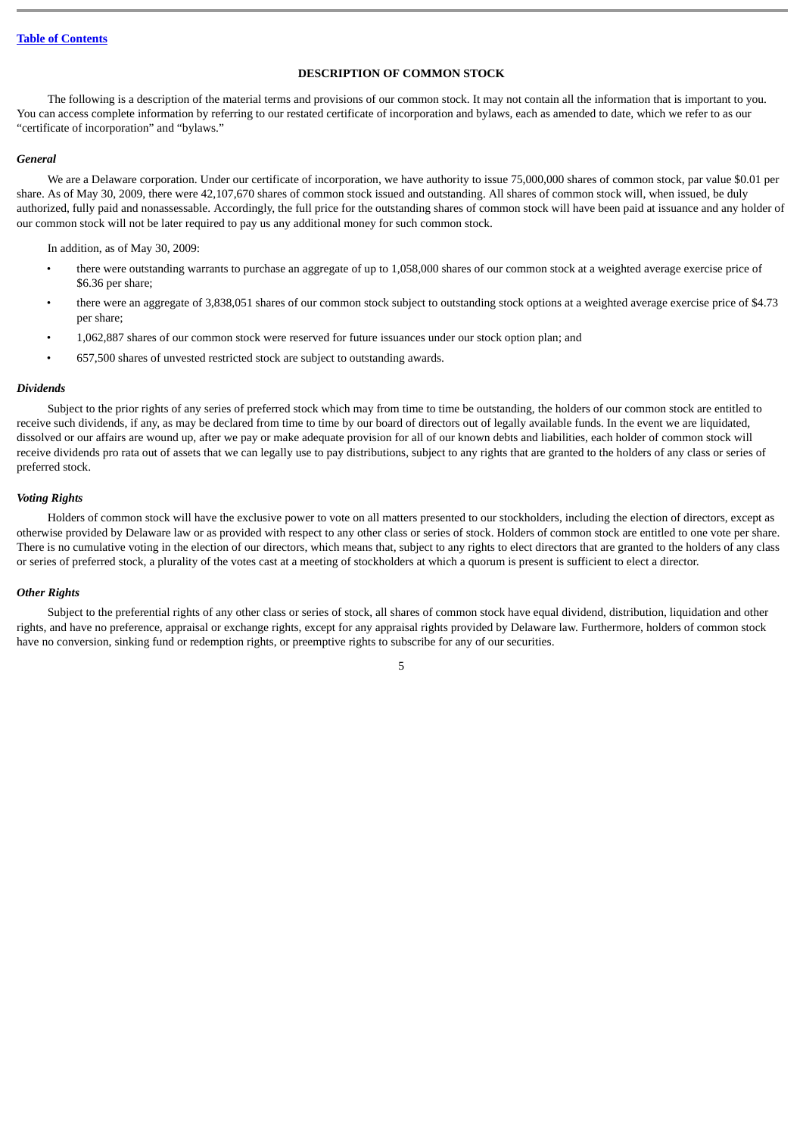# **DESCRIPTION OF COMMON STOCK**

<span id="page-8-0"></span>The following is a description of the material terms and provisions of our common stock. It may not contain all the information that is important to you. You can access complete information by referring to our restated certificate of incorporation and bylaws, each as amended to date, which we refer to as our "certificate of incorporation" and "bylaws."

## *General*

We are a Delaware corporation. Under our certificate of incorporation, we have authority to issue 75,000,000 shares of common stock, par value \$0.01 per share. As of May 30, 2009, there were 42,107,670 shares of common stock issued and outstanding. All shares of common stock will, when issued, be duly authorized, fully paid and nonassessable. Accordingly, the full price for the outstanding shares of common stock will have been paid at issuance and any holder of our common stock will not be later required to pay us any additional money for such common stock.

In addition, as of May 30, 2009:

- there were outstanding warrants to purchase an aggregate of up to 1,058,000 shares of our common stock at a weighted average exercise price of \$6.36 per share;
- there were an aggregate of 3,838,051 shares of our common stock subject to outstanding stock options at a weighted average exercise price of \$4.73 per share;
- 1,062,887 shares of our common stock were reserved for future issuances under our stock option plan; and
- 657,500 shares of unvested restricted stock are subject to outstanding awards.

#### *Dividends*

Subject to the prior rights of any series of preferred stock which may from time to time be outstanding, the holders of our common stock are entitled to receive such dividends, if any, as may be declared from time to time by our board of directors out of legally available funds. In the event we are liquidated, dissolved or our affairs are wound up, after we pay or make adequate provision for all of our known debts and liabilities, each holder of common stock will receive dividends pro rata out of assets that we can legally use to pay distributions, subject to any rights that are granted to the holders of any class or series of preferred stock.

# *Voting Rights*

Holders of common stock will have the exclusive power to vote on all matters presented to our stockholders, including the election of directors, except as otherwise provided by Delaware law or as provided with respect to any other class or series of stock. Holders of common stock are entitled to one vote per share. There is no cumulative voting in the election of our directors, which means that, subject to any rights to elect directors that are granted to the holders of any class or series of preferred stock, a plurality of the votes cast at a meeting of stockholders at which a quorum is present is sufficient to elect a director.

# *Other Rights*

Subject to the preferential rights of any other class or series of stock, all shares of common stock have equal dividend, distribution, liquidation and other rights, and have no preference, appraisal or exchange rights, except for any appraisal rights provided by Delaware law. Furthermore, holders of common stock have no conversion, sinking fund or redemption rights, or preemptive rights to subscribe for any of our securities.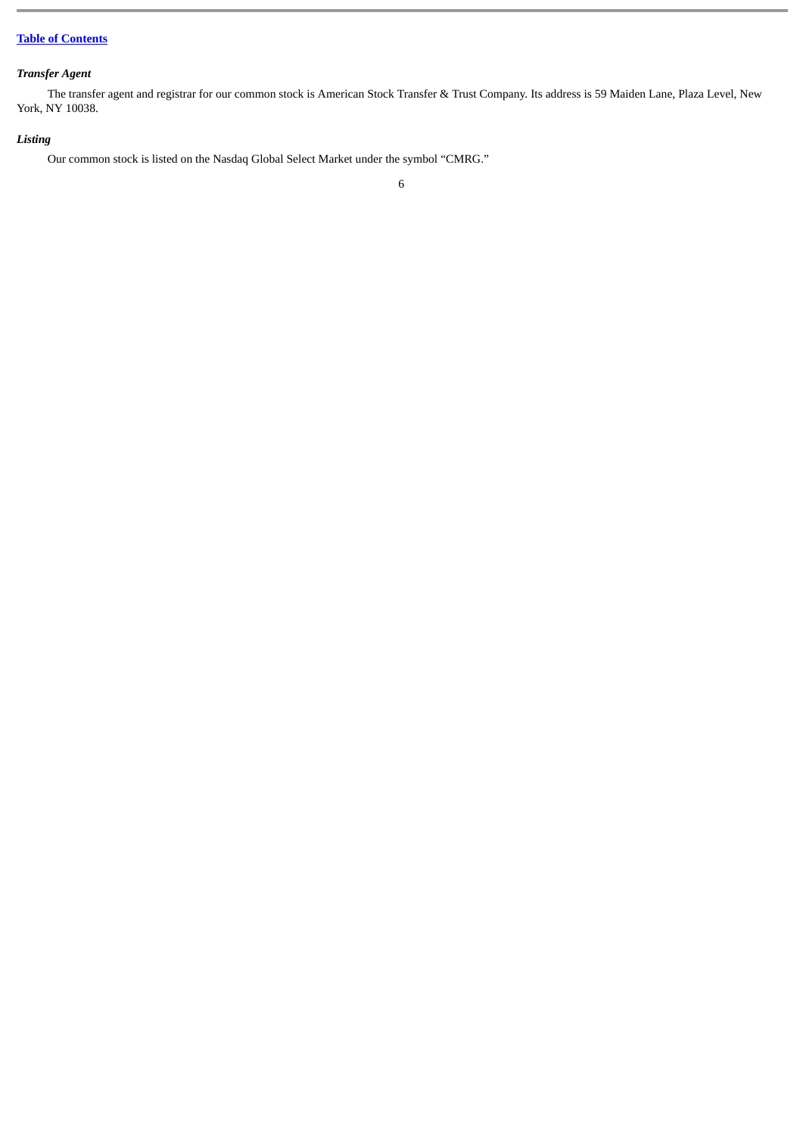# *Transfer Agent*

The transfer agent and registrar for our common stock is American Stock Transfer & Trust Company. Its address is 59 Maiden Lane, Plaza Level, New York, NY 10038.

# *Listing*

Our common stock is listed on the Nasdaq Global Select Market under the symbol "CMRG."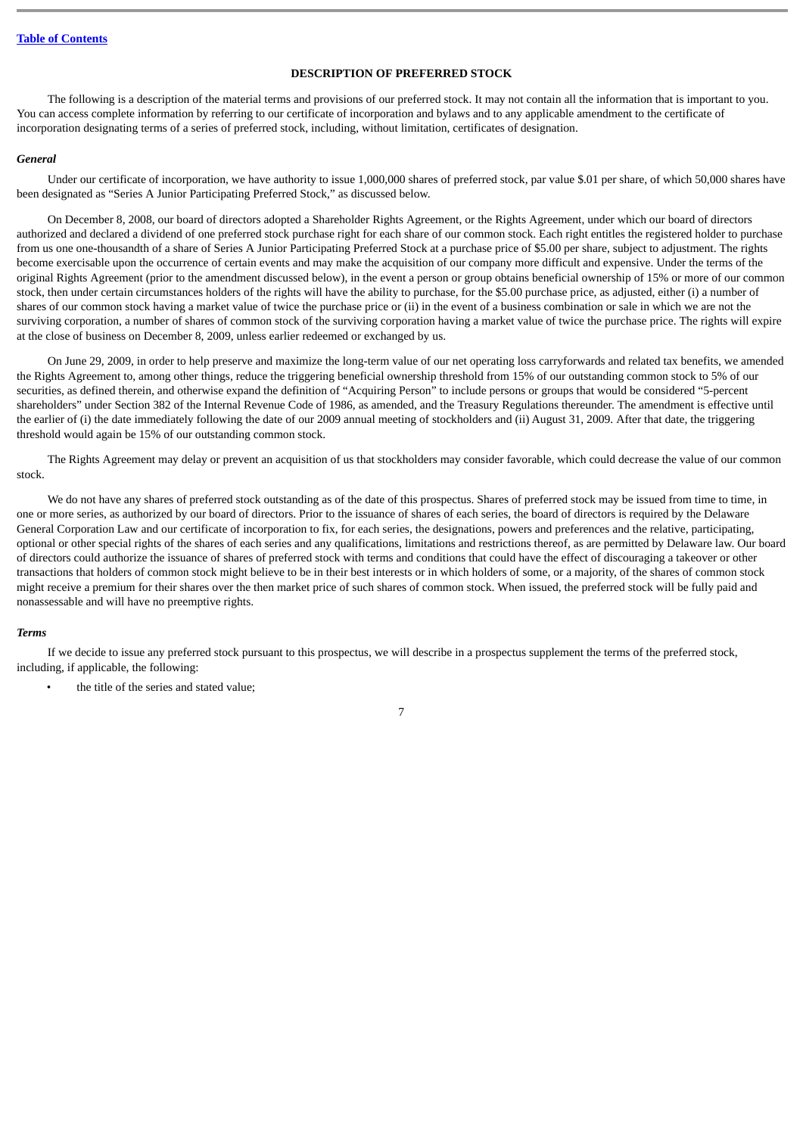# **DESCRIPTION OF PREFERRED STOCK**

<span id="page-10-0"></span>The following is a description of the material terms and provisions of our preferred stock. It may not contain all the information that is important to you. You can access complete information by referring to our certificate of incorporation and bylaws and to any applicable amendment to the certificate of incorporation designating terms of a series of preferred stock, including, without limitation, certificates of designation.

## *General*

Under our certificate of incorporation, we have authority to issue 1,000,000 shares of preferred stock, par value \$.01 per share, of which 50,000 shares have been designated as "Series A Junior Participating Preferred Stock," as discussed below.

On December 8, 2008, our board of directors adopted a Shareholder Rights Agreement, or the Rights Agreement, under which our board of directors authorized and declared a dividend of one preferred stock purchase right for each share of our common stock. Each right entitles the registered holder to purchase from us one one-thousandth of a share of Series A Junior Participating Preferred Stock at a purchase price of \$5.00 per share, subject to adjustment. The rights become exercisable upon the occurrence of certain events and may make the acquisition of our company more difficult and expensive. Under the terms of the original Rights Agreement (prior to the amendment discussed below), in the event a person or group obtains beneficial ownership of 15% or more of our common stock, then under certain circumstances holders of the rights will have the ability to purchase, for the \$5.00 purchase price, as adjusted, either (i) a number of shares of our common stock having a market value of twice the purchase price or (ii) in the event of a business combination or sale in which we are not the surviving corporation, a number of shares of common stock of the surviving corporation having a market value of twice the purchase price. The rights will expire at the close of business on December 8, 2009, unless earlier redeemed or exchanged by us.

On June 29, 2009, in order to help preserve and maximize the long-term value of our net operating loss carryforwards and related tax benefits, we amended the Rights Agreement to, among other things, reduce the triggering beneficial ownership threshold from 15% of our outstanding common stock to 5% of our securities, as defined therein, and otherwise expand the definition of "Acquiring Person" to include persons or groups that would be considered "5-percent shareholders" under Section 382 of the Internal Revenue Code of 1986, as amended, and the Treasury Regulations thereunder. The amendment is effective until the earlier of (i) the date immediately following the date of our 2009 annual meeting of stockholders and (ii) August 31, 2009. After that date, the triggering threshold would again be 15% of our outstanding common stock.

The Rights Agreement may delay or prevent an acquisition of us that stockholders may consider favorable, which could decrease the value of our common stock.

We do not have any shares of preferred stock outstanding as of the date of this prospectus. Shares of preferred stock may be issued from time to time, in one or more series, as authorized by our board of directors. Prior to the issuance of shares of each series, the board of directors is required by the Delaware General Corporation Law and our certificate of incorporation to fix, for each series, the designations, powers and preferences and the relative, participating, optional or other special rights of the shares of each series and any qualifications, limitations and restrictions thereof, as are permitted by Delaware law. Our board of directors could authorize the issuance of shares of preferred stock with terms and conditions that could have the effect of discouraging a takeover or other transactions that holders of common stock might believe to be in their best interests or in which holders of some, or a majority, of the shares of common stock might receive a premium for their shares over the then market price of such shares of common stock. When issued, the preferred stock will be fully paid and nonassessable and will have no preemptive rights.

#### *Terms*

If we decide to issue any preferred stock pursuant to this prospectus, we will describe in a prospectus supplement the terms of the preferred stock, including, if applicable, the following:

the title of the series and stated value;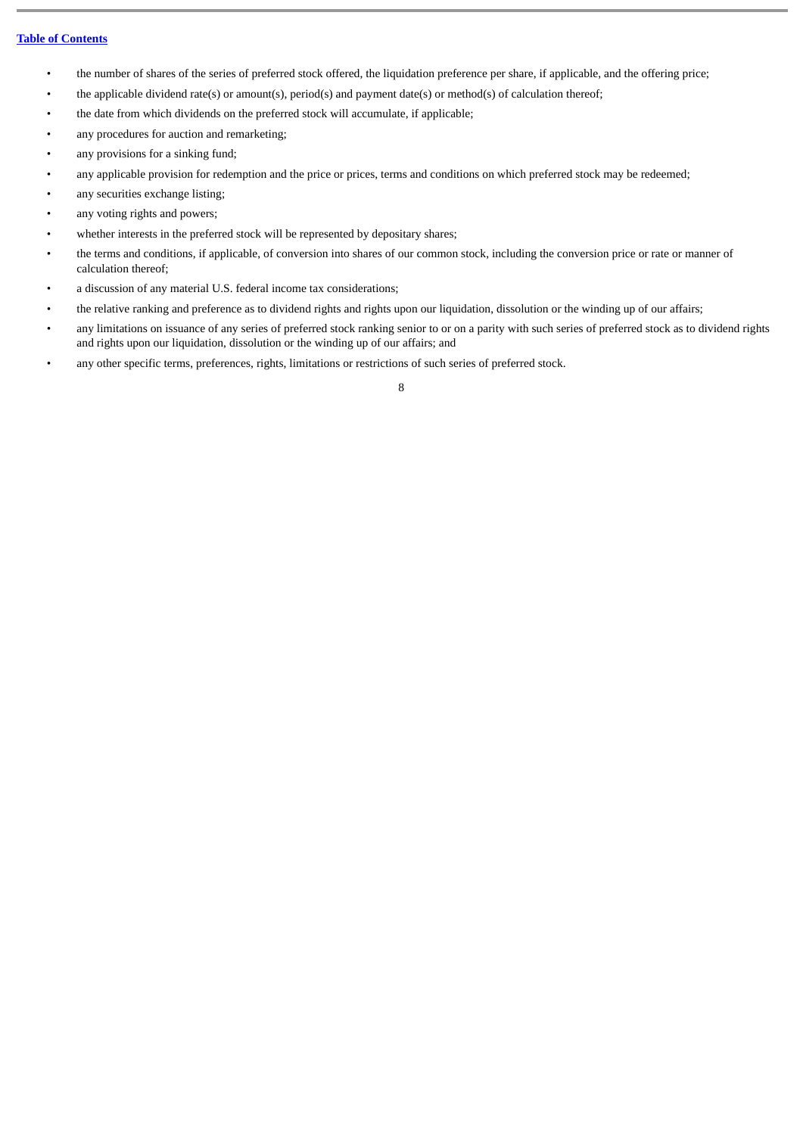- the number of shares of the series of preferred stock offered, the liquidation preference per share, if applicable, and the offering price;
- the applicable dividend rate(s) or amount(s), period(s) and payment date(s) or method(s) of calculation thereof;
- the date from which dividends on the preferred stock will accumulate, if applicable;
- any procedures for auction and remarketing;
- any provisions for a sinking fund;
- any applicable provision for redemption and the price or prices, terms and conditions on which preferred stock may be redeemed;
- any securities exchange listing;
- any voting rights and powers;
- whether interests in the preferred stock will be represented by depositary shares;
- the terms and conditions, if applicable, of conversion into shares of our common stock, including the conversion price or rate or manner of calculation thereof;
- a discussion of any material U.S. federal income tax considerations;
- the relative ranking and preference as to dividend rights and rights upon our liquidation, dissolution or the winding up of our affairs;
- any limitations on issuance of any series of preferred stock ranking senior to or on a parity with such series of preferred stock as to dividend rights and rights upon our liquidation, dissolution or the winding up of our affairs; and
- any other specific terms, preferences, rights, limitations or restrictions of such series of preferred stock.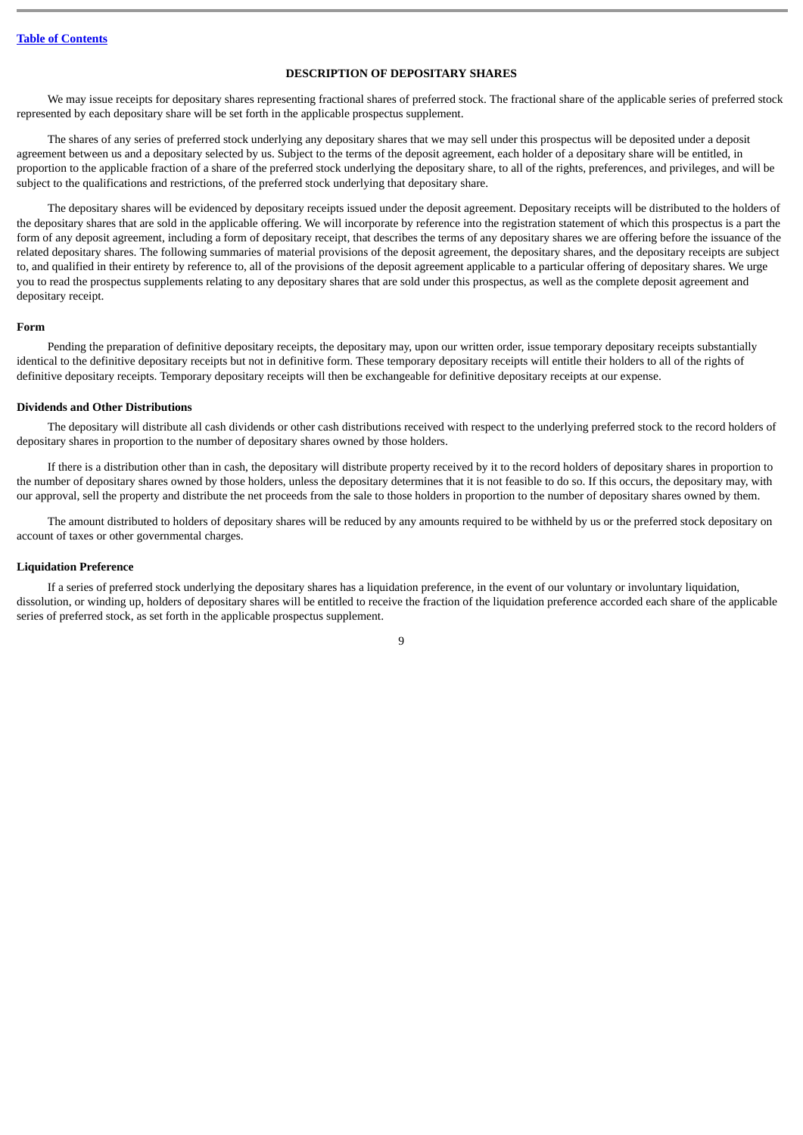# **DESCRIPTION OF DEPOSITARY SHARES**

<span id="page-12-0"></span>We may issue receipts for depositary shares representing fractional shares of preferred stock. The fractional share of the applicable series of preferred stock represented by each depositary share will be set forth in the applicable prospectus supplement.

The shares of any series of preferred stock underlying any depositary shares that we may sell under this prospectus will be deposited under a deposit agreement between us and a depositary selected by us. Subject to the terms of the deposit agreement, each holder of a depositary share will be entitled, in proportion to the applicable fraction of a share of the preferred stock underlying the depositary share, to all of the rights, preferences, and privileges, and will be subject to the qualifications and restrictions, of the preferred stock underlying that depositary share.

The depositary shares will be evidenced by depositary receipts issued under the deposit agreement. Depositary receipts will be distributed to the holders of the depositary shares that are sold in the applicable offering. We will incorporate by reference into the registration statement of which this prospectus is a part the form of any deposit agreement, including a form of depositary receipt, that describes the terms of any depositary shares we are offering before the issuance of the related depositary shares. The following summaries of material provisions of the deposit agreement, the depositary shares, and the depositary receipts are subject to, and qualified in their entirety by reference to, all of the provisions of the deposit agreement applicable to a particular offering of depositary shares. We urge you to read the prospectus supplements relating to any depositary shares that are sold under this prospectus, as well as the complete deposit agreement and depositary receipt.

#### **Form**

Pending the preparation of definitive depositary receipts, the depositary may, upon our written order, issue temporary depositary receipts substantially identical to the definitive depositary receipts but not in definitive form. These temporary depositary receipts will entitle their holders to all of the rights of definitive depositary receipts. Temporary depositary receipts will then be exchangeable for definitive depositary receipts at our expense.

# **Dividends and Other Distributions**

The depositary will distribute all cash dividends or other cash distributions received with respect to the underlying preferred stock to the record holders of depositary shares in proportion to the number of depositary shares owned by those holders.

If there is a distribution other than in cash, the depositary will distribute property received by it to the record holders of depositary shares in proportion to the number of depositary shares owned by those holders, unless the depositary determines that it is not feasible to do so. If this occurs, the depositary may, with our approval, sell the property and distribute the net proceeds from the sale to those holders in proportion to the number of depositary shares owned by them.

The amount distributed to holders of depositary shares will be reduced by any amounts required to be withheld by us or the preferred stock depositary on account of taxes or other governmental charges.

# **Liquidation Preference**

If a series of preferred stock underlying the depositary shares has a liquidation preference, in the event of our voluntary or involuntary liquidation, dissolution, or winding up, holders of depositary shares will be entitled to receive the fraction of the liquidation preference accorded each share of the applicable series of preferred stock, as set forth in the applicable prospectus supplement.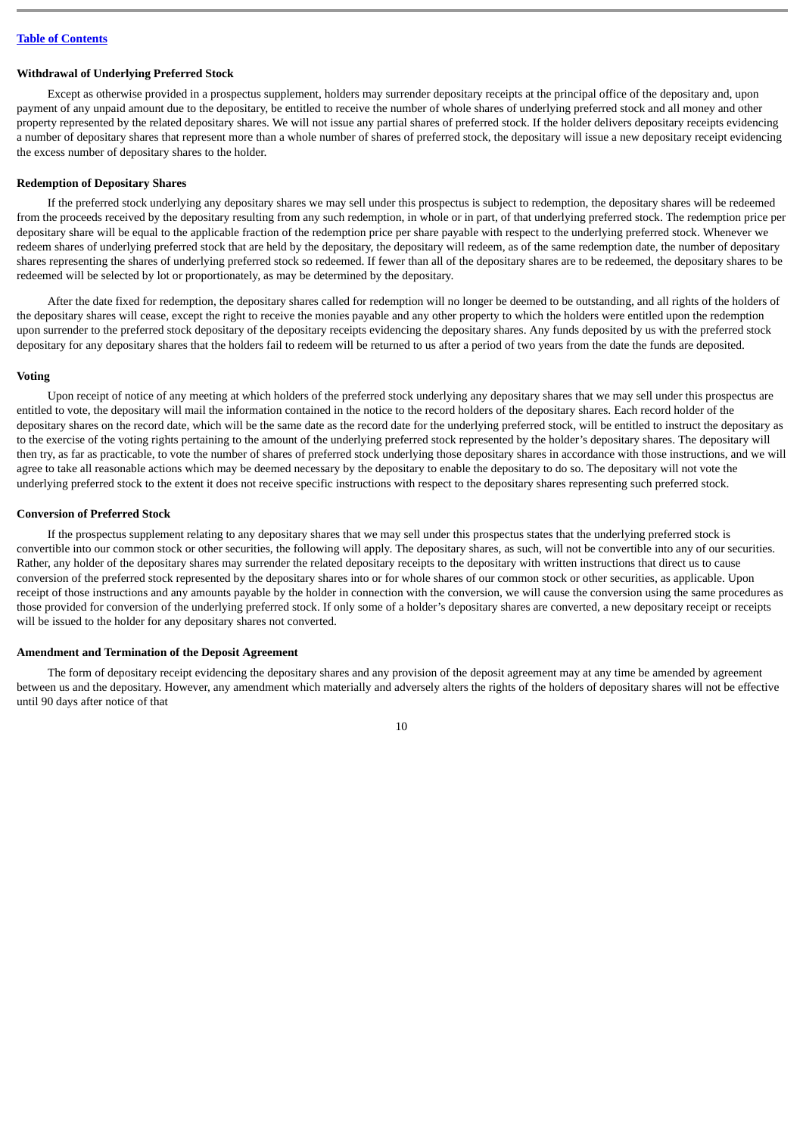#### **Withdrawal of Underlying Preferred Stock**

Except as otherwise provided in a prospectus supplement, holders may surrender depositary receipts at the principal office of the depositary and, upon payment of any unpaid amount due to the depositary, be entitled to receive the number of whole shares of underlying preferred stock and all money and other property represented by the related depositary shares. We will not issue any partial shares of preferred stock. If the holder delivers depositary receipts evidencing a number of depositary shares that represent more than a whole number of shares of preferred stock, the depositary will issue a new depositary receipt evidencing the excess number of depositary shares to the holder.

## **Redemption of Depositary Shares**

If the preferred stock underlying any depositary shares we may sell under this prospectus is subject to redemption, the depositary shares will be redeemed from the proceeds received by the depositary resulting from any such redemption, in whole or in part, of that underlying preferred stock. The redemption price per depositary share will be equal to the applicable fraction of the redemption price per share payable with respect to the underlying preferred stock. Whenever we redeem shares of underlying preferred stock that are held by the depositary, the depositary will redeem, as of the same redemption date, the number of depositary shares representing the shares of underlying preferred stock so redeemed. If fewer than all of the depositary shares are to be redeemed, the depositary shares to be redeemed will be selected by lot or proportionately, as may be determined by the depositary.

After the date fixed for redemption, the depositary shares called for redemption will no longer be deemed to be outstanding, and all rights of the holders of the depositary shares will cease, except the right to receive the monies payable and any other property to which the holders were entitled upon the redemption upon surrender to the preferred stock depositary of the depositary receipts evidencing the depositary shares. Any funds deposited by us with the preferred stock depositary for any depositary shares that the holders fail to redeem will be returned to us after a period of two years from the date the funds are deposited.

# **Voting**

Upon receipt of notice of any meeting at which holders of the preferred stock underlying any depositary shares that we may sell under this prospectus are entitled to vote, the depositary will mail the information contained in the notice to the record holders of the depositary shares. Each record holder of the depositary shares on the record date, which will be the same date as the record date for the underlying preferred stock, will be entitled to instruct the depositary as to the exercise of the voting rights pertaining to the amount of the underlying preferred stock represented by the holder's depositary shares. The depositary will then try, as far as practicable, to vote the number of shares of preferred stock underlying those depositary shares in accordance with those instructions, and we will agree to take all reasonable actions which may be deemed necessary by the depositary to enable the depositary to do so. The depositary will not vote the underlying preferred stock to the extent it does not receive specific instructions with respect to the depositary shares representing such preferred stock.

#### **Conversion of Preferred Stock**

If the prospectus supplement relating to any depositary shares that we may sell under this prospectus states that the underlying preferred stock is convertible into our common stock or other securities, the following will apply. The depositary shares, as such, will not be convertible into any of our securities. Rather, any holder of the depositary shares may surrender the related depositary receipts to the depositary with written instructions that direct us to cause conversion of the preferred stock represented by the depositary shares into or for whole shares of our common stock or other securities, as applicable. Upon receipt of those instructions and any amounts payable by the holder in connection with the conversion, we will cause the conversion using the same procedures as those provided for conversion of the underlying preferred stock. If only some of a holder's depositary shares are converted, a new depositary receipt or receipts will be issued to the holder for any depositary shares not converted.

# **Amendment and Termination of the Deposit Agreement**

The form of depositary receipt evidencing the depositary shares and any provision of the deposit agreement may at any time be amended by agreement between us and the depositary. However, any amendment which materially and adversely alters the rights of the holders of depositary shares will not be effective until 90 days after notice of that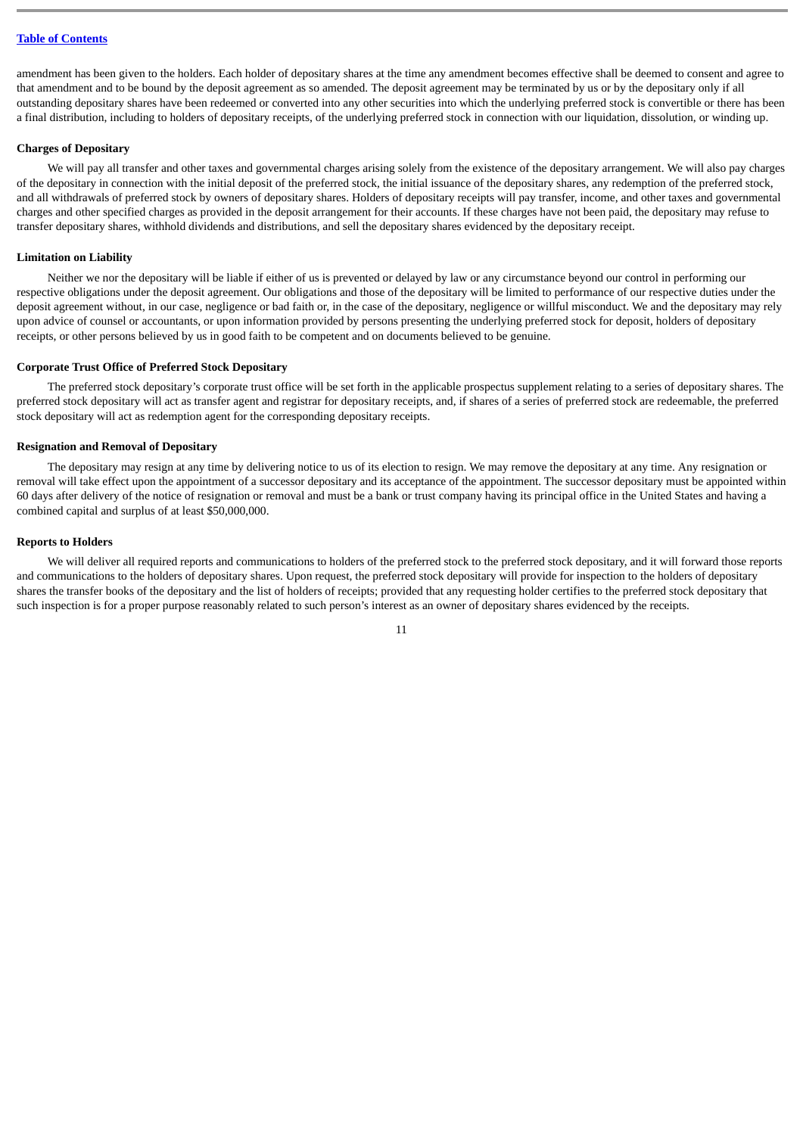amendment has been given to the holders. Each holder of depositary shares at the time any amendment becomes effective shall be deemed to consent and agree to that amendment and to be bound by the deposit agreement as so amended. The deposit agreement may be terminated by us or by the depositary only if all outstanding depositary shares have been redeemed or converted into any other securities into which the underlying preferred stock is convertible or there has been a final distribution, including to holders of depositary receipts, of the underlying preferred stock in connection with our liquidation, dissolution, or winding up.

# **Charges of Depositary**

We will pay all transfer and other taxes and governmental charges arising solely from the existence of the depositary arrangement. We will also pay charges of the depositary in connection with the initial deposit of the preferred stock, the initial issuance of the depositary shares, any redemption of the preferred stock, and all withdrawals of preferred stock by owners of depositary shares. Holders of depositary receipts will pay transfer, income, and other taxes and governmental charges and other specified charges as provided in the deposit arrangement for their accounts. If these charges have not been paid, the depositary may refuse to transfer depositary shares, withhold dividends and distributions, and sell the depositary shares evidenced by the depositary receipt.

## **Limitation on Liability**

Neither we nor the depositary will be liable if either of us is prevented or delayed by law or any circumstance beyond our control in performing our respective obligations under the deposit agreement. Our obligations and those of the depositary will be limited to performance of our respective duties under the deposit agreement without, in our case, negligence or bad faith or, in the case of the depositary, negligence or willful misconduct. We and the depositary may rely upon advice of counsel or accountants, or upon information provided by persons presenting the underlying preferred stock for deposit, holders of depositary receipts, or other persons believed by us in good faith to be competent and on documents believed to be genuine.

#### **Corporate Trust Office of Preferred Stock Depositary**

The preferred stock depositary's corporate trust office will be set forth in the applicable prospectus supplement relating to a series of depositary shares. The preferred stock depositary will act as transfer agent and registrar for depositary receipts, and, if shares of a series of preferred stock are redeemable, the preferred stock depositary will act as redemption agent for the corresponding depositary receipts.

## **Resignation and Removal of Depositary**

The depositary may resign at any time by delivering notice to us of its election to resign. We may remove the depositary at any time. Any resignation or removal will take effect upon the appointment of a successor depositary and its acceptance of the appointment. The successor depositary must be appointed within 60 days after delivery of the notice of resignation or removal and must be a bank or trust company having its principal office in the United States and having a combined capital and surplus of at least \$50,000,000.

#### **Reports to Holders**

We will deliver all required reports and communications to holders of the preferred stock to the preferred stock depositary, and it will forward those reports and communications to the holders of depositary shares. Upon request, the preferred stock depositary will provide for inspection to the holders of depositary shares the transfer books of the depositary and the list of holders of receipts; provided that any requesting holder certifies to the preferred stock depositary that such inspection is for a proper purpose reasonably related to such person's interest as an owner of depositary shares evidenced by the receipts.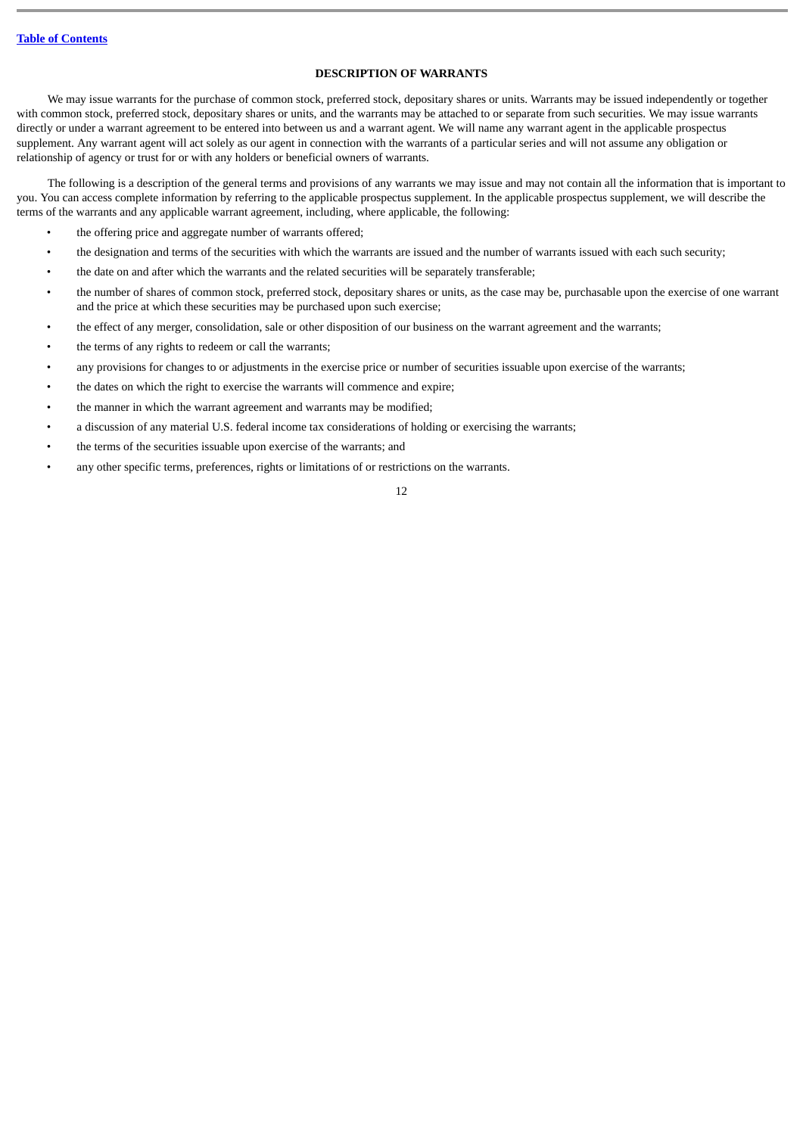# **DESCRIPTION OF WARRANTS**

<span id="page-15-0"></span>We may issue warrants for the purchase of common stock, preferred stock, depositary shares or units. Warrants may be issued independently or together with common stock, preferred stock, depositary shares or units, and the warrants may be attached to or separate from such securities. We may issue warrants directly or under a warrant agreement to be entered into between us and a warrant agent. We will name any warrant agent in the applicable prospectus supplement. Any warrant agent will act solely as our agent in connection with the warrants of a particular series and will not assume any obligation or relationship of agency or trust for or with any holders or beneficial owners of warrants.

The following is a description of the general terms and provisions of any warrants we may issue and may not contain all the information that is important to you. You can access complete information by referring to the applicable prospectus supplement. In the applicable prospectus supplement, we will describe the terms of the warrants and any applicable warrant agreement, including, where applicable, the following:

- the offering price and aggregate number of warrants offered;
- the designation and terms of the securities with which the warrants are issued and the number of warrants issued with each such security;
- the date on and after which the warrants and the related securities will be separately transferable;
- the number of shares of common stock, preferred stock, depositary shares or units, as the case may be, purchasable upon the exercise of one warrant and the price at which these securities may be purchased upon such exercise;
- the effect of any merger, consolidation, sale or other disposition of our business on the warrant agreement and the warrants;
- the terms of any rights to redeem or call the warrants;
- any provisions for changes to or adjustments in the exercise price or number of securities issuable upon exercise of the warrants;
- the dates on which the right to exercise the warrants will commence and expire;
- the manner in which the warrant agreement and warrants may be modified;
- a discussion of any material U.S. federal income tax considerations of holding or exercising the warrants;
- the terms of the securities issuable upon exercise of the warrants; and
- any other specific terms, preferences, rights or limitations of or restrictions on the warrants.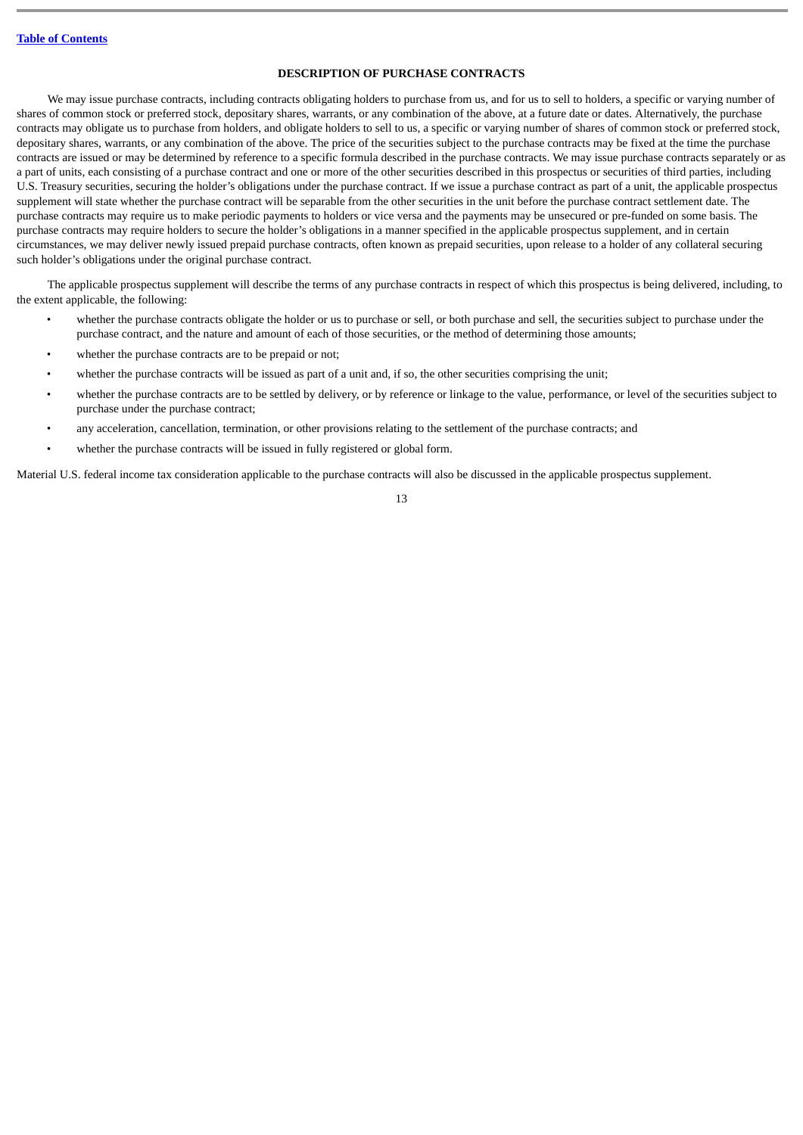# **DESCRIPTION OF PURCHASE CONTRACTS**

<span id="page-16-0"></span>We may issue purchase contracts, including contracts obligating holders to purchase from us, and for us to sell to holders, a specific or varying number of shares of common stock or preferred stock, depositary shares, warrants, or any combination of the above, at a future date or dates. Alternatively, the purchase contracts may obligate us to purchase from holders, and obligate holders to sell to us, a specific or varying number of shares of common stock or preferred stock, depositary shares, warrants, or any combination of the above. The price of the securities subject to the purchase contracts may be fixed at the time the purchase contracts are issued or may be determined by reference to a specific formula described in the purchase contracts. We may issue purchase contracts separately or as a part of units, each consisting of a purchase contract and one or more of the other securities described in this prospectus or securities of third parties, including U.S. Treasury securities, securing the holder's obligations under the purchase contract. If we issue a purchase contract as part of a unit, the applicable prospectus supplement will state whether the purchase contract will be separable from the other securities in the unit before the purchase contract settlement date. The purchase contracts may require us to make periodic payments to holders or vice versa and the payments may be unsecured or pre-funded on some basis. The purchase contracts may require holders to secure the holder's obligations in a manner specified in the applicable prospectus supplement, and in certain circumstances, we may deliver newly issued prepaid purchase contracts, often known as prepaid securities, upon release to a holder of any collateral securing such holder's obligations under the original purchase contract.

The applicable prospectus supplement will describe the terms of any purchase contracts in respect of which this prospectus is being delivered, including, to the extent applicable, the following:

- whether the purchase contracts obligate the holder or us to purchase or sell, or both purchase and sell, the securities subject to purchase under the purchase contract, and the nature and amount of each of those securities, or the method of determining those amounts;
- whether the purchase contracts are to be prepaid or not;
- whether the purchase contracts will be issued as part of a unit and, if so, the other securities comprising the unit;
- whether the purchase contracts are to be settled by delivery, or by reference or linkage to the value, performance, or level of the securities subject to purchase under the purchase contract;
- any acceleration, cancellation, termination, or other provisions relating to the settlement of the purchase contracts; and
- whether the purchase contracts will be issued in fully registered or global form.

Material U.S. federal income tax consideration applicable to the purchase contracts will also be discussed in the applicable prospectus supplement.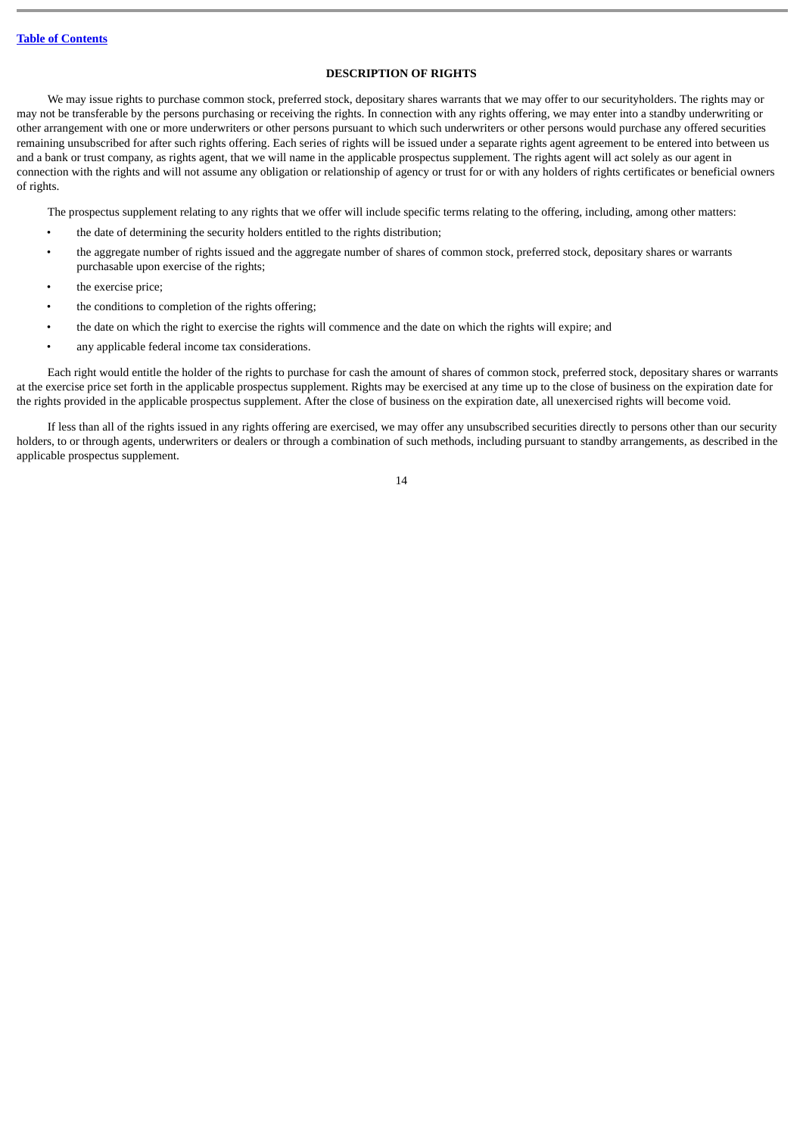# **DESCRIPTION OF RIGHTS**

<span id="page-17-0"></span>We may issue rights to purchase common stock, preferred stock, depositary shares warrants that we may offer to our securityholders. The rights may or may not be transferable by the persons purchasing or receiving the rights. In connection with any rights offering, we may enter into a standby underwriting or other arrangement with one or more underwriters or other persons pursuant to which such underwriters or other persons would purchase any offered securities remaining unsubscribed for after such rights offering. Each series of rights will be issued under a separate rights agent agreement to be entered into between us and a bank or trust company, as rights agent, that we will name in the applicable prospectus supplement. The rights agent will act solely as our agent in connection with the rights and will not assume any obligation or relationship of agency or trust for or with any holders of rights certificates or beneficial owners of rights.

The prospectus supplement relating to any rights that we offer will include specific terms relating to the offering, including, among other matters:

- the date of determining the security holders entitled to the rights distribution;
- the aggregate number of rights issued and the aggregate number of shares of common stock, preferred stock, depositary shares or warrants purchasable upon exercise of the rights;
- the exercise price;
- the conditions to completion of the rights offering:
- the date on which the right to exercise the rights will commence and the date on which the rights will expire; and
- any applicable federal income tax considerations.

Each right would entitle the holder of the rights to purchase for cash the amount of shares of common stock, preferred stock, depositary shares or warrants at the exercise price set forth in the applicable prospectus supplement. Rights may be exercised at any time up to the close of business on the expiration date for the rights provided in the applicable prospectus supplement. After the close of business on the expiration date, all unexercised rights will become void.

If less than all of the rights issued in any rights offering are exercised, we may offer any unsubscribed securities directly to persons other than our security holders, to or through agents, underwriters or dealers or through a combination of such methods, including pursuant to standby arrangements, as described in the applicable prospectus supplement.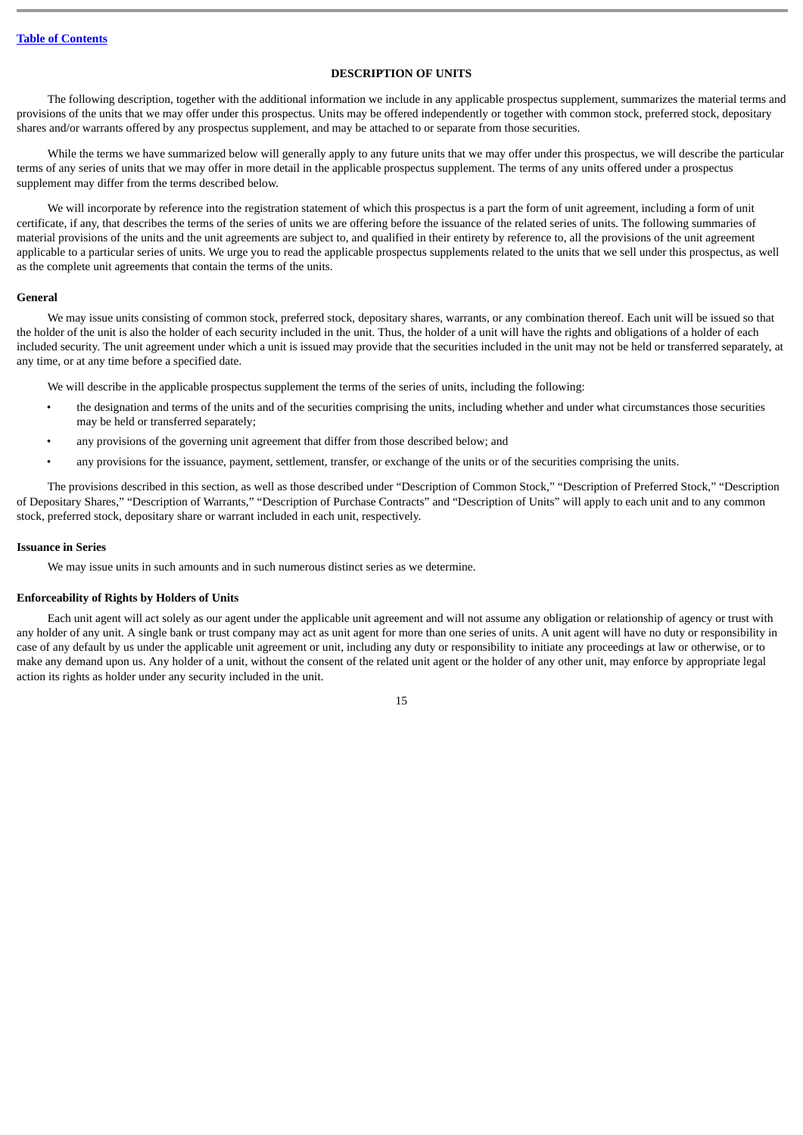# **DESCRIPTION OF UNITS**

<span id="page-18-0"></span>The following description, together with the additional information we include in any applicable prospectus supplement, summarizes the material terms and provisions of the units that we may offer under this prospectus. Units may be offered independently or together with common stock, preferred stock, depositary shares and/or warrants offered by any prospectus supplement, and may be attached to or separate from those securities.

While the terms we have summarized below will generally apply to any future units that we may offer under this prospectus, we will describe the particular terms of any series of units that we may offer in more detail in the applicable prospectus supplement. The terms of any units offered under a prospectus supplement may differ from the terms described below.

We will incorporate by reference into the registration statement of which this prospectus is a part the form of unit agreement, including a form of unit certificate, if any, that describes the terms of the series of units we are offering before the issuance of the related series of units. The following summaries of material provisions of the units and the unit agreements are subject to, and qualified in their entirety by reference to, all the provisions of the unit agreement applicable to a particular series of units. We urge you to read the applicable prospectus supplements related to the units that we sell under this prospectus, as well as the complete unit agreements that contain the terms of the units.

# **General**

We may issue units consisting of common stock, preferred stock, depositary shares, warrants, or any combination thereof. Each unit will be issued so that the holder of the unit is also the holder of each security included in the unit. Thus, the holder of a unit will have the rights and obligations of a holder of each included security. The unit agreement under which a unit is issued may provide that the securities included in the unit may not be held or transferred separately, at any time, or at any time before a specified date.

We will describe in the applicable prospectus supplement the terms of the series of units, including the following:

- the designation and terms of the units and of the securities comprising the units, including whether and under what circumstances those securities may be held or transferred separately;
- any provisions of the governing unit agreement that differ from those described below; and
- any provisions for the issuance, payment, settlement, transfer, or exchange of the units or of the securities comprising the units.

The provisions described in this section, as well as those described under "Description of Common Stock," "Description of Preferred Stock," "Description of Depositary Shares," "Description of Warrants," "Description of Purchase Contracts" and "Description of Units" will apply to each unit and to any common stock, preferred stock, depositary share or warrant included in each unit, respectively.

#### **Issuance in Series**

We may issue units in such amounts and in such numerous distinct series as we determine.

# **Enforceability of Rights by Holders of Units**

Each unit agent will act solely as our agent under the applicable unit agreement and will not assume any obligation or relationship of agency or trust with any holder of any unit. A single bank or trust company may act as unit agent for more than one series of units. A unit agent will have no duty or responsibility in case of any default by us under the applicable unit agreement or unit, including any duty or responsibility to initiate any proceedings at law or otherwise, or to make any demand upon us. Any holder of a unit, without the consent of the related unit agent or the holder of any other unit, may enforce by appropriate legal action its rights as holder under any security included in the unit.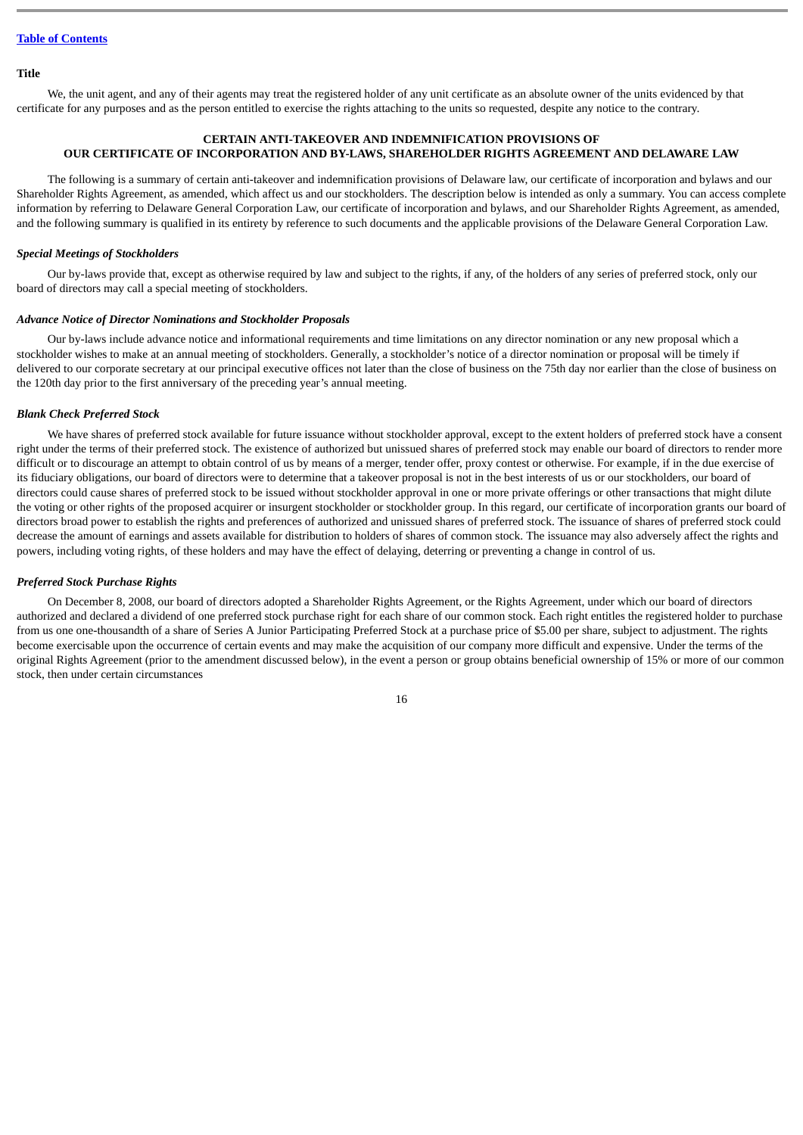# **Title**

We, the unit agent, and any of their agents may treat the registered holder of any unit certificate as an absolute owner of the units evidenced by that certificate for any purposes and as the person entitled to exercise the rights attaching to the units so requested, despite any notice to the contrary.

# **CERTAIN ANTI-TAKEOVER AND INDEMNIFICATION PROVISIONS OF OUR CERTIFICATE OF INCORPORATION AND BY-LAWS, SHAREHOLDER RIGHTS AGREEMENT AND DELAWARE LAW**

<span id="page-19-0"></span>The following is a summary of certain anti-takeover and indemnification provisions of Delaware law, our certificate of incorporation and bylaws and our Shareholder Rights Agreement, as amended, which affect us and our stockholders. The description below is intended as only a summary. You can access complete information by referring to Delaware General Corporation Law, our certificate of incorporation and bylaws, and our Shareholder Rights Agreement, as amended, and the following summary is qualified in its entirety by reference to such documents and the applicable provisions of the Delaware General Corporation Law.

#### *Special Meetings of Stockholders*

Our by-laws provide that, except as otherwise required by law and subject to the rights, if any, of the holders of any series of preferred stock, only our board of directors may call a special meeting of stockholders.

#### *Advance Notice of Director Nominations and Stockholder Proposals*

Our by-laws include advance notice and informational requirements and time limitations on any director nomination or any new proposal which a stockholder wishes to make at an annual meeting of stockholders. Generally, a stockholder's notice of a director nomination or proposal will be timely if delivered to our corporate secretary at our principal executive offices not later than the close of business on the 75th day nor earlier than the close of business on the 120th day prior to the first anniversary of the preceding year's annual meeting.

#### *Blank Check Preferred Stock*

We have shares of preferred stock available for future issuance without stockholder approval, except to the extent holders of preferred stock have a consent right under the terms of their preferred stock. The existence of authorized but unissued shares of preferred stock may enable our board of directors to render more difficult or to discourage an attempt to obtain control of us by means of a merger, tender offer, proxy contest or otherwise. For example, if in the due exercise of its fiduciary obligations, our board of directors were to determine that a takeover proposal is not in the best interests of us or our stockholders, our board of directors could cause shares of preferred stock to be issued without stockholder approval in one or more private offerings or other transactions that might dilute the voting or other rights of the proposed acquirer or insurgent stockholder or stockholder group. In this regard, our certificate of incorporation grants our board of directors broad power to establish the rights and preferences of authorized and unissued shares of preferred stock. The issuance of shares of preferred stock could decrease the amount of earnings and assets available for distribution to holders of shares of common stock. The issuance may also adversely affect the rights and powers, including voting rights, of these holders and may have the effect of delaying, deterring or preventing a change in control of us.

#### *Preferred Stock Purchase Rights*

On December 8, 2008, our board of directors adopted a Shareholder Rights Agreement, or the Rights Agreement, under which our board of directors authorized and declared a dividend of one preferred stock purchase right for each share of our common stock. Each right entitles the registered holder to purchase from us one one-thousandth of a share of Series A Junior Participating Preferred Stock at a purchase price of \$5.00 per share, subject to adjustment. The rights become exercisable upon the occurrence of certain events and may make the acquisition of our company more difficult and expensive. Under the terms of the original Rights Agreement (prior to the amendment discussed below), in the event a person or group obtains beneficial ownership of 15% or more of our common stock, then under certain circumstances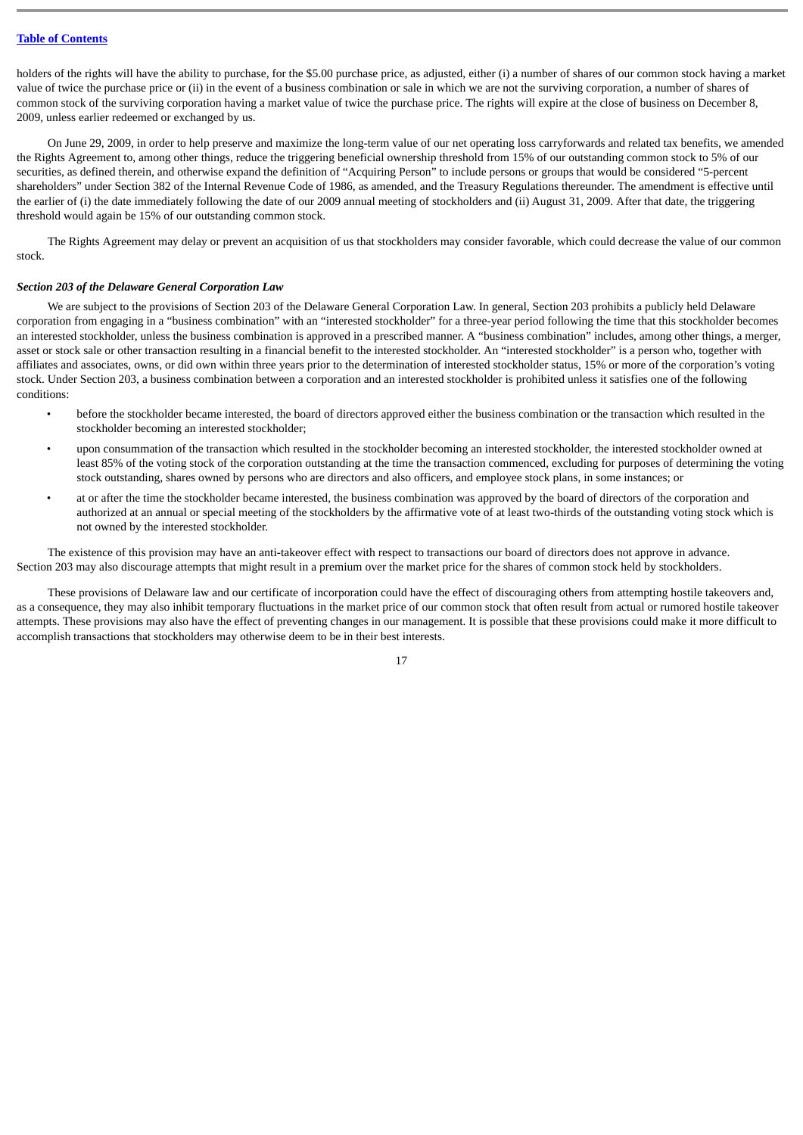holders of the rights will have the ability to purchase, for the \$5.00 purchase price, as adjusted, either (i) a number of shares of our common stock having a market value of twice the purchase price or (ii) in the event of a business combination or sale in which we are not the surviving corporation, a number of shares of common stock of the surviving corporation having a market value of twice the purchase price. The rights will expire at the close of business on December 8, 2009, unless earlier redeemed or exchanged by us.

On June 29, 2009, in order to help preserve and maximize the long-term value of our net operating loss carryforwards and related tax benefits, we amended the Rights Agreement to, among other things, reduce the triggering beneficial ownership threshold from 15% of our outstanding common stock to 5% of our securities, as defined therein, and otherwise expand the definition of "Acquiring Person" to include persons or groups that would be considered "5-percent shareholders" under Section 382 of the Internal Revenue Code of 1986, as amended, and the Treasury Regulations thereunder. The amendment is effective until the earlier of (i) the date immediately following the date of our 2009 annual meeting of stockholders and (ii) August 31, 2009. After that date, the triggering threshold would again be 15% of our outstanding common stock.

The Rights Agreement may delay or prevent an acquisition of us that stockholders may consider favorable, which could decrease the value of our common stock.

# *Section 203 of the Delaware General Corporation Law*

We are subject to the provisions of Section 203 of the Delaware General Corporation Law. In general, Section 203 prohibits a publicly held Delaware corporation from engaging in a "business combination" with an "interested stockholder" for a three-year period following the time that this stockholder becomes an interested stockholder, unless the business combination is approved in a prescribed manner. A "business combination" includes, among other things, a merger, asset or stock sale or other transaction resulting in a financial benefit to the interested stockholder. An "interested stockholder" is a person who, together with affiliates and associates, owns, or did own within three years prior to the determination of interested stockholder status, 15% or more of the corporation's voting stock. Under Section 203, a business combination between a corporation and an interested stockholder is prohibited unless it satisfies one of the following conditions:

- before the stockholder became interested, the board of directors approved either the business combination or the transaction which resulted in the stockholder becoming an interested stockholder;
- upon consummation of the transaction which resulted in the stockholder becoming an interested stockholder, the interested stockholder owned at least 85% of the voting stock of the corporation outstanding at the time the transaction commenced, excluding for purposes of determining the voting stock outstanding, shares owned by persons who are directors and also officers, and employee stock plans, in some instances; or
- at or after the time the stockholder became interested, the business combination was approved by the board of directors of the corporation and authorized at an annual or special meeting of the stockholders by the affirmative vote of at least two-thirds of the outstanding voting stock which is not owned by the interested stockholder.

The existence of this provision may have an anti-takeover effect with respect to transactions our board of directors does not approve in advance. Section 203 may also discourage attempts that might result in a premium over the market price for the shares of common stock held by stockholders.

These provisions of Delaware law and our certificate of incorporation could have the effect of discouraging others from attempting hostile takeovers and, as a consequence, they may also inhibit temporary fluctuations in the market price of our common stock that often result from actual or rumored hostile takeover attempts. These provisions may also have the effect of preventing changes in our management. It is possible that these provisions could make it more difficult to accomplish transactions that stockholders may otherwise deem to be in their best interests.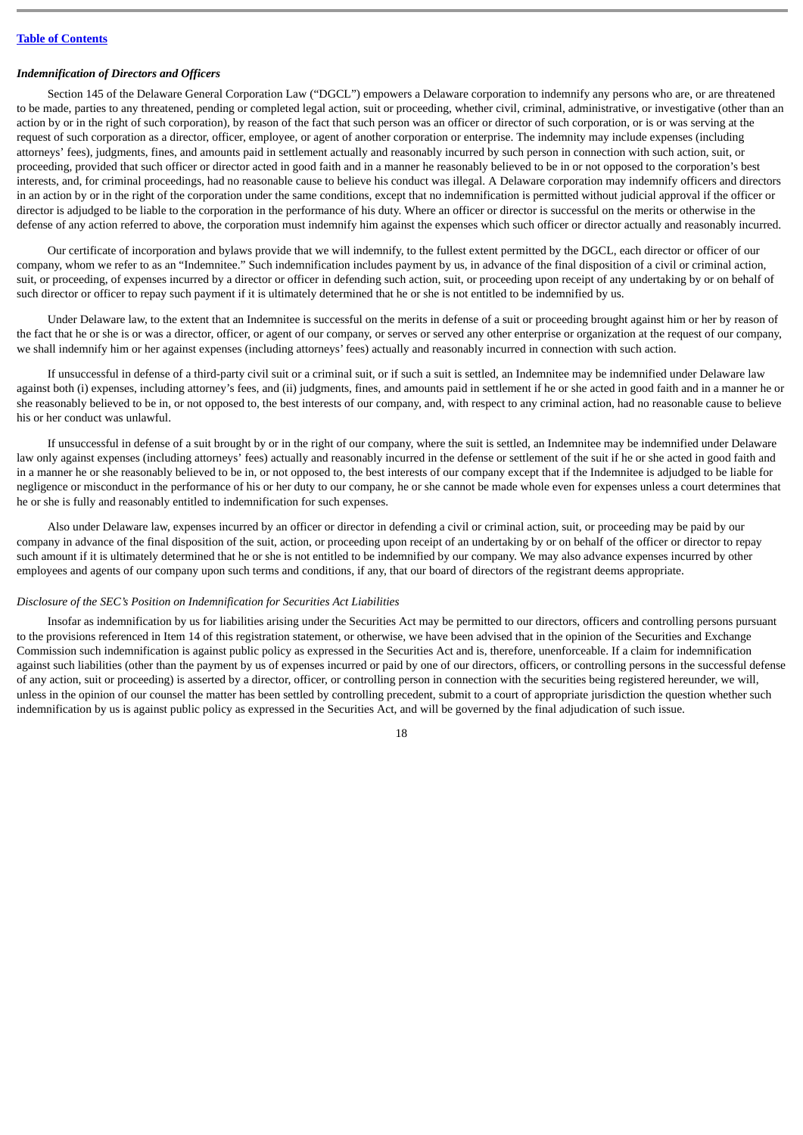#### *Indemnification of Directors and Officers*

Section 145 of the Delaware General Corporation Law ("DGCL") empowers a Delaware corporation to indemnify any persons who are, or are threatened to be made, parties to any threatened, pending or completed legal action, suit or proceeding, whether civil, criminal, administrative, or investigative (other than an action by or in the right of such corporation), by reason of the fact that such person was an officer or director of such corporation, or is or was serving at the request of such corporation as a director, officer, employee, or agent of another corporation or enterprise. The indemnity may include expenses (including attorneys' fees), judgments, fines, and amounts paid in settlement actually and reasonably incurred by such person in connection with such action, suit, or proceeding, provided that such officer or director acted in good faith and in a manner he reasonably believed to be in or not opposed to the corporation's best interests, and, for criminal proceedings, had no reasonable cause to believe his conduct was illegal. A Delaware corporation may indemnify officers and directors in an action by or in the right of the corporation under the same conditions, except that no indemnification is permitted without judicial approval if the officer or director is adjudged to be liable to the corporation in the performance of his duty. Where an officer or director is successful on the merits or otherwise in the defense of any action referred to above, the corporation must indemnify him against the expenses which such officer or director actually and reasonably incurred.

Our certificate of incorporation and bylaws provide that we will indemnify, to the fullest extent permitted by the DGCL, each director or officer of our company, whom we refer to as an "Indemnitee." Such indemnification includes payment by us, in advance of the final disposition of a civil or criminal action, suit, or proceeding, of expenses incurred by a director or officer in defending such action, suit, or proceeding upon receipt of any undertaking by or on behalf of such director or officer to repay such payment if it is ultimately determined that he or she is not entitled to be indemnified by us.

Under Delaware law, to the extent that an Indemnitee is successful on the merits in defense of a suit or proceeding brought against him or her by reason of the fact that he or she is or was a director, officer, or agent of our company, or serves or served any other enterprise or organization at the request of our company, we shall indemnify him or her against expenses (including attorneys' fees) actually and reasonably incurred in connection with such action.

If unsuccessful in defense of a third-party civil suit or a criminal suit, or if such a suit is settled, an Indemnitee may be indemnified under Delaware law against both (i) expenses, including attorney's fees, and (ii) judgments, fines, and amounts paid in settlement if he or she acted in good faith and in a manner he or she reasonably believed to be in, or not opposed to, the best interests of our company, and, with respect to any criminal action, had no reasonable cause to believe his or her conduct was unlawful.

If unsuccessful in defense of a suit brought by or in the right of our company, where the suit is settled, an Indemnitee may be indemnified under Delaware law only against expenses (including attorneys' fees) actually and reasonably incurred in the defense or settlement of the suit if he or she acted in good faith and in a manner he or she reasonably believed to be in, or not opposed to, the best interests of our company except that if the Indemnitee is adjudged to be liable for negligence or misconduct in the performance of his or her duty to our company, he or she cannot be made whole even for expenses unless a court determines that he or she is fully and reasonably entitled to indemnification for such expenses.

Also under Delaware law, expenses incurred by an officer or director in defending a civil or criminal action, suit, or proceeding may be paid by our company in advance of the final disposition of the suit, action, or proceeding upon receipt of an undertaking by or on behalf of the officer or director to repay such amount if it is ultimately determined that he or she is not entitled to be indemnified by our company. We may also advance expenses incurred by other employees and agents of our company upon such terms and conditions, if any, that our board of directors of the registrant deems appropriate.

# *Disclosure of the SEC's Position on Indemnification for Securities Act Liabilities*

Insofar as indemnification by us for liabilities arising under the Securities Act may be permitted to our directors, officers and controlling persons pursuant to the provisions referenced in Item 14 of this registration statement, or otherwise, we have been advised that in the opinion of the Securities and Exchange Commission such indemnification is against public policy as expressed in the Securities Act and is, therefore, unenforceable. If a claim for indemnification against such liabilities (other than the payment by us of expenses incurred or paid by one of our directors, officers, or controlling persons in the successful defense of any action, suit or proceeding) is asserted by a director, officer, or controlling person in connection with the securities being registered hereunder, we will, unless in the opinion of our counsel the matter has been settled by controlling precedent, submit to a court of appropriate jurisdiction the question whether such indemnification by us is against public policy as expressed in the Securities Act, and will be governed by the final adjudication of such issue.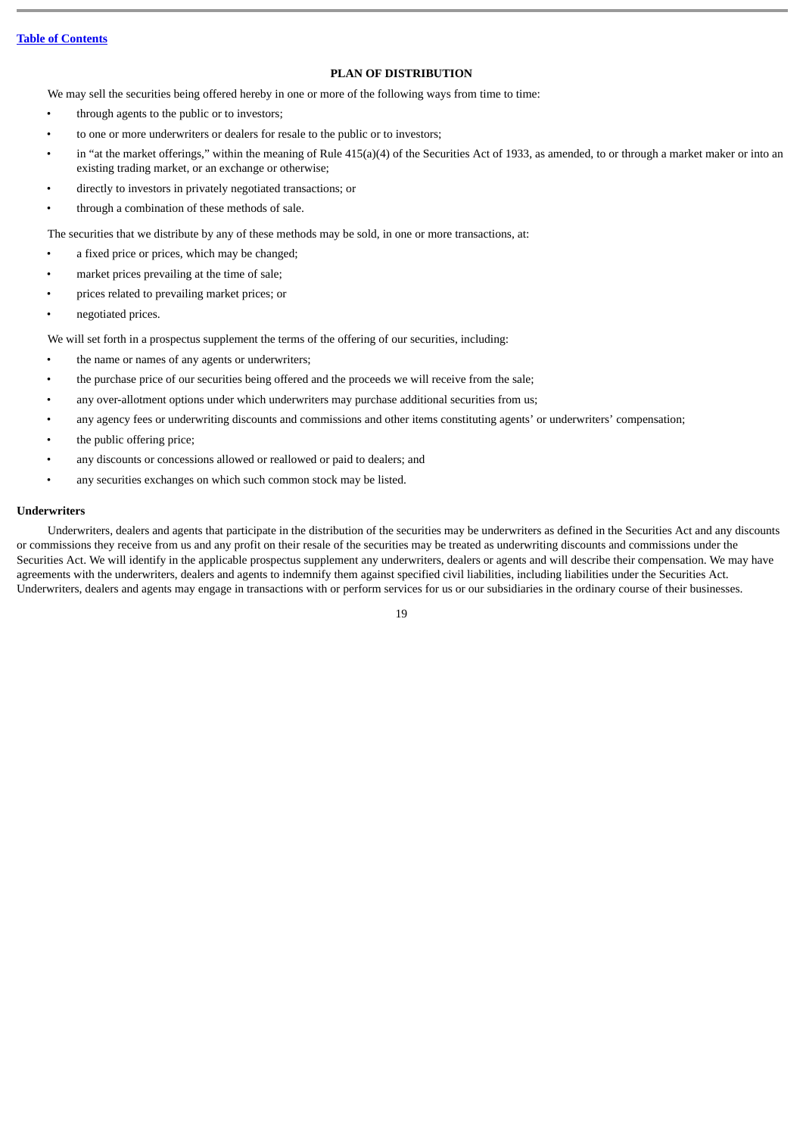# **PLAN OF DISTRIBUTION**

<span id="page-22-0"></span>We may sell the securities being offered hereby in one or more of the following ways from time to time:

- through agents to the public or to investors;
- to one or more underwriters or dealers for resale to the public or to investors;
- in "at the market offerings," within the meaning of Rule 415(a)(4) of the Securities Act of 1933, as amended, to or through a market maker or into an existing trading market, or an exchange or otherwise;
- directly to investors in privately negotiated transactions; or
- through a combination of these methods of sale.

The securities that we distribute by any of these methods may be sold, in one or more transactions, at:

- a fixed price or prices, which may be changed;
- market prices prevailing at the time of sale;
- prices related to prevailing market prices; or
- negotiated prices.

We will set forth in a prospectus supplement the terms of the offering of our securities, including:

- the name or names of any agents or underwriters;
- the purchase price of our securities being offered and the proceeds we will receive from the sale;
- any over-allotment options under which underwriters may purchase additional securities from us;
- any agency fees or underwriting discounts and commissions and other items constituting agents' or underwriters' compensation;
- the public offering price;
- any discounts or concessions allowed or reallowed or paid to dealers; and
- any securities exchanges on which such common stock may be listed.

# **Underwriters**

Underwriters, dealers and agents that participate in the distribution of the securities may be underwriters as defined in the Securities Act and any discounts or commissions they receive from us and any profit on their resale of the securities may be treated as underwriting discounts and commissions under the Securities Act. We will identify in the applicable prospectus supplement any underwriters, dealers or agents and will describe their compensation. We may have agreements with the underwriters, dealers and agents to indemnify them against specified civil liabilities, including liabilities under the Securities Act. Underwriters, dealers and agents may engage in transactions with or perform services for us or our subsidiaries in the ordinary course of their businesses.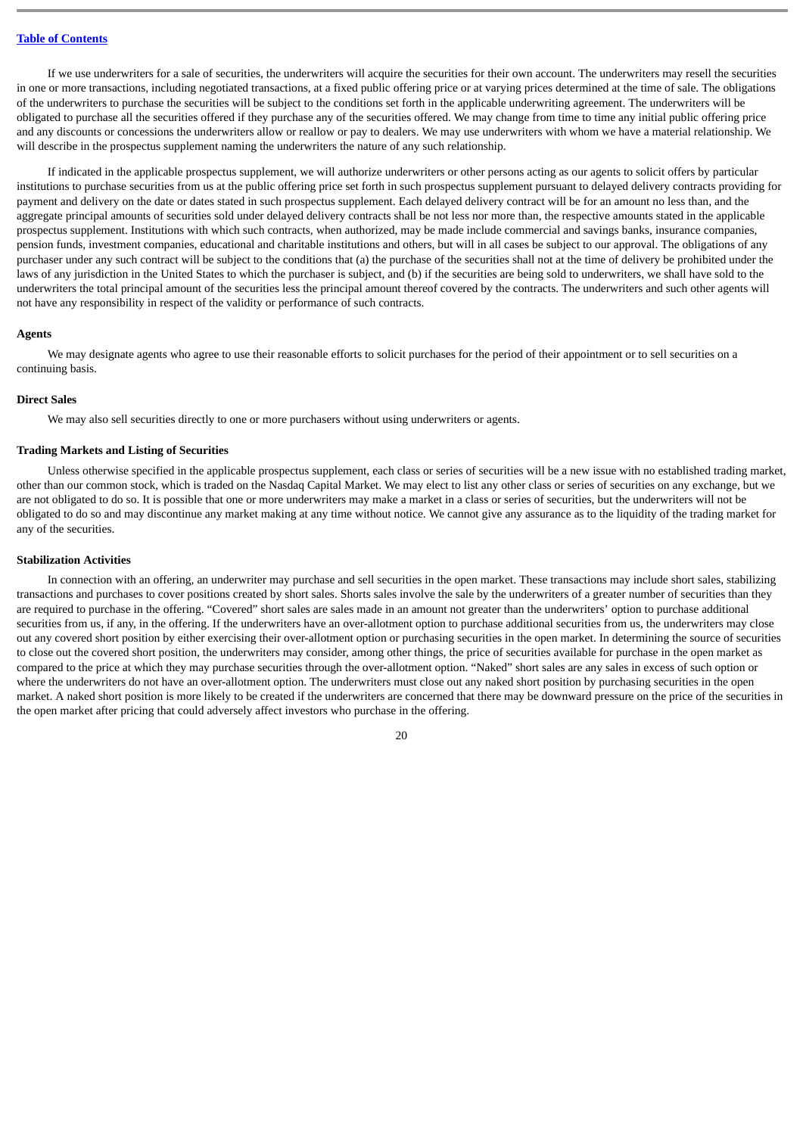If we use underwriters for a sale of securities, the underwriters will acquire the securities for their own account. The underwriters may resell the securities in one or more transactions, including negotiated transactions, at a fixed public offering price or at varying prices determined at the time of sale. The obligations of the underwriters to purchase the securities will be subject to the conditions set forth in the applicable underwriting agreement. The underwriters will be obligated to purchase all the securities offered if they purchase any of the securities offered. We may change from time to time any initial public offering price and any discounts or concessions the underwriters allow or reallow or pay to dealers. We may use underwriters with whom we have a material relationship. We will describe in the prospectus supplement naming the underwriters the nature of any such relationship.

If indicated in the applicable prospectus supplement, we will authorize underwriters or other persons acting as our agents to solicit offers by particular institutions to purchase securities from us at the public offering price set forth in such prospectus supplement pursuant to delayed delivery contracts providing for payment and delivery on the date or dates stated in such prospectus supplement. Each delayed delivery contract will be for an amount no less than, and the aggregate principal amounts of securities sold under delayed delivery contracts shall be not less nor more than, the respective amounts stated in the applicable prospectus supplement. Institutions with which such contracts, when authorized, may be made include commercial and savings banks, insurance companies, pension funds, investment companies, educational and charitable institutions and others, but will in all cases be subject to our approval. The obligations of any purchaser under any such contract will be subject to the conditions that (a) the purchase of the securities shall not at the time of delivery be prohibited under the laws of any jurisdiction in the United States to which the purchaser is subject, and (b) if the securities are being sold to underwriters, we shall have sold to the underwriters the total principal amount of the securities less the principal amount thereof covered by the contracts. The underwriters and such other agents will not have any responsibility in respect of the validity or performance of such contracts.

#### **Agents**

We may designate agents who agree to use their reasonable efforts to solicit purchases for the period of their appointment or to sell securities on a continuing basis.

## **Direct Sales**

We may also sell securities directly to one or more purchasers without using underwriters or agents.

# **Trading Markets and Listing of Securities**

Unless otherwise specified in the applicable prospectus supplement, each class or series of securities will be a new issue with no established trading market, other than our common stock, which is traded on the Nasdaq Capital Market. We may elect to list any other class or series of securities on any exchange, but we are not obligated to do so. It is possible that one or more underwriters may make a market in a class or series of securities, but the underwriters will not be obligated to do so and may discontinue any market making at any time without notice. We cannot give any assurance as to the liquidity of the trading market for any of the securities.

## **Stabilization Activities**

In connection with an offering, an underwriter may purchase and sell securities in the open market. These transactions may include short sales, stabilizing transactions and purchases to cover positions created by short sales. Shorts sales involve the sale by the underwriters of a greater number of securities than they are required to purchase in the offering. "Covered" short sales are sales made in an amount not greater than the underwriters' option to purchase additional securities from us, if any, in the offering. If the underwriters have an over-allotment option to purchase additional securities from us, the underwriters may close out any covered short position by either exercising their over-allotment option or purchasing securities in the open market. In determining the source of securities to close out the covered short position, the underwriters may consider, among other things, the price of securities available for purchase in the open market as compared to the price at which they may purchase securities through the over-allotment option. "Naked" short sales are any sales in excess of such option or where the underwriters do not have an over-allotment option. The underwriters must close out any naked short position by purchasing securities in the open market. A naked short position is more likely to be created if the underwriters are concerned that there may be downward pressure on the price of the securities in the open market after pricing that could adversely affect investors who purchase in the offering.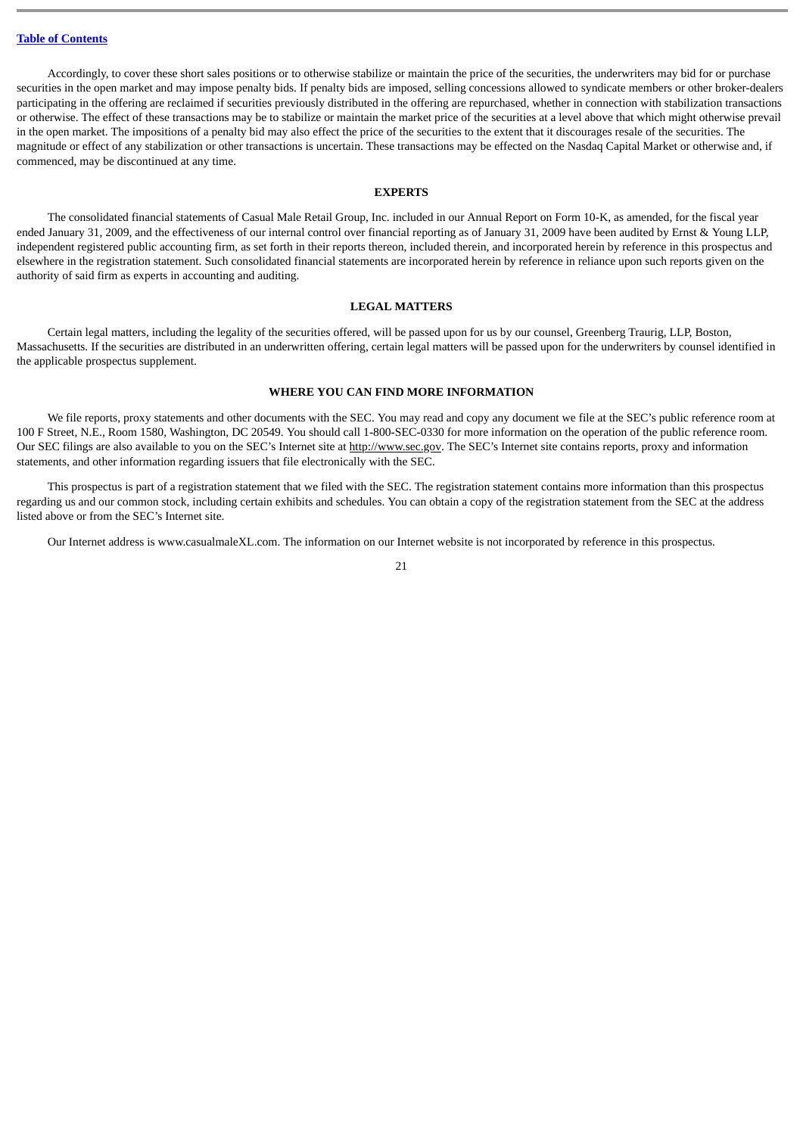Accordingly, to cover these short sales positions or to otherwise stabilize or maintain the price of the securities, the underwriters may bid for or purchase securities in the open market and may impose penalty bids. If penalty bids are imposed, selling concessions allowed to syndicate members or other broker-dealers participating in the offering are reclaimed if securities previously distributed in the offering are repurchased, whether in connection with stabilization transactions or otherwise. The effect of these transactions may be to stabilize or maintain the market price of the securities at a level above that which might otherwise prevail in the open market. The impositions of a penalty bid may also effect the price of the securities to the extent that it discourages resale of the securities. The magnitude or effect of any stabilization or other transactions is uncertain. These transactions may be effected on the Nasdaq Capital Market or otherwise and, if commenced, may be discontinued at any time.

#### **EXPERTS**

<span id="page-24-0"></span>The consolidated financial statements of Casual Male Retail Group, Inc. included in our Annual Report on Form 10-K, as amended, for the fiscal year ended January 31, 2009, and the effectiveness of our internal control over financial reporting as of January 31, 2009 have been audited by Ernst & Young LLP, independent registered public accounting firm, as set forth in their reports thereon, included therein, and incorporated herein by reference in this prospectus and elsewhere in the registration statement. Such consolidated financial statements are incorporated herein by reference in reliance upon such reports given on the authority of said firm as experts in accounting and auditing.

## **LEGAL MATTERS**

<span id="page-24-1"></span>Certain legal matters, including the legality of the securities offered, will be passed upon for us by our counsel, Greenberg Traurig, LLP, Boston, Massachusetts. If the securities are distributed in an underwritten offering, certain legal matters will be passed upon for the underwriters by counsel identified in the applicable prospectus supplement.

#### **WHERE YOU CAN FIND MORE INFORMATION**

<span id="page-24-2"></span>We file reports, proxy statements and other documents with the SEC. You may read and copy any document we file at the SEC's public reference room at 100 F Street, N.E., Room 1580, Washington, DC 20549. You should call 1-800-SEC-0330 for more information on the operation of the public reference room. Our SEC filings are also available to you on the SEC's Internet site at http://www.sec.gov. The SEC's Internet site contains reports, proxy and information statements, and other information regarding issuers that file electronically with the SEC.

This prospectus is part of a registration statement that we filed with the SEC. The registration statement contains more information than this prospectus regarding us and our common stock, including certain exhibits and schedules. You can obtain a copy of the registration statement from the SEC at the address listed above or from the SEC's Internet site.

Our Internet address is www.casualmaleXL.com. The information on our Internet website is not incorporated by reference in this prospectus.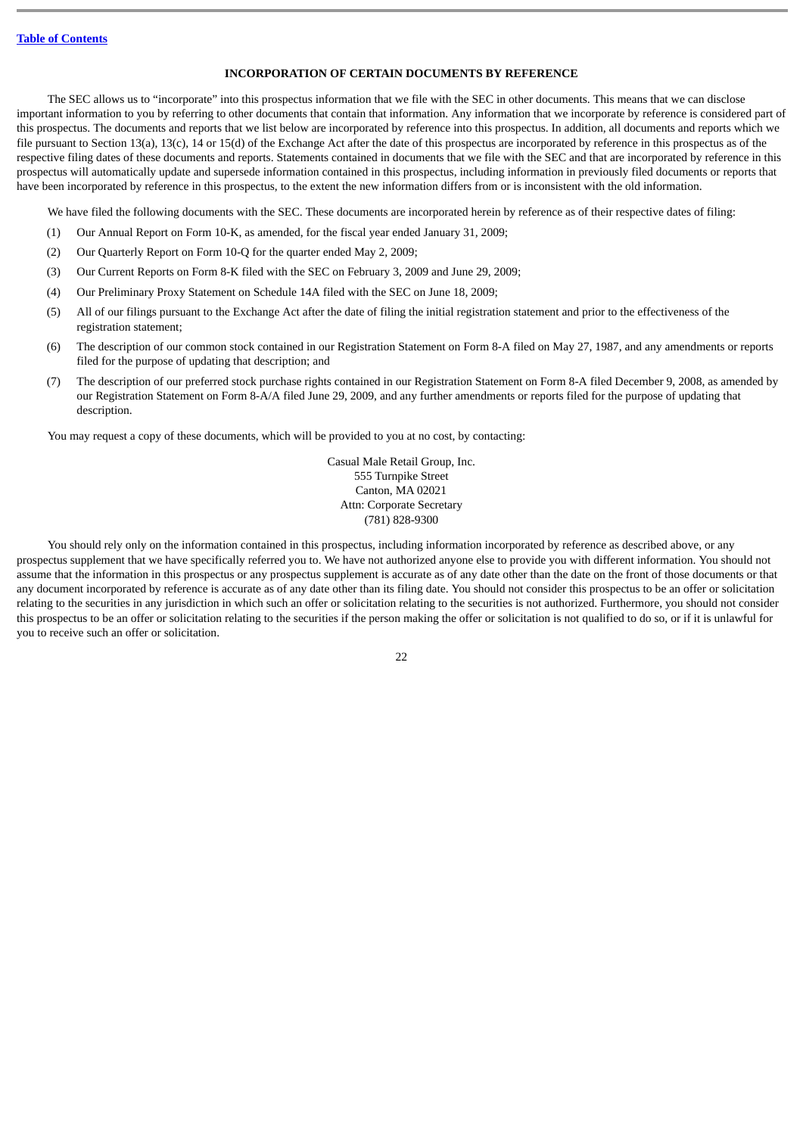# **INCORPORATION OF CERTAIN DOCUMENTS BY REFERENCE**

<span id="page-25-0"></span>The SEC allows us to "incorporate" into this prospectus information that we file with the SEC in other documents. This means that we can disclose important information to you by referring to other documents that contain that information. Any information that we incorporate by reference is considered part of this prospectus. The documents and reports that we list below are incorporated by reference into this prospectus. In addition, all documents and reports which we file pursuant to Section 13(a), 13(c), 14 or 15(d) of the Exchange Act after the date of this prospectus are incorporated by reference in this prospectus as of the respective filing dates of these documents and reports. Statements contained in documents that we file with the SEC and that are incorporated by reference in this prospectus will automatically update and supersede information contained in this prospectus, including information in previously filed documents or reports that have been incorporated by reference in this prospectus, to the extent the new information differs from or is inconsistent with the old information.

We have filed the following documents with the SEC. These documents are incorporated herein by reference as of their respective dates of filing:

- (1) Our Annual Report on Form 10-K, as amended, for the fiscal year ended January 31, 2009;
- (2) Our Quarterly Report on Form 10-Q for the quarter ended May 2, 2009;
- (3) Our Current Reports on Form 8-K filed with the SEC on February 3, 2009 and June 29, 2009;
- (4) Our Preliminary Proxy Statement on Schedule 14A filed with the SEC on June 18, 2009;
- (5) All of our filings pursuant to the Exchange Act after the date of filing the initial registration statement and prior to the effectiveness of the registration statement;
- (6) The description of our common stock contained in our Registration Statement on Form 8-A filed on May 27, 1987, and any amendments or reports filed for the purpose of updating that description; and
- (7) The description of our preferred stock purchase rights contained in our Registration Statement on Form 8-A filed December 9, 2008, as amended by our Registration Statement on Form 8-A/A filed June 29, 2009, and any further amendments or reports filed for the purpose of updating that description.

You may request a copy of these documents, which will be provided to you at no cost, by contacting:

Casual Male Retail Group, Inc. 555 Turnpike Street Canton, MA 02021 Attn: Corporate Secretary (781) 828-9300

You should rely only on the information contained in this prospectus, including information incorporated by reference as described above, or any prospectus supplement that we have specifically referred you to. We have not authorized anyone else to provide you with different information. You should not assume that the information in this prospectus or any prospectus supplement is accurate as of any date other than the date on the front of those documents or that any document incorporated by reference is accurate as of any date other than its filing date. You should not consider this prospectus to be an offer or solicitation relating to the securities in any jurisdiction in which such an offer or solicitation relating to the securities is not authorized. Furthermore, you should not consider this prospectus to be an offer or solicitation relating to the securities if the person making the offer or solicitation is not qualified to do so, or if it is unlawful for you to receive such an offer or solicitation.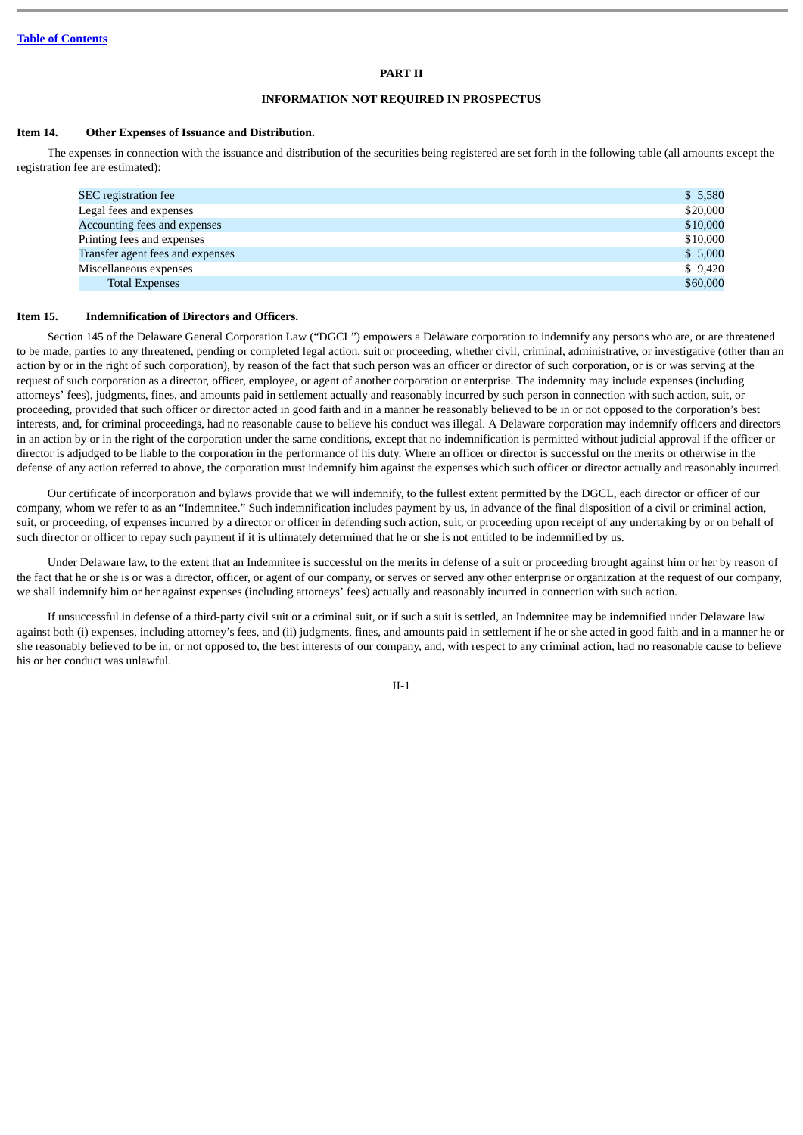# **PART II**

# **INFORMATION NOT REQUIRED IN PROSPECTUS**

# **Item 14. Other Expenses of Issuance and Distribution.**

The expenses in connection with the issuance and distribution of the securities being registered are set forth in the following table (all amounts except the registration fee are estimated):

| SEC registration fee             | \$5,580  |
|----------------------------------|----------|
| Legal fees and expenses          | \$20,000 |
| Accounting fees and expenses     | \$10,000 |
| Printing fees and expenses       | \$10,000 |
| Transfer agent fees and expenses | \$5,000  |
| Miscellaneous expenses           | \$9,420  |
| <b>Total Expenses</b>            | \$60,000 |
|                                  |          |

# **Item 15. Indemnification of Directors and Officers.**

Section 145 of the Delaware General Corporation Law ("DGCL") empowers a Delaware corporation to indemnify any persons who are, or are threatened to be made, parties to any threatened, pending or completed legal action, suit or proceeding, whether civil, criminal, administrative, or investigative (other than an action by or in the right of such corporation), by reason of the fact that such person was an officer or director of such corporation, or is or was serving at the request of such corporation as a director, officer, employee, or agent of another corporation or enterprise. The indemnity may include expenses (including attorneys' fees), judgments, fines, and amounts paid in settlement actually and reasonably incurred by such person in connection with such action, suit, or proceeding, provided that such officer or director acted in good faith and in a manner he reasonably believed to be in or not opposed to the corporation's best interests, and, for criminal proceedings, had no reasonable cause to believe his conduct was illegal. A Delaware corporation may indemnify officers and directors in an action by or in the right of the corporation under the same conditions, except that no indemnification is permitted without judicial approval if the officer or director is adjudged to be liable to the corporation in the performance of his duty. Where an officer or director is successful on the merits or otherwise in the defense of any action referred to above, the corporation must indemnify him against the expenses which such officer or director actually and reasonably incurred.

Our certificate of incorporation and bylaws provide that we will indemnify, to the fullest extent permitted by the DGCL, each director or officer of our company, whom we refer to as an "Indemnitee." Such indemnification includes payment by us, in advance of the final disposition of a civil or criminal action, suit, or proceeding, of expenses incurred by a director or officer in defending such action, suit, or proceeding upon receipt of any undertaking by or on behalf of such director or officer to repay such payment if it is ultimately determined that he or she is not entitled to be indemnified by us.

Under Delaware law, to the extent that an Indemnitee is successful on the merits in defense of a suit or proceeding brought against him or her by reason of the fact that he or she is or was a director, officer, or agent of our company, or serves or served any other enterprise or organization at the request of our company, we shall indemnify him or her against expenses (including attorneys' fees) actually and reasonably incurred in connection with such action.

If unsuccessful in defense of a third-party civil suit or a criminal suit, or if such a suit is settled, an Indemnitee may be indemnified under Delaware law against both (i) expenses, including attorney's fees, and (ii) judgments, fines, and amounts paid in settlement if he or she acted in good faith and in a manner he or she reasonably believed to be in, or not opposed to, the best interests of our company, and, with respect to any criminal action, had no reasonable cause to believe his or her conduct was unlawful.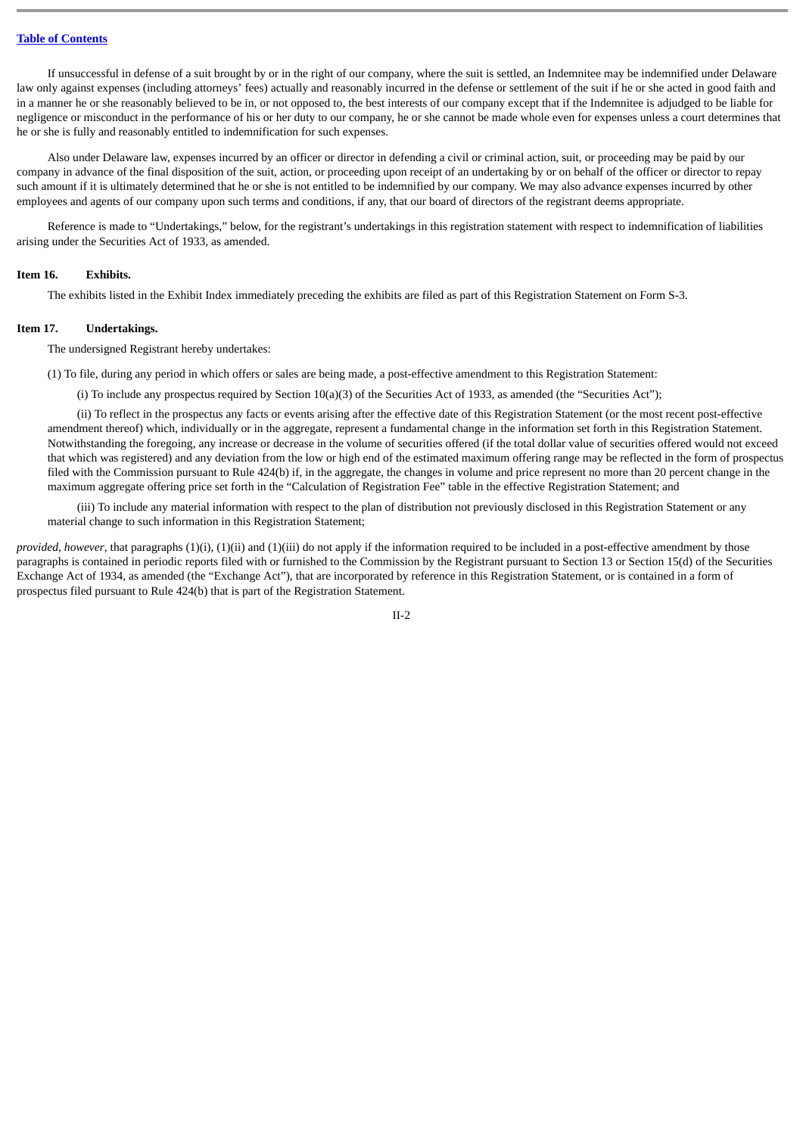If unsuccessful in defense of a suit brought by or in the right of our company, where the suit is settled, an Indemnitee may be indemnified under Delaware law only against expenses (including attorneys' fees) actually and reasonably incurred in the defense or settlement of the suit if he or she acted in good faith and in a manner he or she reasonably believed to be in, or not opposed to, the best interests of our company except that if the Indemnitee is adjudged to be liable for negligence or misconduct in the performance of his or her duty to our company, he or she cannot be made whole even for expenses unless a court determines that he or she is fully and reasonably entitled to indemnification for such expenses.

Also under Delaware law, expenses incurred by an officer or director in defending a civil or criminal action, suit, or proceeding may be paid by our company in advance of the final disposition of the suit, action, or proceeding upon receipt of an undertaking by or on behalf of the officer or director to repay such amount if it is ultimately determined that he or she is not entitled to be indemnified by our company. We may also advance expenses incurred by other employees and agents of our company upon such terms and conditions, if any, that our board of directors of the registrant deems appropriate.

Reference is made to "Undertakings," below, for the registrant's undertakings in this registration statement with respect to indemnification of liabilities arising under the Securities Act of 1933, as amended.

#### **Item 16. Exhibits.**

The exhibits listed in the Exhibit Index immediately preceding the exhibits are filed as part of this Registration Statement on Form S-3.

## **Item 17. Undertakings.**

The undersigned Registrant hereby undertakes:

(1) To file, during any period in which offers or sales are being made, a post-effective amendment to this Registration Statement:

(i) To include any prospectus required by Section 10(a)(3) of the Securities Act of 1933, as amended (the "Securities Act");

(ii) To reflect in the prospectus any facts or events arising after the effective date of this Registration Statement (or the most recent post-effective amendment thereof) which, individually or in the aggregate, represent a fundamental change in the information set forth in this Registration Statement. Notwithstanding the foregoing, any increase or decrease in the volume of securities offered (if the total dollar value of securities offered would not exceed that which was registered) and any deviation from the low or high end of the estimated maximum offering range may be reflected in the form of prospectus filed with the Commission pursuant to Rule 424(b) if, in the aggregate, the changes in volume and price represent no more than 20 percent change in the maximum aggregate offering price set forth in the "Calculation of Registration Fee" table in the effective Registration Statement; and

(iii) To include any material information with respect to the plan of distribution not previously disclosed in this Registration Statement or any material change to such information in this Registration Statement;

*provided, however*, that paragraphs (1)(i), (1)(ii) and (1)(iii) do not apply if the information required to be included in a post-effective amendment by those paragraphs is contained in periodic reports filed with or furnished to the Commission by the Registrant pursuant to Section 13 or Section 15(d) of the Securities Exchange Act of 1934, as amended (the "Exchange Act"), that are incorporated by reference in this Registration Statement, or is contained in a form of prospectus filed pursuant to Rule 424(b) that is part of the Registration Statement.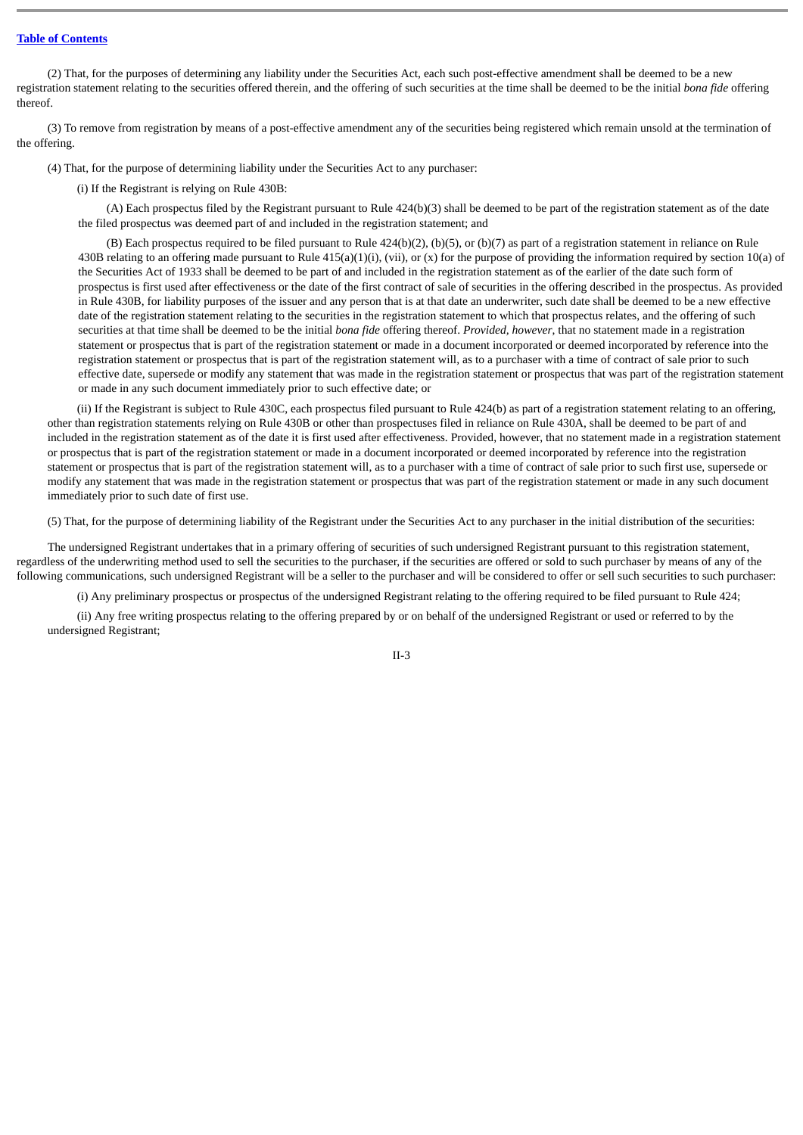(2) That, for the purposes of determining any liability under the Securities Act, each such post-effective amendment shall be deemed to be a new registration statement relating to the securities offered therein, and the offering of such securities at the time shall be deemed to be the initial *bona fide* offering thereof.

(3) To remove from registration by means of a post-effective amendment any of the securities being registered which remain unsold at the termination of the offering.

(4) That, for the purpose of determining liability under the Securities Act to any purchaser:

(i) If the Registrant is relying on Rule 430B:

(A) Each prospectus filed by the Registrant pursuant to Rule 424(b)(3) shall be deemed to be part of the registration statement as of the date the filed prospectus was deemed part of and included in the registration statement; and

(B) Each prospectus required to be filed pursuant to Rule  $424(b)(2)$ , (b)(5), or (b)(7) as part of a registration statement in reliance on Rule 430B relating to an offering made pursuant to Rule  $415(a)(1)(i)$ , (vii), or (x) for the purpose of providing the information required by section 10(a) of the Securities Act of 1933 shall be deemed to be part of and included in the registration statement as of the earlier of the date such form of prospectus is first used after effectiveness or the date of the first contract of sale of securities in the offering described in the prospectus. As provided in Rule 430B, for liability purposes of the issuer and any person that is at that date an underwriter, such date shall be deemed to be a new effective date of the registration statement relating to the securities in the registration statement to which that prospectus relates, and the offering of such securities at that time shall be deemed to be the initial *bona fide* offering thereof. *Provided, however*, that no statement made in a registration statement or prospectus that is part of the registration statement or made in a document incorporated or deemed incorporated by reference into the registration statement or prospectus that is part of the registration statement will, as to a purchaser with a time of contract of sale prior to such effective date, supersede or modify any statement that was made in the registration statement or prospectus that was part of the registration statement or made in any such document immediately prior to such effective date; or

(ii) If the Registrant is subject to Rule 430C, each prospectus filed pursuant to Rule 424(b) as part of a registration statement relating to an offering, other than registration statements relying on Rule 430B or other than prospectuses filed in reliance on Rule 430A, shall be deemed to be part of and included in the registration statement as of the date it is first used after effectiveness. Provided, however, that no statement made in a registration statement or prospectus that is part of the registration statement or made in a document incorporated or deemed incorporated by reference into the registration statement or prospectus that is part of the registration statement will, as to a purchaser with a time of contract of sale prior to such first use, supersede or modify any statement that was made in the registration statement or prospectus that was part of the registration statement or made in any such document immediately prior to such date of first use.

(5) That, for the purpose of determining liability of the Registrant under the Securities Act to any purchaser in the initial distribution of the securities:

The undersigned Registrant undertakes that in a primary offering of securities of such undersigned Registrant pursuant to this registration statement, regardless of the underwriting method used to sell the securities to the purchaser, if the securities are offered or sold to such purchaser by means of any of the following communications, such undersigned Registrant will be a seller to the purchaser and will be considered to offer or sell such securities to such purchaser:

(i) Any preliminary prospectus or prospectus of the undersigned Registrant relating to the offering required to be filed pursuant to Rule 424;

(ii) Any free writing prospectus relating to the offering prepared by or on behalf of the undersigned Registrant or used or referred to by the undersigned Registrant;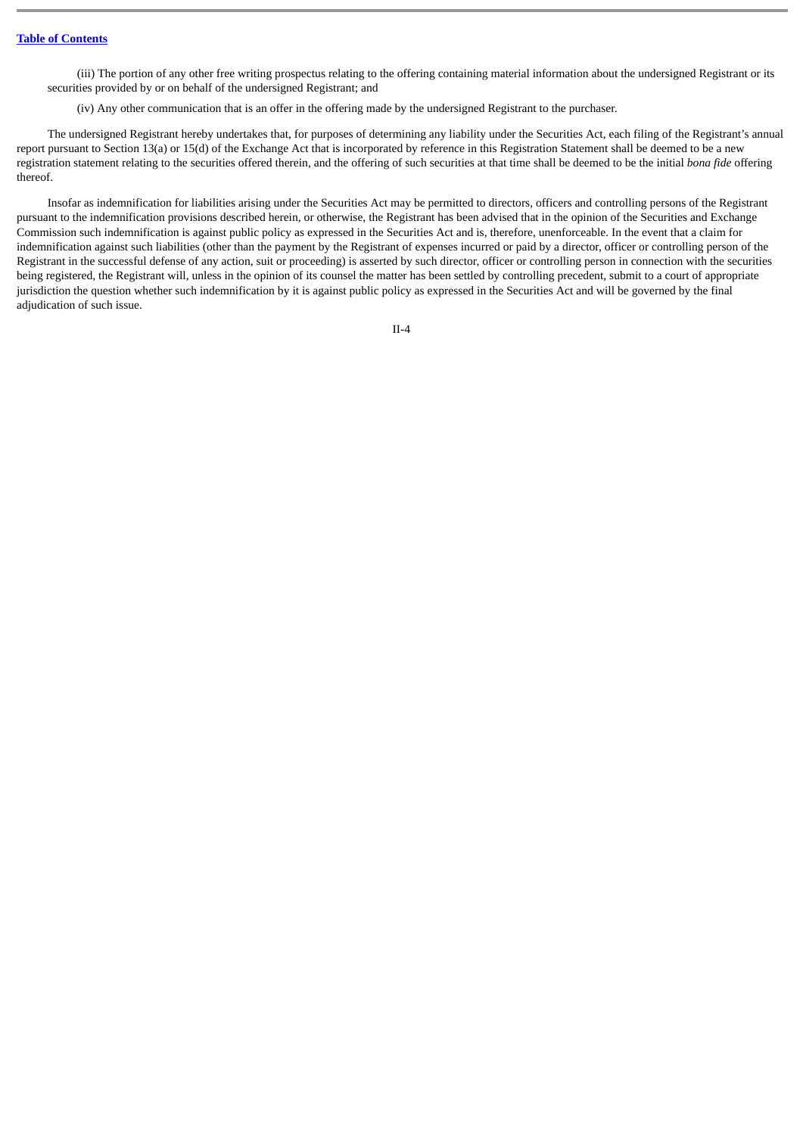(iii) The portion of any other free writing prospectus relating to the offering containing material information about the undersigned Registrant or its securities provided by or on behalf of the undersigned Registrant; and

(iv) Any other communication that is an offer in the offering made by the undersigned Registrant to the purchaser.

The undersigned Registrant hereby undertakes that, for purposes of determining any liability under the Securities Act, each filing of the Registrant's annual report pursuant to Section 13(a) or 15(d) of the Exchange Act that is incorporated by reference in this Registration Statement shall be deemed to be a new registration statement relating to the securities offered therein, and the offering of such securities at that time shall be deemed to be the initial *bona fide* offering thereof.

Insofar as indemnification for liabilities arising under the Securities Act may be permitted to directors, officers and controlling persons of the Registrant pursuant to the indemnification provisions described herein, or otherwise, the Registrant has been advised that in the opinion of the Securities and Exchange Commission such indemnification is against public policy as expressed in the Securities Act and is, therefore, unenforceable. In the event that a claim for indemnification against such liabilities (other than the payment by the Registrant of expenses incurred or paid by a director, officer or controlling person of the Registrant in the successful defense of any action, suit or proceeding) is asserted by such director, officer or controlling person in connection with the securities being registered, the Registrant will, unless in the opinion of its counsel the matter has been settled by controlling precedent, submit to a court of appropriate jurisdiction the question whether such indemnification by it is against public policy as expressed in the Securities Act and will be governed by the final adjudication of such issue.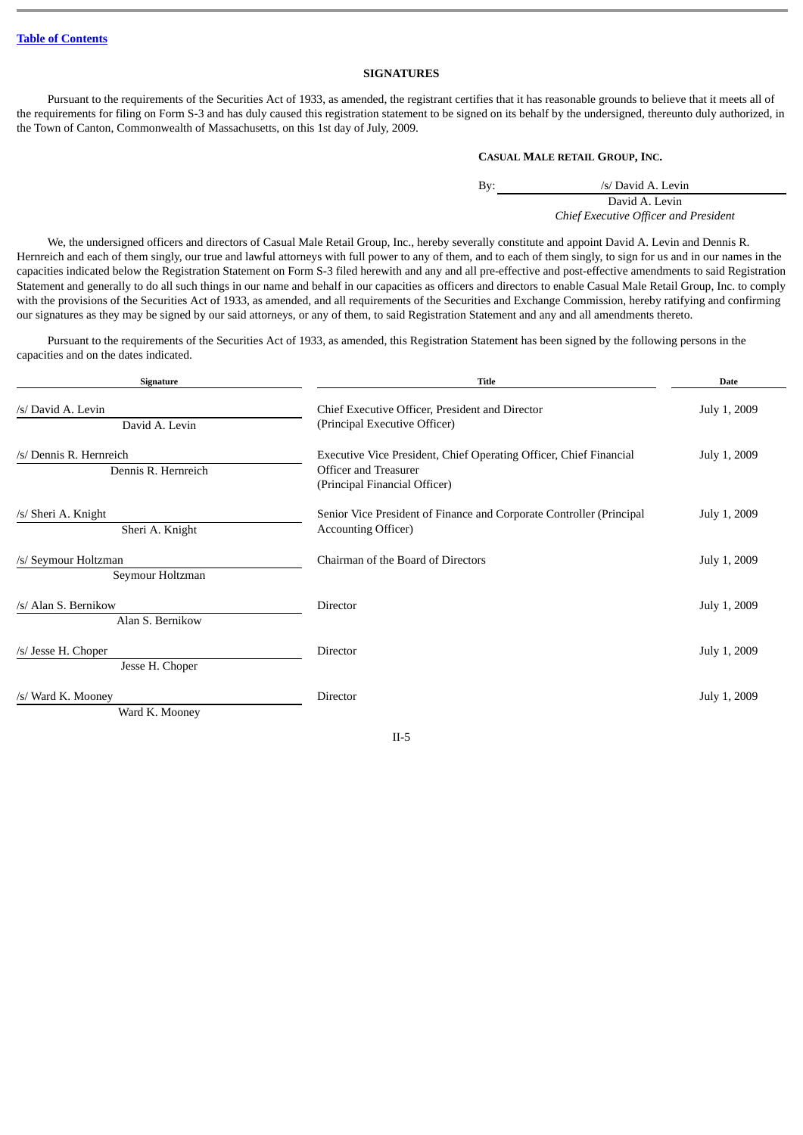# **SIGNATURES**

Pursuant to the requirements of the Securities Act of 1933, as amended, the registrant certifies that it has reasonable grounds to believe that it meets all of the requirements for filing on Form S-3 and has duly caused this registration statement to be signed on its behalf by the undersigned, thereunto duly authorized, in the Town of Canton, Commonwealth of Massachusetts, on this 1st day of July, 2009.

# **CASUAL MALE RETAIL GROUP, INC.**

By: /s/ David A. Levin David A. Levin *Chief Executive Officer and President*

We, the undersigned officers and directors of Casual Male Retail Group, Inc., hereby severally constitute and appoint David A. Levin and Dennis R. Hernreich and each of them singly, our true and lawful attorneys with full power to any of them, and to each of them singly, to sign for us and in our names in the capacities indicated below the Registration Statement on Form S-3 filed herewith and any and all pre-effective and post-effective amendments to said Registration Statement and generally to do all such things in our name and behalf in our capacities as officers and directors to enable Casual Male Retail Group, Inc. to comply with the provisions of the Securities Act of 1933, as amended, and all requirements of the Securities and Exchange Commission, hereby ratifying and confirming our signatures as they may be signed by our said attorneys, or any of them, to said Registration Statement and any and all amendments thereto.

Pursuant to the requirements of the Securities Act of 1933, as amended, this Registration Statement has been signed by the following persons in the capacities and on the dates indicated.

| <b>Title</b><br>Signature                      |                                                                                                                              | <b>Date</b>  |  |
|------------------------------------------------|------------------------------------------------------------------------------------------------------------------------------|--------------|--|
| /s/ David A. Levin<br>David A. Levin           | Chief Executive Officer, President and Director<br>(Principal Executive Officer)                                             | July 1, 2009 |  |
| /s/ Dennis R. Hernreich<br>Dennis R. Hernreich | Executive Vice President, Chief Operating Officer, Chief Financial<br>Officer and Treasurer<br>(Principal Financial Officer) | July 1, 2009 |  |
| /s/ Sheri A. Knight<br>Sheri A. Knight         | Senior Vice President of Finance and Corporate Controller (Principal<br><b>Accounting Officer)</b>                           | July 1, 2009 |  |
| /s/ Seymour Holtzman<br>Seymour Holtzman       | Chairman of the Board of Directors                                                                                           | July 1, 2009 |  |
| /s/ Alan S. Bernikow<br>Alan S. Bernikow       | Director                                                                                                                     | July 1, 2009 |  |
| /s/ Jesse H. Choper<br>Jesse H. Choper         | Director                                                                                                                     | July 1, 2009 |  |
| /s/ Ward K. Mooney<br>Ward K. Mooney           | Director                                                                                                                     | July 1, 2009 |  |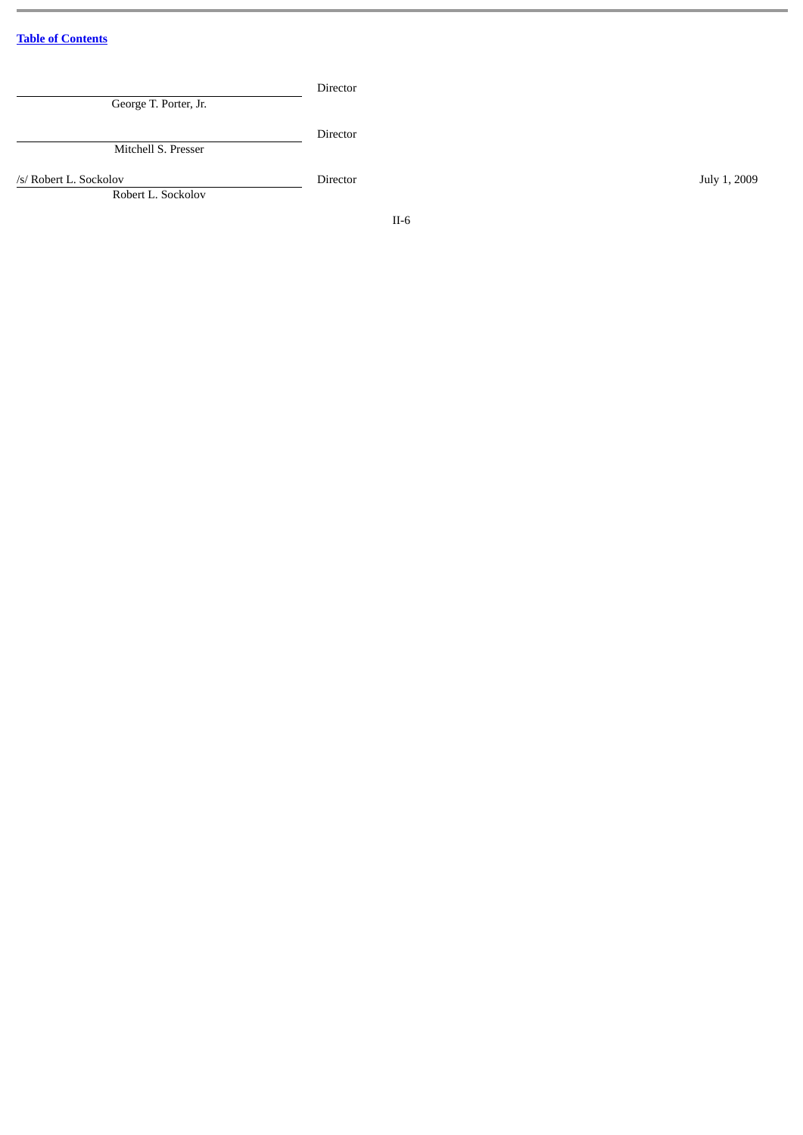| George T. Porter, Jr.                        | Director |              |
|----------------------------------------------|----------|--------------|
| Mitchell S. Presser                          | Director |              |
| /s/ Robert L. Sockolov<br>Robert L. Sockolov | Director | July 1, 2009 |
|                                              | $II-6$   |              |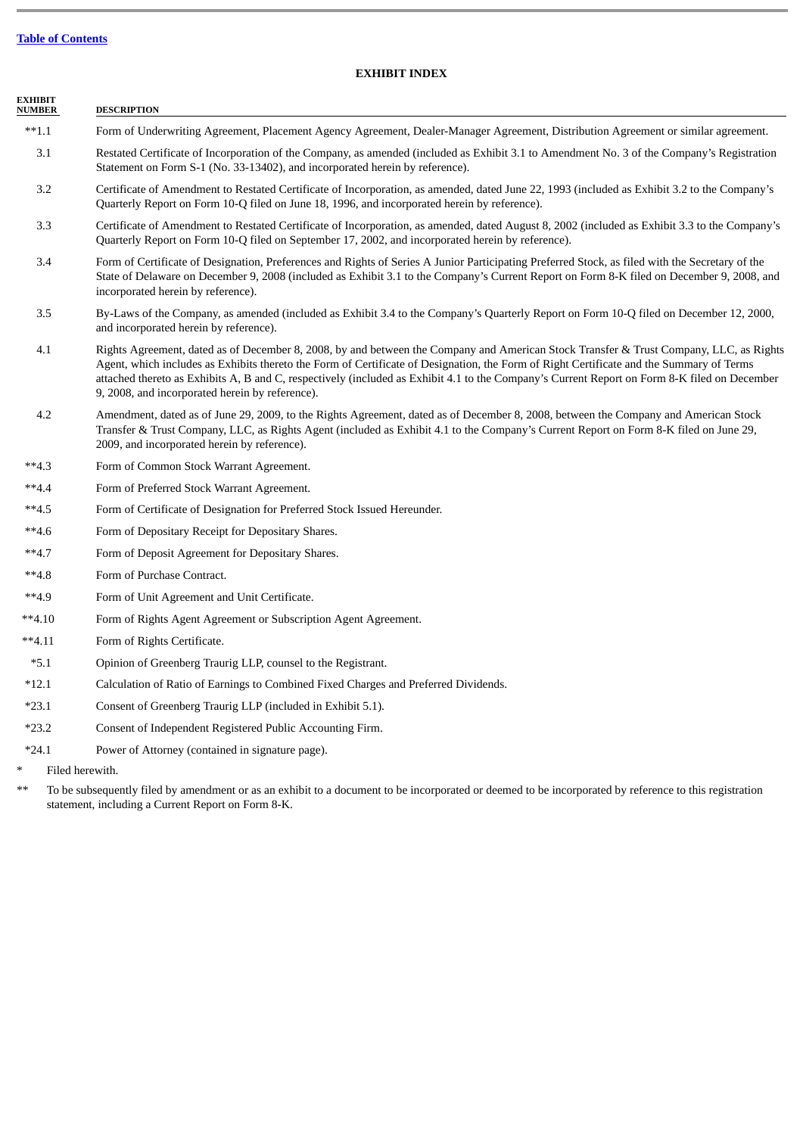# **EXHIBIT INDEX**

| <b>EXHIBIT</b><br><b>NUMBER</b> | <b>DESCRIPTION</b>                                                                                                                                                                                                                                                                                                                                                                                                                                                                    |
|---------------------------------|---------------------------------------------------------------------------------------------------------------------------------------------------------------------------------------------------------------------------------------------------------------------------------------------------------------------------------------------------------------------------------------------------------------------------------------------------------------------------------------|
| $**1.1$                         | Form of Underwriting Agreement, Placement Agency Agreement, Dealer-Manager Agreement, Distribution Agreement or similar agreement.                                                                                                                                                                                                                                                                                                                                                    |
| 3.1                             | Restated Certificate of Incorporation of the Company, as amended (included as Exhibit 3.1 to Amendment No. 3 of the Company's Registration<br>Statement on Form S-1 (No. 33-13402), and incorporated herein by reference).                                                                                                                                                                                                                                                            |
| 3.2                             | Certificate of Amendment to Restated Certificate of Incorporation, as amended, dated June 22, 1993 (included as Exhibit 3.2 to the Company's<br>Quarterly Report on Form 10-Q filed on June 18, 1996, and incorporated herein by reference).                                                                                                                                                                                                                                          |
| 3.3                             | Certificate of Amendment to Restated Certificate of Incorporation, as amended, dated August 8, 2002 (included as Exhibit 3.3 to the Company's<br>Quarterly Report on Form 10-Q filed on September 17, 2002, and incorporated herein by reference).                                                                                                                                                                                                                                    |
| 3.4                             | Form of Certificate of Designation, Preferences and Rights of Series A Junior Participating Preferred Stock, as filed with the Secretary of the<br>State of Delaware on December 9, 2008 (included as Exhibit 3.1 to the Company's Current Report on Form 8-K filed on December 9, 2008, and<br>incorporated herein by reference).                                                                                                                                                    |
| 3.5                             | By-Laws of the Company, as amended (included as Exhibit 3.4 to the Company's Quarterly Report on Form 10-Q filed on December 12, 2000,<br>and incorporated herein by reference).                                                                                                                                                                                                                                                                                                      |
| 4.1                             | Rights Agreement, dated as of December 8, 2008, by and between the Company and American Stock Transfer & Trust Company, LLC, as Rights<br>Agent, which includes as Exhibits thereto the Form of Certificate of Designation, the Form of Right Certificate and the Summary of Terms<br>attached thereto as Exhibits A, B and C, respectively (included as Exhibit 4.1 to the Company's Current Report on Form 8-K filed on December<br>9, 2008, and incorporated herein by reference). |
| 4.2                             | Amendment, dated as of June 29, 2009, to the Rights Agreement, dated as of December 8, 2008, between the Company and American Stock<br>Transfer & Trust Company, LLC, as Rights Agent (included as Exhibit 4.1 to the Company's Current Report on Form 8-K filed on June 29,<br>2009, and incorporated herein by reference).                                                                                                                                                          |
| $**4.3$                         | Form of Common Stock Warrant Agreement.                                                                                                                                                                                                                                                                                                                                                                                                                                               |
| $**4.4$                         | Form of Preferred Stock Warrant Agreement.                                                                                                                                                                                                                                                                                                                                                                                                                                            |
| $**4.5$                         | Form of Certificate of Designation for Preferred Stock Issued Hereunder.                                                                                                                                                                                                                                                                                                                                                                                                              |
| $**4.6$                         | Form of Depositary Receipt for Depositary Shares.                                                                                                                                                                                                                                                                                                                                                                                                                                     |
| $**4.7$                         | Form of Deposit Agreement for Depositary Shares.                                                                                                                                                                                                                                                                                                                                                                                                                                      |
| $**4.8$                         | Form of Purchase Contract.                                                                                                                                                                                                                                                                                                                                                                                                                                                            |
| $**4.9$                         | Form of Unit Agreement and Unit Certificate.                                                                                                                                                                                                                                                                                                                                                                                                                                          |
| $**4.10$                        | Form of Rights Agent Agreement or Subscription Agent Agreement.                                                                                                                                                                                                                                                                                                                                                                                                                       |
| $**4.11$                        | Form of Rights Certificate.                                                                                                                                                                                                                                                                                                                                                                                                                                                           |
| $*5.1$                          | Opinion of Greenberg Traurig LLP, counsel to the Registrant.                                                                                                                                                                                                                                                                                                                                                                                                                          |
| $*12.1$                         | Calculation of Ratio of Earnings to Combined Fixed Charges and Preferred Dividends.                                                                                                                                                                                                                                                                                                                                                                                                   |
| $*23.1$                         | Consent of Greenberg Traurig LLP (included in Exhibit 5.1).                                                                                                                                                                                                                                                                                                                                                                                                                           |
| $*23.2$                         | Consent of Independent Registered Public Accounting Firm.                                                                                                                                                                                                                                                                                                                                                                                                                             |
| $*24.1$                         | Power of Attorney (contained in signature page).                                                                                                                                                                                                                                                                                                                                                                                                                                      |

\* Filed herewith.

\*\* To be subsequently filed by amendment or as an exhibit to a document to be incorporated or deemed to be incorporated by reference to this registration statement, including a Current Report on Form 8-K.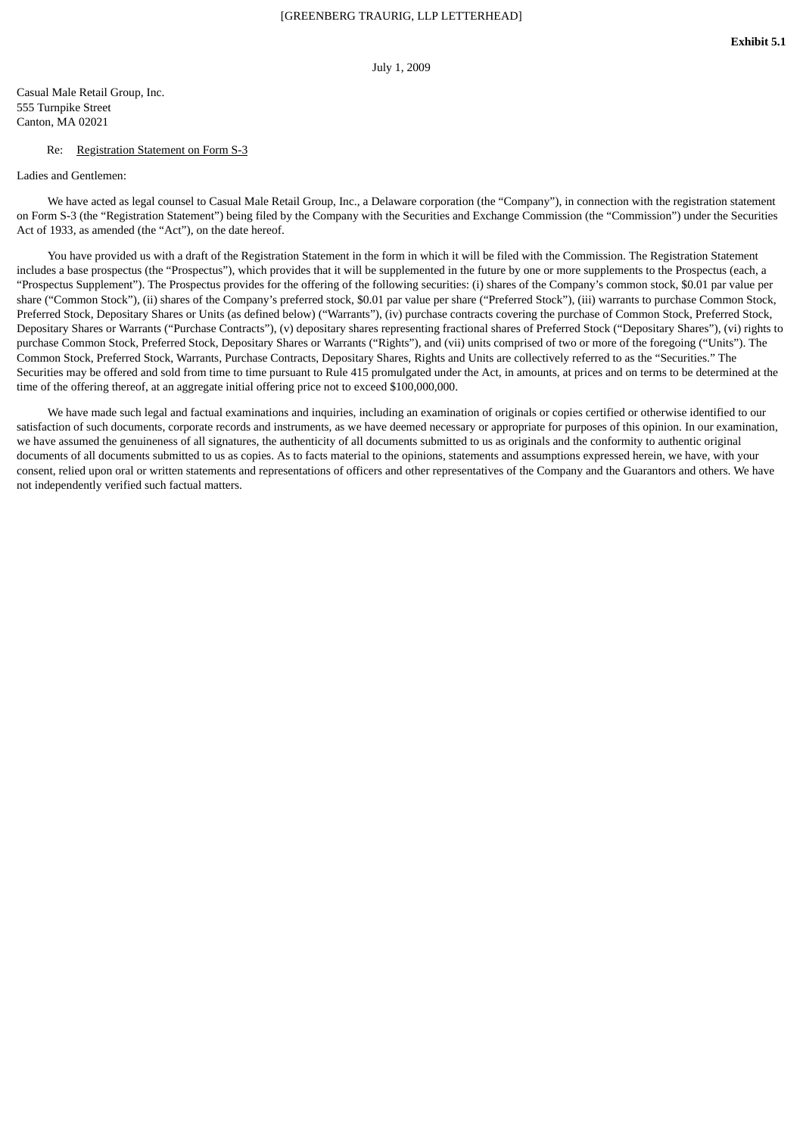July 1, 2009

Casual Male Retail Group, Inc. 555 Turnpike Street Canton, MA 02021

#### Re: Registration Statement on Form S-3

Ladies and Gentlemen:

We have acted as legal counsel to Casual Male Retail Group, Inc., a Delaware corporation (the "Company"), in connection with the registration statement on Form S-3 (the "Registration Statement") being filed by the Company with the Securities and Exchange Commission (the "Commission") under the Securities Act of 1933, as amended (the "Act"), on the date hereof.

You have provided us with a draft of the Registration Statement in the form in which it will be filed with the Commission. The Registration Statement includes a base prospectus (the "Prospectus"), which provides that it will be supplemented in the future by one or more supplements to the Prospectus (each, a "Prospectus Supplement"). The Prospectus provides for the offering of the following securities: (i) shares of the Company's common stock, \$0.01 par value per share ("Common Stock"), (ii) shares of the Company's preferred stock, \$0.01 par value per share ("Preferred Stock"), (iii) warrants to purchase Common Stock, Preferred Stock, Depositary Shares or Units (as defined below) ("Warrants"), (iv) purchase contracts covering the purchase of Common Stock, Preferred Stock, Depositary Shares or Warrants ("Purchase Contracts"), (v) depositary shares representing fractional shares of Preferred Stock ("Depositary Shares"), (vi) rights to purchase Common Stock, Preferred Stock, Depositary Shares or Warrants ("Rights"), and (vii) units comprised of two or more of the foregoing ("Units"). The Common Stock, Preferred Stock, Warrants, Purchase Contracts, Depositary Shares, Rights and Units are collectively referred to as the "Securities." The Securities may be offered and sold from time to time pursuant to Rule 415 promulgated under the Act, in amounts, at prices and on terms to be determined at the time of the offering thereof, at an aggregate initial offering price not to exceed \$100,000,000.

We have made such legal and factual examinations and inquiries, including an examination of originals or copies certified or otherwise identified to our satisfaction of such documents, corporate records and instruments, as we have deemed necessary or appropriate for purposes of this opinion. In our examination, we have assumed the genuineness of all signatures, the authenticity of all documents submitted to us as originals and the conformity to authentic original documents of all documents submitted to us as copies. As to facts material to the opinions, statements and assumptions expressed herein, we have, with your consent, relied upon oral or written statements and representations of officers and other representatives of the Company and the Guarantors and others. We have not independently verified such factual matters.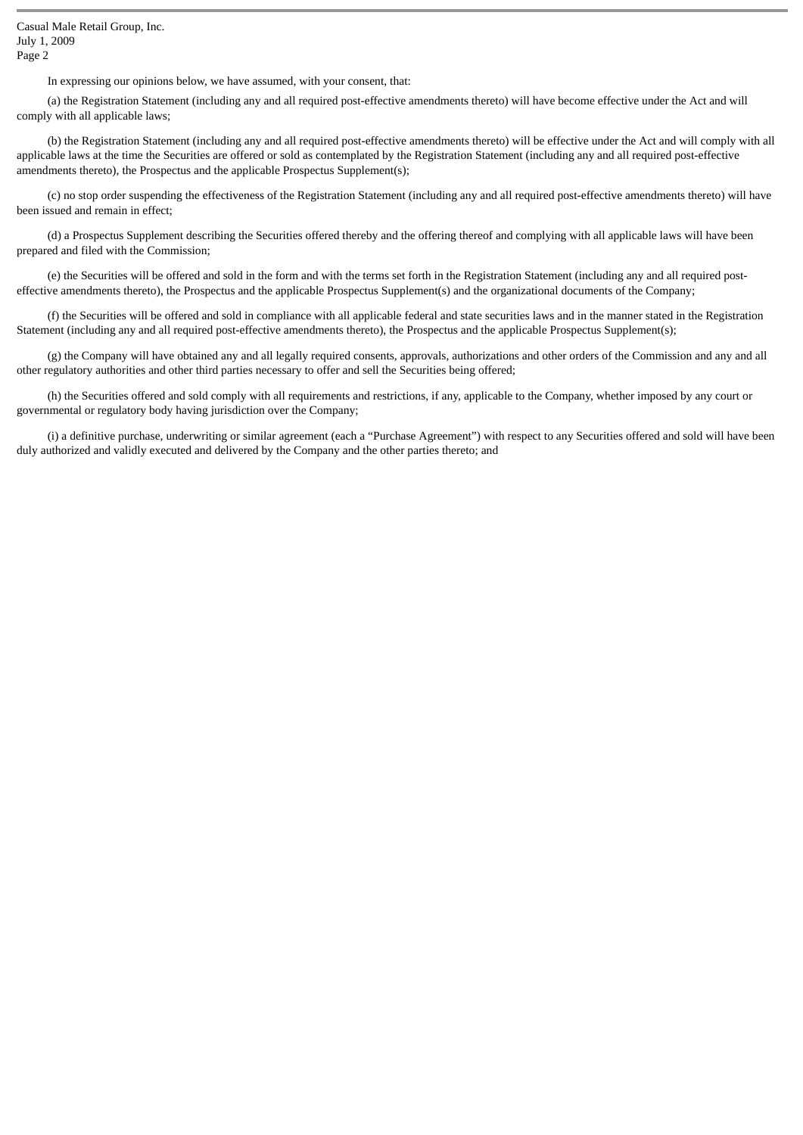In expressing our opinions below, we have assumed, with your consent, that:

(a) the Registration Statement (including any and all required post-effective amendments thereto) will have become effective under the Act and will comply with all applicable laws;

(b) the Registration Statement (including any and all required post-effective amendments thereto) will be effective under the Act and will comply with all applicable laws at the time the Securities are offered or sold as contemplated by the Registration Statement (including any and all required post-effective amendments thereto), the Prospectus and the applicable Prospectus Supplement(s);

(c) no stop order suspending the effectiveness of the Registration Statement (including any and all required post-effective amendments thereto) will have been issued and remain in effect;

(d) a Prospectus Supplement describing the Securities offered thereby and the offering thereof and complying with all applicable laws will have been prepared and filed with the Commission;

(e) the Securities will be offered and sold in the form and with the terms set forth in the Registration Statement (including any and all required posteffective amendments thereto), the Prospectus and the applicable Prospectus Supplement(s) and the organizational documents of the Company;

(f) the Securities will be offered and sold in compliance with all applicable federal and state securities laws and in the manner stated in the Registration Statement (including any and all required post-effective amendments thereto), the Prospectus and the applicable Prospectus Supplement(s);

(g) the Company will have obtained any and all legally required consents, approvals, authorizations and other orders of the Commission and any and all other regulatory authorities and other third parties necessary to offer and sell the Securities being offered;

(h) the Securities offered and sold comply with all requirements and restrictions, if any, applicable to the Company, whether imposed by any court or governmental or regulatory body having jurisdiction over the Company;

(i) a definitive purchase, underwriting or similar agreement (each a "Purchase Agreement") with respect to any Securities offered and sold will have been duly authorized and validly executed and delivered by the Company and the other parties thereto; and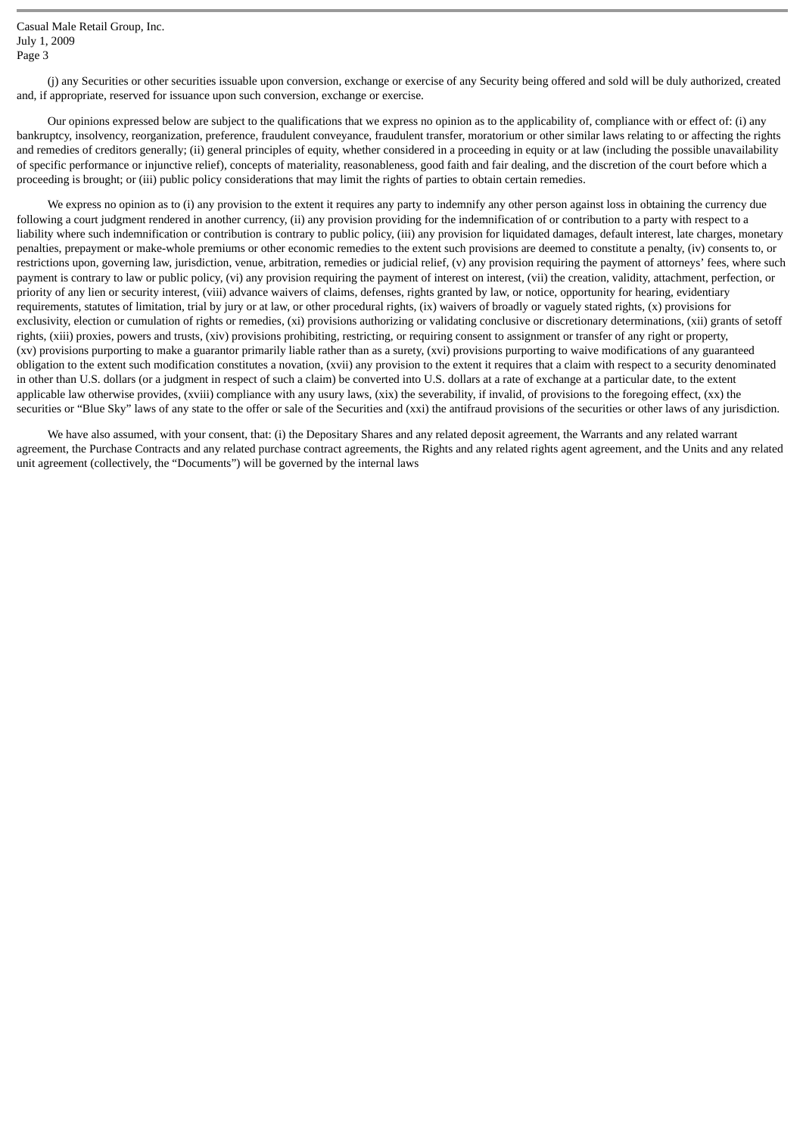(j) any Securities or other securities issuable upon conversion, exchange or exercise of any Security being offered and sold will be duly authorized, created and, if appropriate, reserved for issuance upon such conversion, exchange or exercise.

Our opinions expressed below are subject to the qualifications that we express no opinion as to the applicability of, compliance with or effect of: (i) any bankruptcy, insolvency, reorganization, preference, fraudulent conveyance, fraudulent transfer, moratorium or other similar laws relating to or affecting the rights and remedies of creditors generally; (ii) general principles of equity, whether considered in a proceeding in equity or at law (including the possible unavailability of specific performance or injunctive relief), concepts of materiality, reasonableness, good faith and fair dealing, and the discretion of the court before which a proceeding is brought; or (iii) public policy considerations that may limit the rights of parties to obtain certain remedies.

We express no opinion as to (i) any provision to the extent it requires any party to indemnify any other person against loss in obtaining the currency due following a court judgment rendered in another currency, (ii) any provision providing for the indemnification of or contribution to a party with respect to a liability where such indemnification or contribution is contrary to public policy, (iii) any provision for liquidated damages, default interest, late charges, monetary penalties, prepayment or make-whole premiums or other economic remedies to the extent such provisions are deemed to constitute a penalty, (iv) consents to, or restrictions upon, governing law, jurisdiction, venue, arbitration, remedies or judicial relief, (v) any provision requiring the payment of attorneys' fees, where such payment is contrary to law or public policy, (vi) any provision requiring the payment of interest on interest, (vii) the creation, validity, attachment, perfection, or priority of any lien or security interest, (viii) advance waivers of claims, defenses, rights granted by law, or notice, opportunity for hearing, evidentiary requirements, statutes of limitation, trial by jury or at law, or other procedural rights, (ix) waivers of broadly or vaguely stated rights, (x) provisions for exclusivity, election or cumulation of rights or remedies, (xi) provisions authorizing or validating conclusive or discretionary determinations, (xii) grants of setoff rights, (xiii) proxies, powers and trusts, (xiv) provisions prohibiting, restricting, or requiring consent to assignment or transfer of any right or property, (xv) provisions purporting to make a guarantor primarily liable rather than as a surety, (xvi) provisions purporting to waive modifications of any guaranteed obligation to the extent such modification constitutes a novation, (xvii) any provision to the extent it requires that a claim with respect to a security denominated in other than U.S. dollars (or a judgment in respect of such a claim) be converted into U.S. dollars at a rate of exchange at a particular date, to the extent applicable law otherwise provides, (xviii) compliance with any usury laws, (xix) the severability, if invalid, of provisions to the foregoing effect, (xx) the securities or "Blue Sky" laws of any state to the offer or sale of the Securities and (xxi) the antifraud provisions of the securities or other laws of any jurisdiction.

We have also assumed, with your consent, that: (i) the Depositary Shares and any related deposit agreement, the Warrants and any related warrant agreement, the Purchase Contracts and any related purchase contract agreements, the Rights and any related rights agent agreement, and the Units and any related unit agreement (collectively, the "Documents") will be governed by the internal laws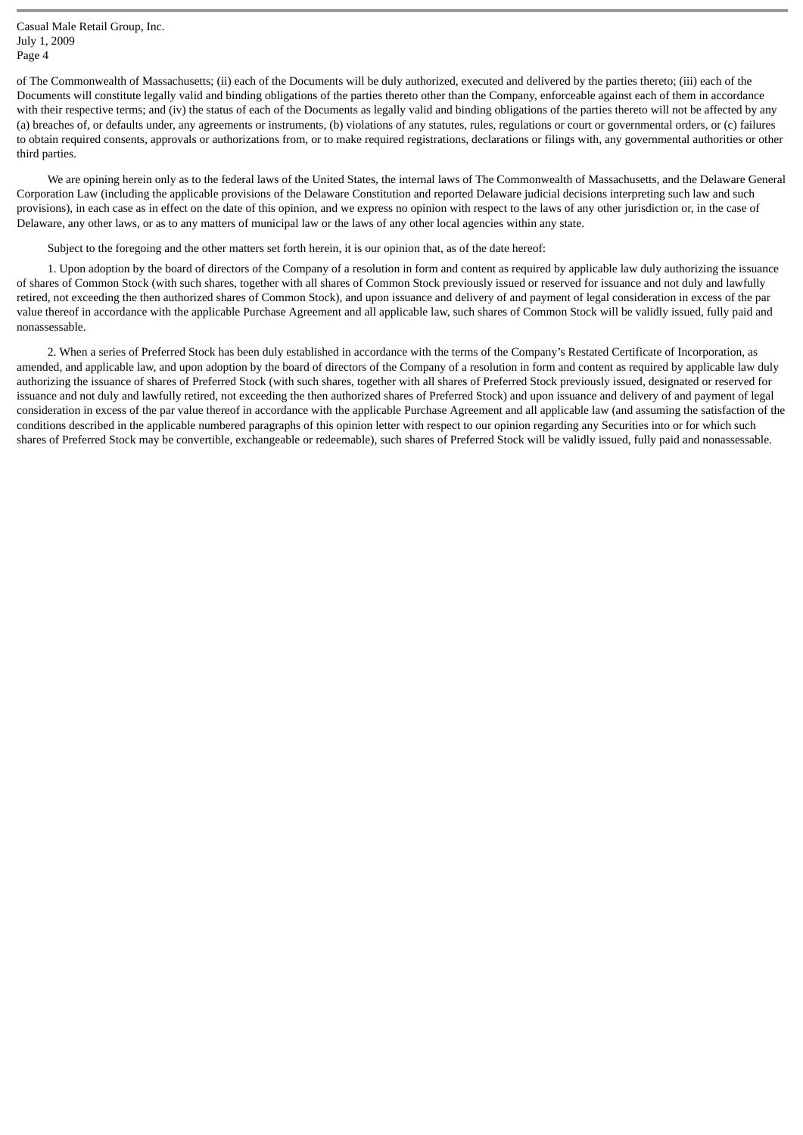of The Commonwealth of Massachusetts; (ii) each of the Documents will be duly authorized, executed and delivered by the parties thereto; (iii) each of the Documents will constitute legally valid and binding obligations of the parties thereto other than the Company, enforceable against each of them in accordance with their respective terms; and (iv) the status of each of the Documents as legally valid and binding obligations of the parties thereto will not be affected by any (a) breaches of, or defaults under, any agreements or instruments, (b) violations of any statutes, rules, regulations or court or governmental orders, or (c) failures to obtain required consents, approvals or authorizations from, or to make required registrations, declarations or filings with, any governmental authorities or other third parties.

We are opining herein only as to the federal laws of the United States, the internal laws of The Commonwealth of Massachusetts, and the Delaware General Corporation Law (including the applicable provisions of the Delaware Constitution and reported Delaware judicial decisions interpreting such law and such provisions), in each case as in effect on the date of this opinion, and we express no opinion with respect to the laws of any other jurisdiction or, in the case of Delaware, any other laws, or as to any matters of municipal law or the laws of any other local agencies within any state.

Subject to the foregoing and the other matters set forth herein, it is our opinion that, as of the date hereof:

1. Upon adoption by the board of directors of the Company of a resolution in form and content as required by applicable law duly authorizing the issuance of shares of Common Stock (with such shares, together with all shares of Common Stock previously issued or reserved for issuance and not duly and lawfully retired, not exceeding the then authorized shares of Common Stock), and upon issuance and delivery of and payment of legal consideration in excess of the par value thereof in accordance with the applicable Purchase Agreement and all applicable law, such shares of Common Stock will be validly issued, fully paid and nonassessable.

2. When a series of Preferred Stock has been duly established in accordance with the terms of the Company's Restated Certificate of Incorporation, as amended, and applicable law, and upon adoption by the board of directors of the Company of a resolution in form and content as required by applicable law duly authorizing the issuance of shares of Preferred Stock (with such shares, together with all shares of Preferred Stock previously issued, designated or reserved for issuance and not duly and lawfully retired, not exceeding the then authorized shares of Preferred Stock) and upon issuance and delivery of and payment of legal consideration in excess of the par value thereof in accordance with the applicable Purchase Agreement and all applicable law (and assuming the satisfaction of the conditions described in the applicable numbered paragraphs of this opinion letter with respect to our opinion regarding any Securities into or for which such shares of Preferred Stock may be convertible, exchangeable or redeemable), such shares of Preferred Stock will be validly issued, fully paid and nonassessable.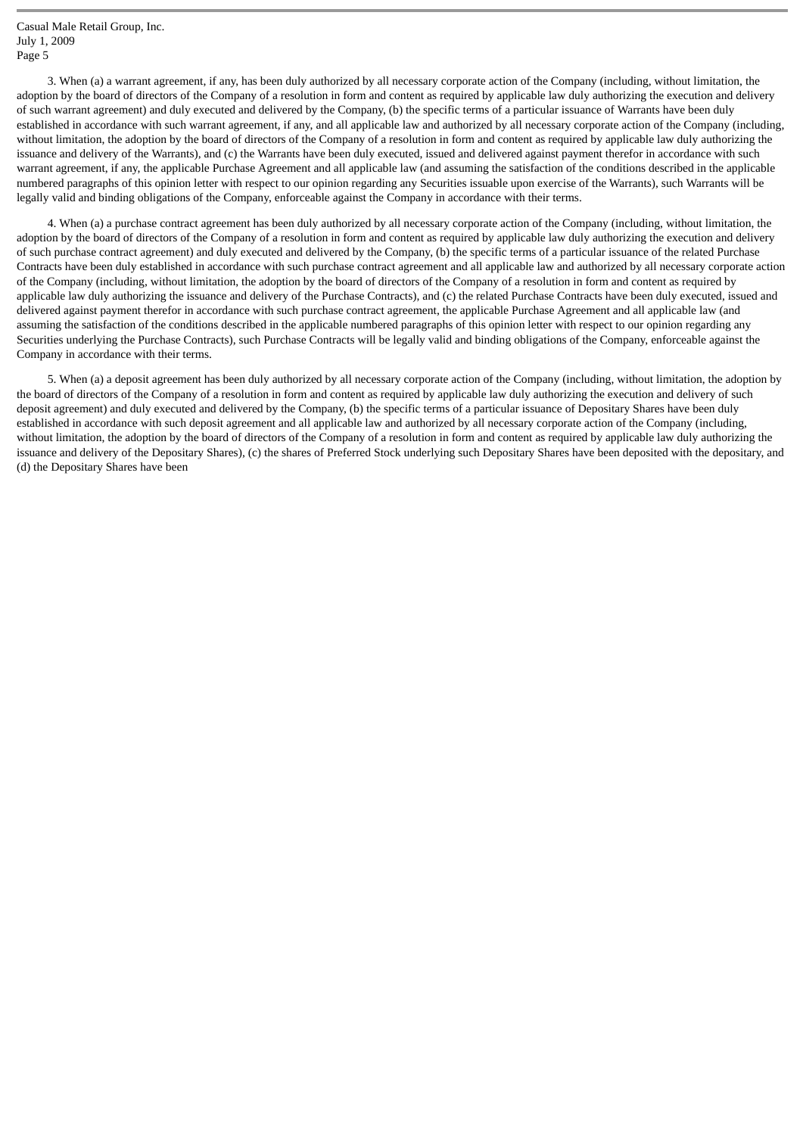3. When (a) a warrant agreement, if any, has been duly authorized by all necessary corporate action of the Company (including, without limitation, the adoption by the board of directors of the Company of a resolution in form and content as required by applicable law duly authorizing the execution and delivery of such warrant agreement) and duly executed and delivered by the Company, (b) the specific terms of a particular issuance of Warrants have been duly established in accordance with such warrant agreement, if any, and all applicable law and authorized by all necessary corporate action of the Company (including, without limitation, the adoption by the board of directors of the Company of a resolution in form and content as required by applicable law duly authorizing the issuance and delivery of the Warrants), and (c) the Warrants have been duly executed, issued and delivered against payment therefor in accordance with such warrant agreement, if any, the applicable Purchase Agreement and all applicable law (and assuming the satisfaction of the conditions described in the applicable numbered paragraphs of this opinion letter with respect to our opinion regarding any Securities issuable upon exercise of the Warrants), such Warrants will be legally valid and binding obligations of the Company, enforceable against the Company in accordance with their terms.

4. When (a) a purchase contract agreement has been duly authorized by all necessary corporate action of the Company (including, without limitation, the adoption by the board of directors of the Company of a resolution in form and content as required by applicable law duly authorizing the execution and delivery of such purchase contract agreement) and duly executed and delivered by the Company, (b) the specific terms of a particular issuance of the related Purchase Contracts have been duly established in accordance with such purchase contract agreement and all applicable law and authorized by all necessary corporate action of the Company (including, without limitation, the adoption by the board of directors of the Company of a resolution in form and content as required by applicable law duly authorizing the issuance and delivery of the Purchase Contracts), and (c) the related Purchase Contracts have been duly executed, issued and delivered against payment therefor in accordance with such purchase contract agreement, the applicable Purchase Agreement and all applicable law (and assuming the satisfaction of the conditions described in the applicable numbered paragraphs of this opinion letter with respect to our opinion regarding any Securities underlying the Purchase Contracts), such Purchase Contracts will be legally valid and binding obligations of the Company, enforceable against the Company in accordance with their terms.

5. When (a) a deposit agreement has been duly authorized by all necessary corporate action of the Company (including, without limitation, the adoption by the board of directors of the Company of a resolution in form and content as required by applicable law duly authorizing the execution and delivery of such deposit agreement) and duly executed and delivered by the Company, (b) the specific terms of a particular issuance of Depositary Shares have been duly established in accordance with such deposit agreement and all applicable law and authorized by all necessary corporate action of the Company (including, without limitation, the adoption by the board of directors of the Company of a resolution in form and content as required by applicable law duly authorizing the issuance and delivery of the Depositary Shares), (c) the shares of Preferred Stock underlying such Depositary Shares have been deposited with the depositary, and (d) the Depositary Shares have been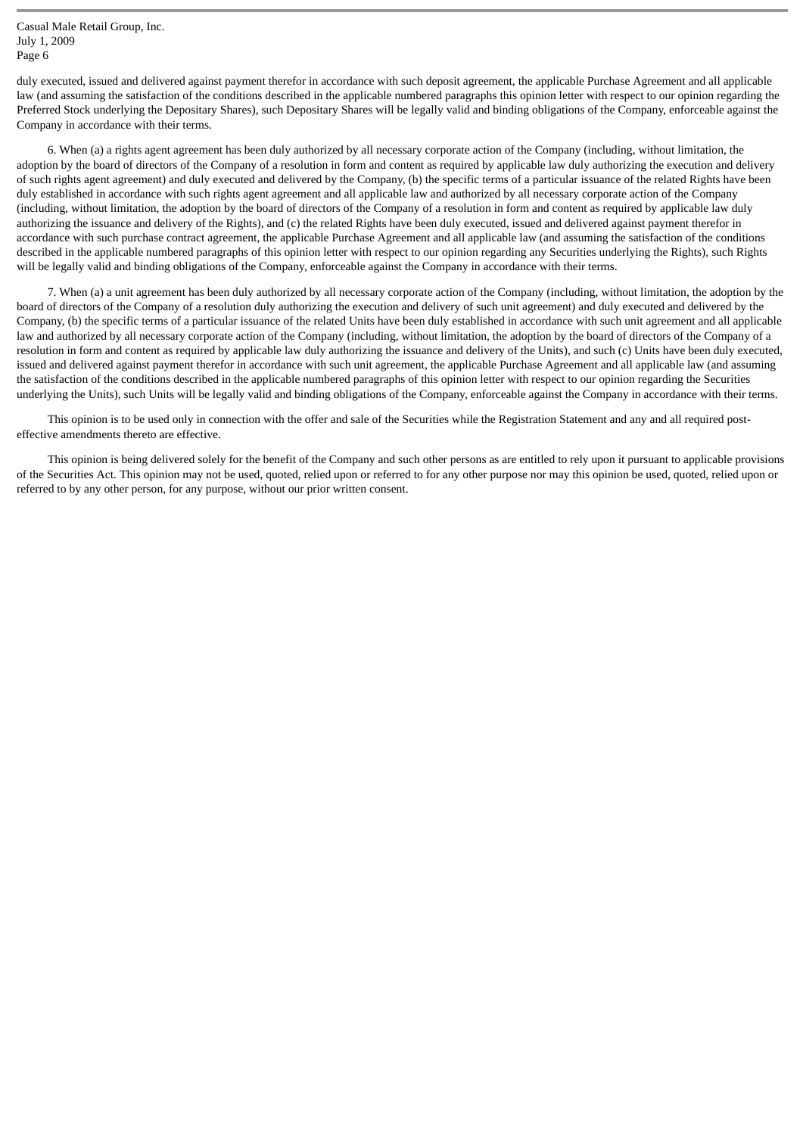duly executed, issued and delivered against payment therefor in accordance with such deposit agreement, the applicable Purchase Agreement and all applicable law (and assuming the satisfaction of the conditions described in the applicable numbered paragraphs this opinion letter with respect to our opinion regarding the Preferred Stock underlying the Depositary Shares), such Depositary Shares will be legally valid and binding obligations of the Company, enforceable against the Company in accordance with their terms.

6. When (a) a rights agent agreement has been duly authorized by all necessary corporate action of the Company (including, without limitation, the adoption by the board of directors of the Company of a resolution in form and content as required by applicable law duly authorizing the execution and delivery of such rights agent agreement) and duly executed and delivered by the Company, (b) the specific terms of a particular issuance of the related Rights have been duly established in accordance with such rights agent agreement and all applicable law and authorized by all necessary corporate action of the Company (including, without limitation, the adoption by the board of directors of the Company of a resolution in form and content as required by applicable law duly authorizing the issuance and delivery of the Rights), and (c) the related Rights have been duly executed, issued and delivered against payment therefor in accordance with such purchase contract agreement, the applicable Purchase Agreement and all applicable law (and assuming the satisfaction of the conditions described in the applicable numbered paragraphs of this opinion letter with respect to our opinion regarding any Securities underlying the Rights), such Rights will be legally valid and binding obligations of the Company, enforceable against the Company in accordance with their terms.

7. When (a) a unit agreement has been duly authorized by all necessary corporate action of the Company (including, without limitation, the adoption by the board of directors of the Company of a resolution duly authorizing the execution and delivery of such unit agreement) and duly executed and delivered by the Company, (b) the specific terms of a particular issuance of the related Units have been duly established in accordance with such unit agreement and all applicable law and authorized by all necessary corporate action of the Company (including, without limitation, the adoption by the board of directors of the Company of a resolution in form and content as required by applicable law duly authorizing the issuance and delivery of the Units), and such (c) Units have been duly executed, issued and delivered against payment therefor in accordance with such unit agreement, the applicable Purchase Agreement and all applicable law (and assuming the satisfaction of the conditions described in the applicable numbered paragraphs of this opinion letter with respect to our opinion regarding the Securities underlying the Units), such Units will be legally valid and binding obligations of the Company, enforceable against the Company in accordance with their terms.

This opinion is to be used only in connection with the offer and sale of the Securities while the Registration Statement and any and all required posteffective amendments thereto are effective.

This opinion is being delivered solely for the benefit of the Company and such other persons as are entitled to rely upon it pursuant to applicable provisions of the Securities Act. This opinion may not be used, quoted, relied upon or referred to for any other purpose nor may this opinion be used, quoted, relied upon or referred to by any other person, for any purpose, without our prior written consent.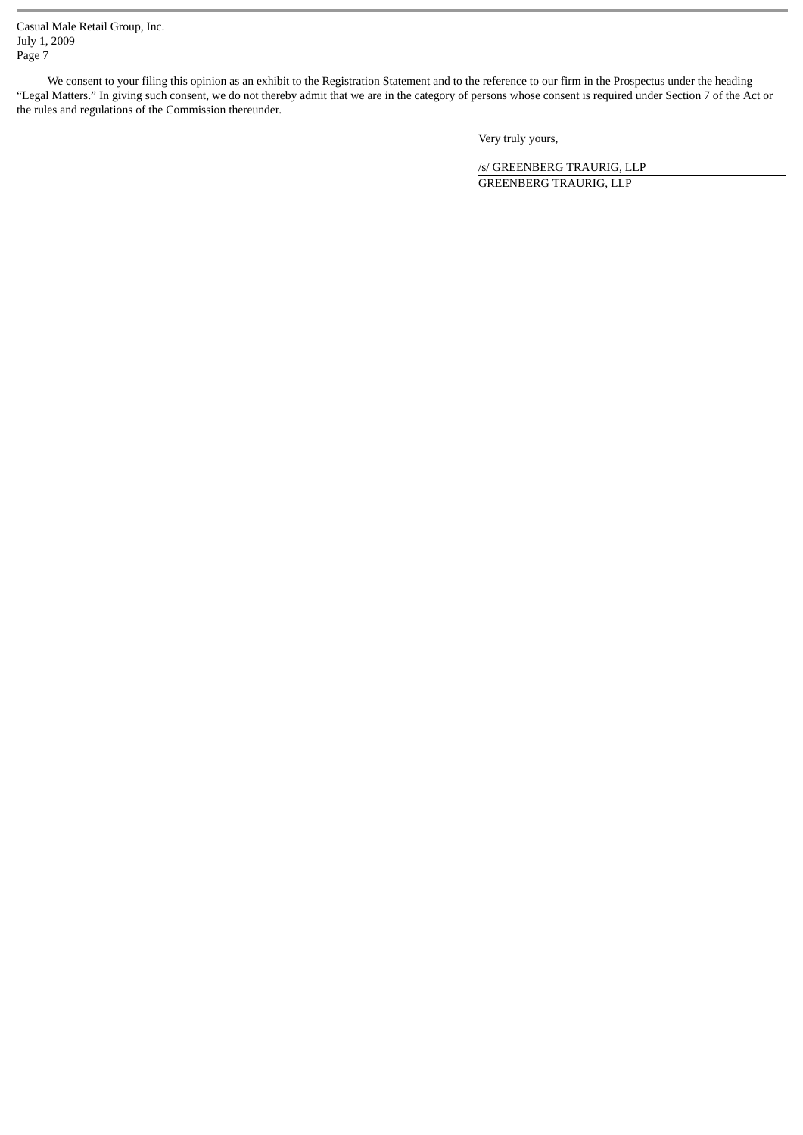We consent to your filing this opinion as an exhibit to the Registration Statement and to the reference to our firm in the Prospectus under the heading "Legal Matters." In giving such consent, we do not thereby admit that we are in the category of persons whose consent is required under Section 7 of the Act or the rules and regulations of the Commission thereunder.

Very truly yours,

/s/ GREENBERG TRAURIG, LLP GREENBERG TRAURIG, LLP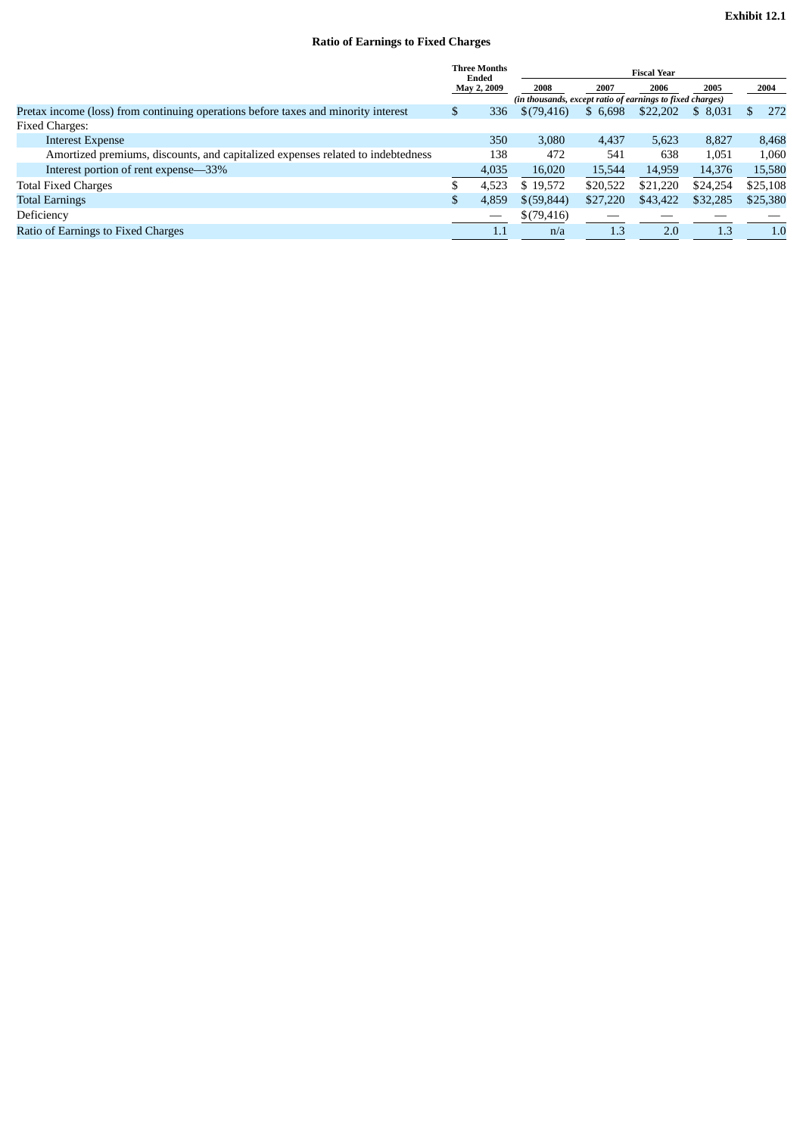# **Ratio of Earnings to Fixed Charges**

|                                                                                    | <b>Three Months</b><br>Ended<br>May 2, 2009 |       | <b>Fiscal Year</b>                                                |          |          |          |          |  |
|------------------------------------------------------------------------------------|---------------------------------------------|-------|-------------------------------------------------------------------|----------|----------|----------|----------|--|
|                                                                                    |                                             |       | 2008<br>(in thousands, except ratio of earnings to fixed charges) | 2007     | 2006     | 2005     | 2004     |  |
| Pretax income (loss) from continuing operations before taxes and minority interest | \$                                          | 336   | \$(79,416)                                                        | \$6,698  | \$22,202 | \$8,031  | 272      |  |
| <b>Fixed Charges:</b>                                                              |                                             |       |                                                                   |          |          |          |          |  |
| <b>Interest Expense</b>                                                            |                                             | 350   | 3.080                                                             | 4,437    | 5,623    | 8,827    | 8,468    |  |
| Amortized premiums, discounts, and capitalized expenses related to indebtedness    |                                             | 138   | 472                                                               | 541      | 638      | 1.051    | 1,060    |  |
| Interest portion of rent expense—33%                                               |                                             | 4,035 | 16,020                                                            | 15,544   | 14,959   | 14,376   | 15,580   |  |
| <b>Total Fixed Charges</b>                                                         |                                             | 4,523 | \$19,572                                                          | \$20,522 | \$21,220 | \$24,254 | \$25,108 |  |
| <b>Total Earnings</b>                                                              | \$                                          | 4,859 | \$(59,844)                                                        | \$27,220 | \$43,422 | \$32,285 | \$25,380 |  |
| Deficiency                                                                         |                                             |       | \$(79,416)                                                        |          |          |          |          |  |
| Ratio of Earnings to Fixed Charges                                                 |                                             | 1.1   | n/a                                                               | 1.3      | 2.0      | 1.3      | 1.0      |  |
|                                                                                    |                                             |       |                                                                   |          |          |          |          |  |